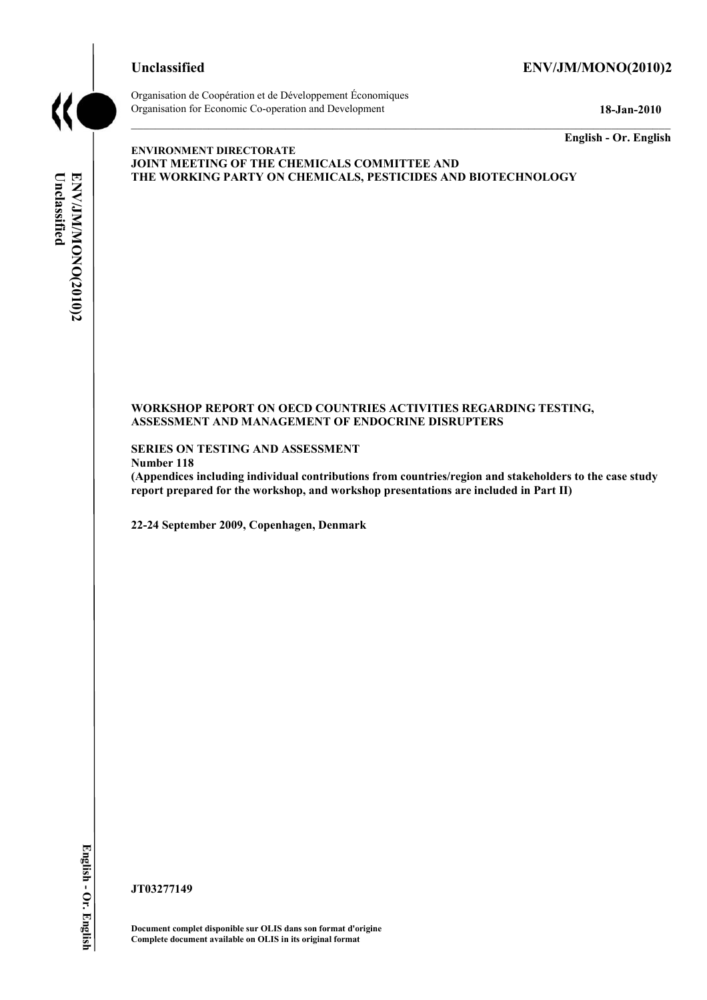# **Unclassified ENV/JM/MONO(2010)2**



Organisation de Coopération et de Développement Économiques Organisation for Economic Co-operation and Development **18-Jan-2010** 

**English - Or. English** 

# Unclassified **Unclassified**  ENV/JM/MONO(2010)2 **ENV/JM/MONO(2010)2 English - Or. English**

### **ENVIRONMENT DIRECTORATE JOINT MEETING OF THE CHEMICALS COMMITTEE AND THE WORKING PARTY ON CHEMICALS, PESTICIDES AND BIOTECHNOLOGY**

# **WORKSHOP REPORT ON OECD COUNTRIES ACTIVITIES REGARDING TESTING, ASSESSMENT AND MANAGEMENT OF ENDOCRINE DISRUPTERS**

**SERIES ON TESTING AND ASSESSMENT Number 118** 

**(Appendices including individual contributions from countries/region and stakeholders to the case study report prepared for the workshop, and workshop presentations are included in Part II)** 

**22-24 September 2009, Copenhagen, Denmark** 

**JT03277149** 

**Document complet disponible sur OLIS dans son format d'origine Complete document available on OLIS in its original format**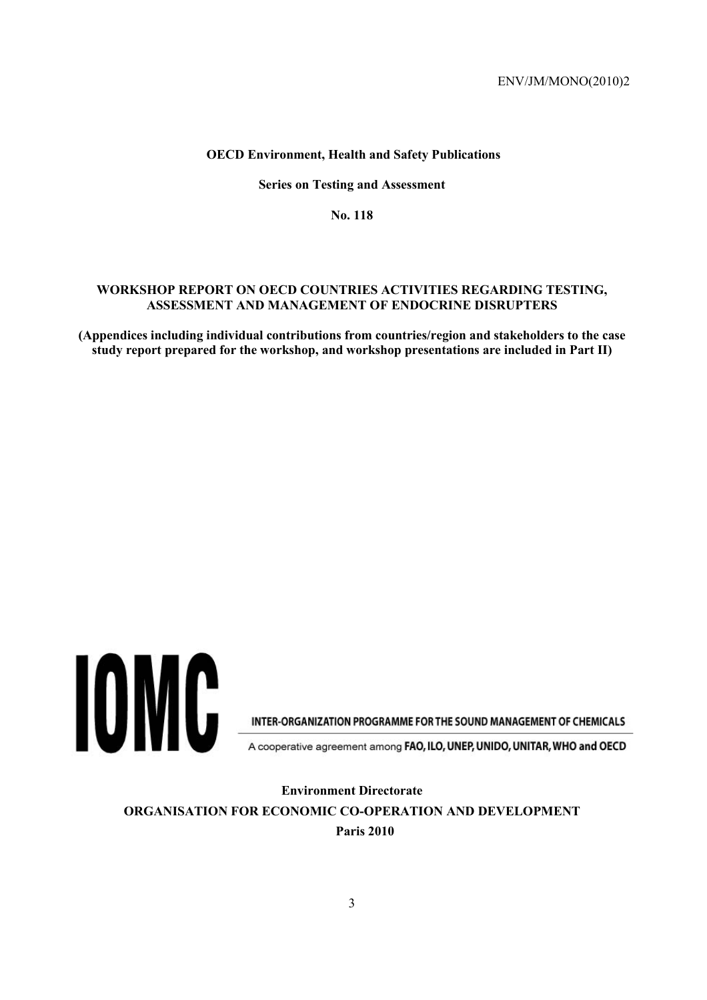# **OECD Environment, Health and Safety Publications**

**Series on Testing and Assessment** 

**No. 118** 

# **WORKSHOP REPORT ON OECD COUNTRIES ACTIVITIES REGARDING TESTING, ASSESSMENT AND MANAGEMENT OF ENDOCRINE DISRUPTERS**

**(Appendices including individual contributions from countries/region and stakeholders to the case study report prepared for the workshop, and workshop presentations are included in Part II)** 



INTER-ORGANIZATION PROGRAMME FOR THE SOUND MANAGEMENT OF CHEMICALS

A cooperative agreement among FAO, ILO, UNEP, UNIDO, UNITAR, WHO and OECD

**Environment Directorate ORGANISATION FOR ECONOMIC CO-OPERATION AND DEVELOPMENT Paris 2010**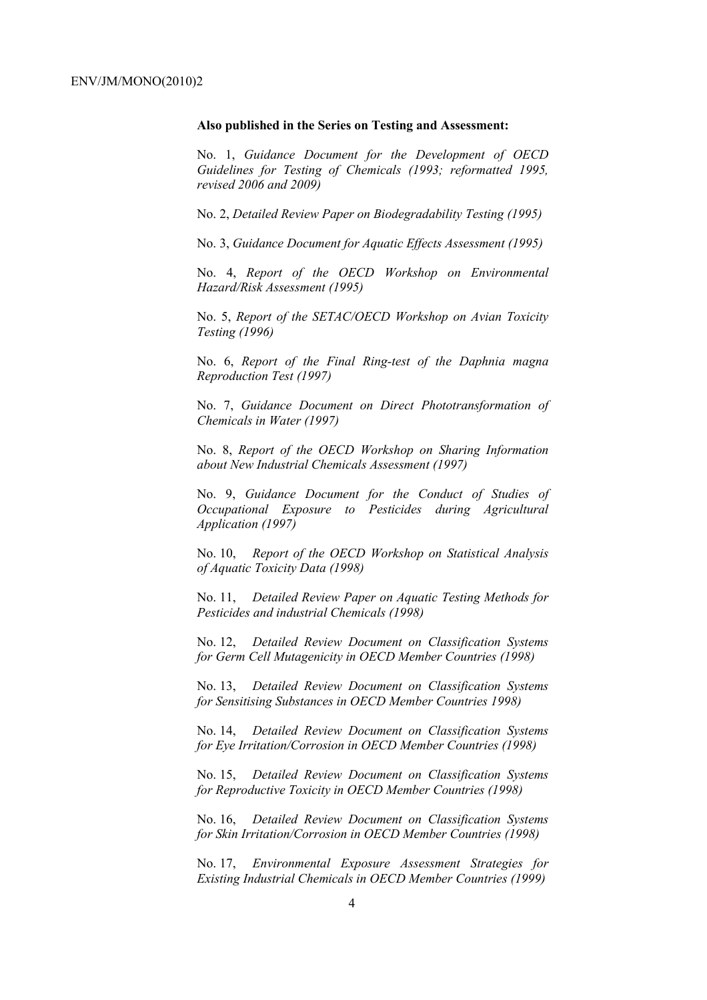### **Also published in the Series on Testing and Assessment:**

No. 1, *Guidance Document for the Development of OECD Guidelines for Testing of Chemicals (1993; reformatted 1995, revised 2006 and 2009)*

No. 2, *Detailed Review Paper on Biodegradability Testing (1995)*

No. 3, *Guidance Document for Aquatic Effects Assessment (1995)* 

No. 4, *Report of the OECD Workshop on Environmental Hazard/Risk Assessment (1995)*

No. 5, *Report of the SETAC/OECD Workshop on Avian Toxicity Testing (1996)*

No. 6, *Report of the Final Ring-test of the Daphnia magna Reproduction Test (1997)*

No. 7, *Guidance Document on Direct Phototransformation of Chemicals in Water (1997)* 

No. 8, *Report of the OECD Workshop on Sharing Information about New Industrial Chemicals Assessment (1997)*

No. 9, *Guidance Document for the Conduct of Studies of Occupational Exposure to Pesticides during Agricultural Application (1997)*

No. 10, *Report of the OECD Workshop on Statistical Analysis of Aquatic Toxicity Data (1998)*

No. 11, *Detailed Review Paper on Aquatic Testing Methods for Pesticides and industrial Chemicals (1998)*

No. 12, *Detailed Review Document on Classification Systems for Germ Cell Mutagenicity in OECD Member Countries (1998)*

No. 13, *Detailed Review Document on Classification Systems for Sensitising Substances in OECD Member Countries 1998)*

No. 14, *Detailed Review Document on Classification Systems for Eye Irritation/Corrosion in OECD Member Countries (1998)*

No. 15, *Detailed Review Document on Classification Systems for Reproductive Toxicity in OECD Member Countries (1998)*

No. 16, *Detailed Review Document on Classification Systems for Skin Irritation/Corrosion in OECD Member Countries (1998)*

No. 17, *Environmental Exposure Assessment Strategies for Existing Industrial Chemicals in OECD Member Countries (1999)*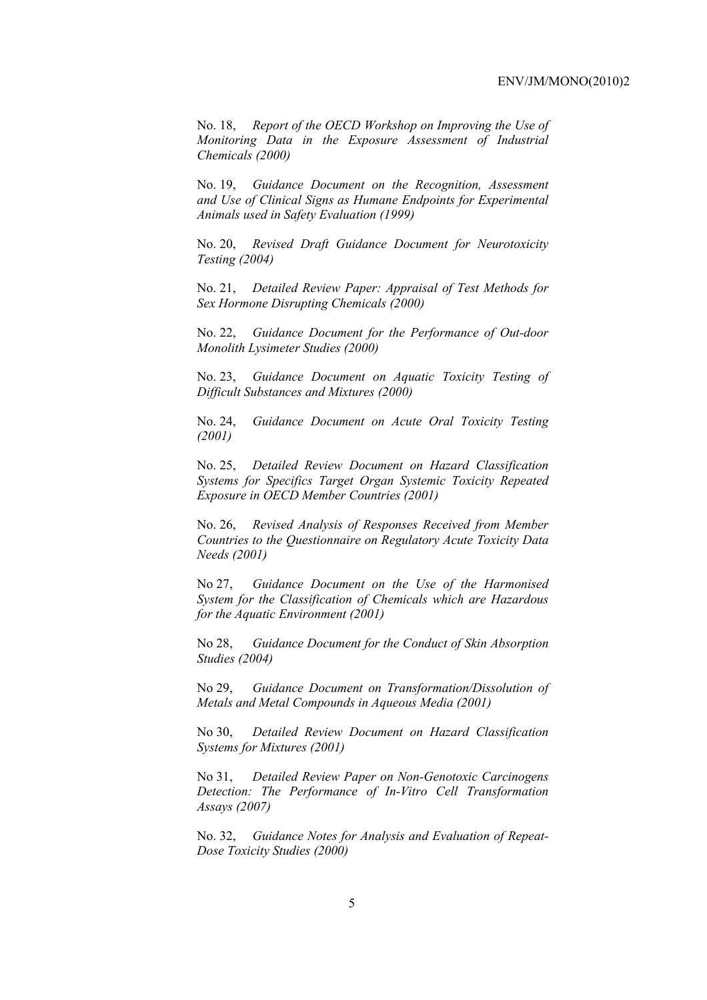No. 18, *Report of the OECD Workshop on Improving the Use of Monitoring Data in the Exposure Assessment of Industrial Chemicals (2000)*

No. 19, *Guidance Document on the Recognition, Assessment and Use of Clinical Signs as Humane Endpoints for Experimental Animals used in Safety Evaluation (1999)*

No. 20, *Revised Draft Guidance Document for Neurotoxicity Testing (2004)*

No. 21, *Detailed Review Paper: Appraisal of Test Methods for Sex Hormone Disrupting Chemicals (2000)*

No. 22, *Guidance Document for the Performance of Out-door Monolith Lysimeter Studies (2000)*

No. 23, *Guidance Document on Aquatic Toxicity Testing of Difficult Substances and Mixtures (2000)*

No. 24, *Guidance Document on Acute Oral Toxicity Testing (2001)*

No. 25, *Detailed Review Document on Hazard Classification Systems for Specifics Target Organ Systemic Toxicity Repeated Exposure in OECD Member Countries (2001)*

No. 26, *Revised Analysis of Responses Received from Member Countries to the Questionnaire on Regulatory Acute Toxicity Data Needs (2001)*

No 27, *Guidance Document on the Use of the Harmonised System for the Classification of Chemicals which are Hazardous for the Aquatic Environment (2001)*

No 28, *Guidance Document for the Conduct of Skin Absorption Studies (2004)*

No 29, *Guidance Document on Transformation/Dissolution of Metals and Metal Compounds in Aqueous Media (2001)*

No 30, *Detailed Review Document on Hazard Classification Systems for Mixtures (2001)*

No 31, *Detailed Review Paper on Non-Genotoxic Carcinogens Detection: The Performance of In-Vitro Cell Transformation Assays (2007)* 

No. 32, *Guidance Notes for Analysis and Evaluation of Repeat-Dose Toxicity Studies (2000)*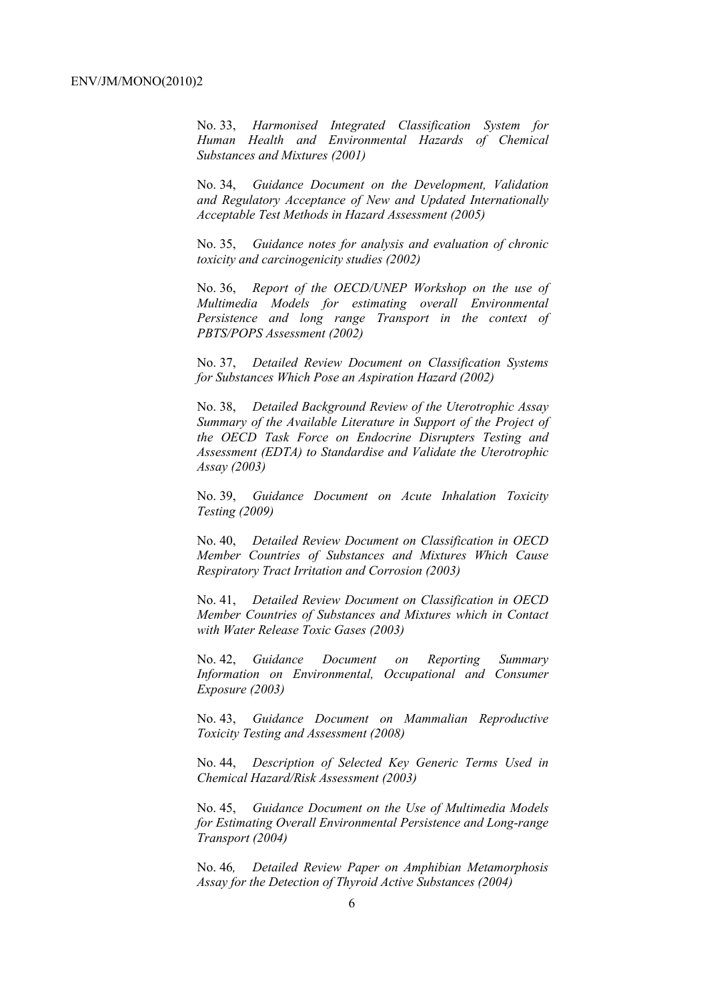No. 33, *Harmonised Integrated Classification System for Human Health and Environmental Hazards of Chemical Substances and Mixtures (2001)*

No. 34, *Guidance Document on the Development, Validation and Regulatory Acceptance of New and Updated Internationally Acceptable Test Methods in Hazard Assessment (2005)*

No. 35, *Guidance notes for analysis and evaluation of chronic toxicity and carcinogenicity studies (2002)*

No. 36, *Report of the OECD/UNEP Workshop on the use of Multimedia Models for estimating overall Environmental Persistence and long range Transport in the context of PBTS/POPS Assessment (2002)*

No. 37, *Detailed Review Document on Classification Systems for Substances Which Pose an Aspiration Hazard (2002)*

No. 38, *Detailed Background Review of the Uterotrophic Assay Summary of the Available Literature in Support of the Project of the OECD Task Force on Endocrine Disrupters Testing and Assessment (EDTA) to Standardise and Validate the Uterotrophic Assay (2003)*

No. 39, *Guidance Document on Acute Inhalation Toxicity Testing (2009)*

No. 40, *Detailed Review Document on Classification in OECD Member Countries of Substances and Mixtures Which Cause Respiratory Tract Irritation and Corrosion (2003)*

No. 41, *Detailed Review Document on Classification in OECD Member Countries of Substances and Mixtures which in Contact with Water Release Toxic Gases (2003)*

No. 42, *Guidance Document on Reporting Summary Information on Environmental, Occupational and Consumer Exposure (2003)*

No. 43, *Guidance Document on Mammalian Reproductive Toxicity Testing and Assessment (2008)*

No. 44, *Description of Selected Key Generic Terms Used in Chemical Hazard/Risk Assessment (2003)* 

No. 45, *Guidance Document on the Use of Multimedia Models for Estimating Overall Environmental Persistence and Long-range Transport (2004)*

No. 46*, Detailed Review Paper on Amphibian Metamorphosis Assay for the Detection of Thyroid Active Substances (2004)*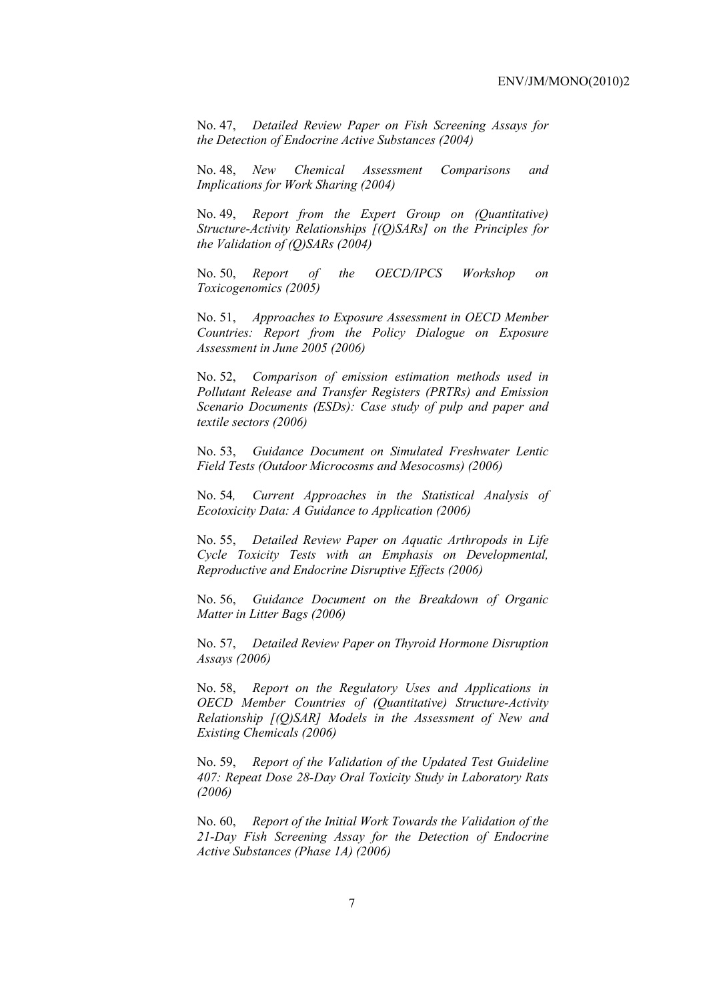No. 47, *Detailed Review Paper on Fish Screening Assays for the Detection of Endocrine Active Substances (2004)* 

No. 48, *New Chemical Assessment Comparisons and Implications for Work Sharing (2004)* 

No. 49, *Report from the Expert Group on (Quantitative) Structure-Activity Relationships [(Q)SARs] on the Principles for the Validation of (Q)SARs (2004)* 

No. 50, *Report of the OECD/IPCS Workshop on Toxicogenomics (2005)* 

No. 51, *Approaches to Exposure Assessment in OECD Member Countries: Report from the Policy Dialogue on Exposure Assessment in June 2005 (2006)* 

No. 52, *Comparison of emission estimation methods used in Pollutant Release and Transfer Registers (PRTRs) and Emission Scenario Documents (ESDs): Case study of pulp and paper and textile sectors (2006)* 

No. 53, *Guidance Document on Simulated Freshwater Lentic Field Tests (Outdoor Microcosms and Mesocosms) (2006)* 

No. 54*, Current Approaches in the Statistical Analysis of Ecotoxicity Data: A Guidance to Application (2006)* 

No. 55, *Detailed Review Paper on Aquatic Arthropods in Life Cycle Toxicity Tests with an Emphasis on Developmental, Reproductive and Endocrine Disruptive Effects (2006)* 

No. 56, *Guidance Document on the Breakdown of Organic Matter in Litter Bags (2006)* 

No. 57, *Detailed Review Paper on Thyroid Hormone Disruption Assays (2006)* 

No. 58, *Report on the Regulatory Uses and Applications in OECD Member Countries of (Quantitative) Structure-Activity Relationship [(Q)SAR] Models in the Assessment of New and Existing Chemicals (2006)* 

No. 59, *Report of the Validation of the Updated Test Guideline 407: Repeat Dose 28-Day Oral Toxicity Study in Laboratory Rats (2006)* 

No. 60, *Report of the Initial Work Towards the Validation of the 21-Day Fish Screening Assay for the Detection of Endocrine Active Substances (Phase 1A) (2006)*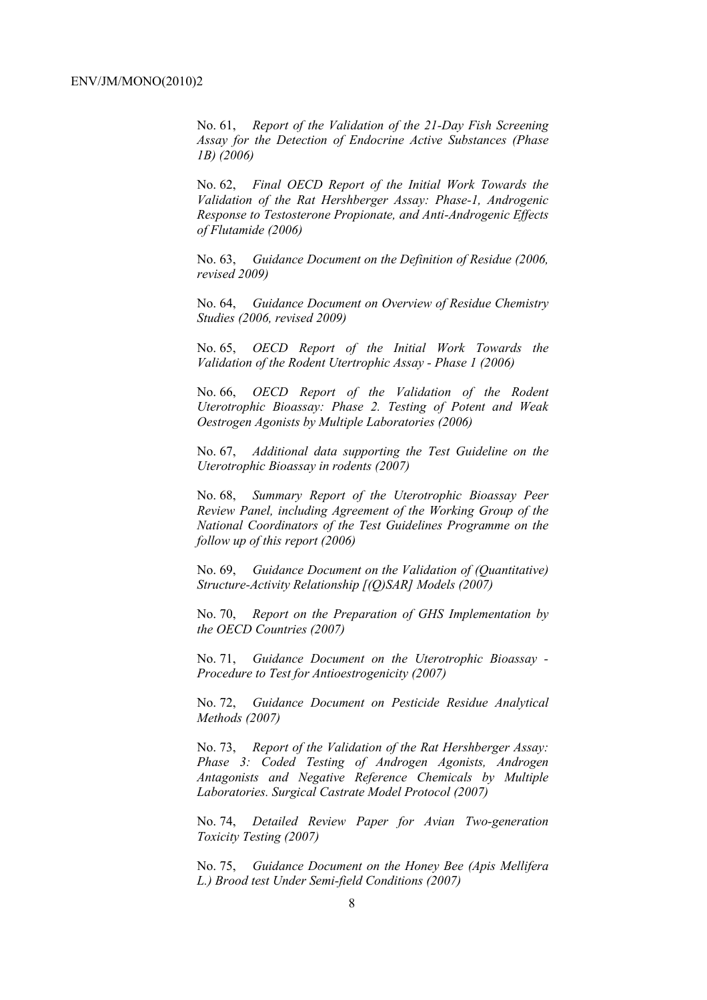No. 61, *Report of the Validation of the 21-Day Fish Screening Assay for the Detection of Endocrine Active Substances (Phase 1B) (2006)* 

No. 62, *Final OECD Report of the Initial Work Towards the Validation of the Rat Hershberger Assay: Phase-1, Androgenic Response to Testosterone Propionate, and Anti-Androgenic Effects of Flutamide (2006)* 

No. 63, *Guidance Document on the Definition of Residue (2006, revised 2009)* 

No. 64, *Guidance Document on Overview of Residue Chemistry Studies (2006, revised 2009)* 

No. 65, *OECD Report of the Initial Work Towards the Validation of the Rodent Utertrophic Assay - Phase 1 (2006)* 

No. 66, *OECD Report of the Validation of the Rodent Uterotrophic Bioassay: Phase 2. Testing of Potent and Weak Oestrogen Agonists by Multiple Laboratories (2006)* 

No. 67, *Additional data supporting the Test Guideline on the Uterotrophic Bioassay in rodents (2007)* 

No. 68, *Summary Report of the Uterotrophic Bioassay Peer Review Panel, including Agreement of the Working Group of the National Coordinators of the Test Guidelines Programme on the follow up of this report (2006)* 

No. 69, *Guidance Document on the Validation of (Quantitative) Structure-Activity Relationship [(Q)SAR] Models (2007)* 

No. 70, *Report on the Preparation of GHS Implementation by the OECD Countries (2007)*

No. 71, *Guidance Document on the Uterotrophic Bioassay - Procedure to Test for Antioestrogenicity (2007)*

No. 72, *Guidance Document on Pesticide Residue Analytical Methods (2007)* 

No. 73, *Report of the Validation of the Rat Hershberger Assay: Phase 3: Coded Testing of Androgen Agonists, Androgen Antagonists and Negative Reference Chemicals by Multiple Laboratories. Surgical Castrate Model Protocol (2007)* 

No. 74, *Detailed Review Paper for Avian Two-generation Toxicity Testing (2007)*

No. 75, *Guidance Document on the Honey Bee (Apis Mellifera L.) Brood test Under Semi-field Conditions (2007)*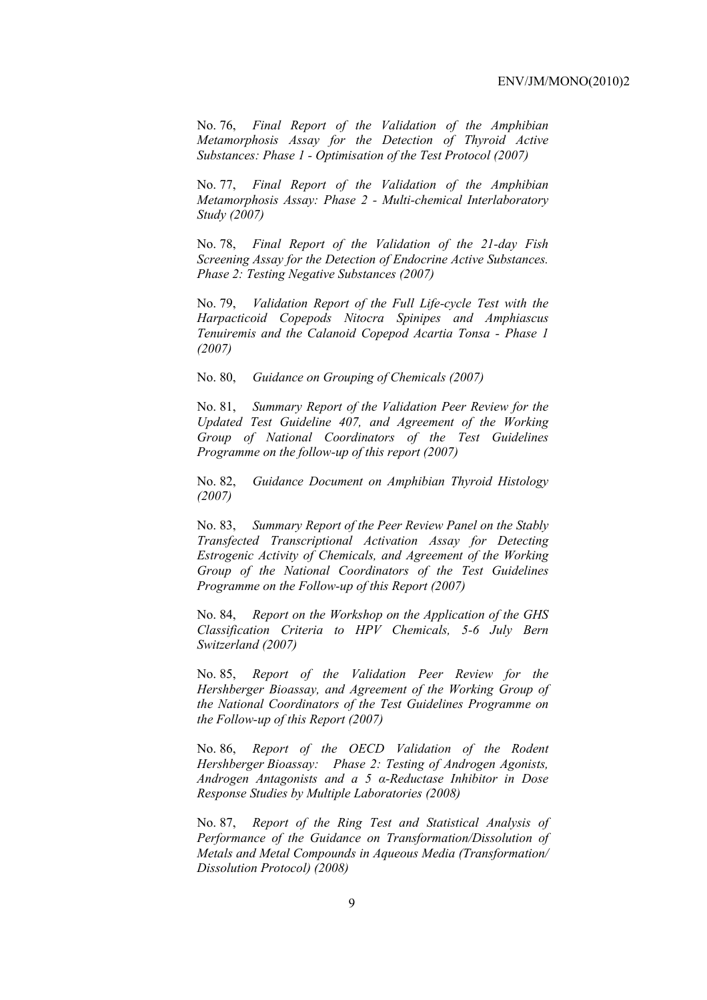No. 76, *Final Report of the Validation of the Amphibian Metamorphosis Assay for the Detection of Thyroid Active Substances: Phase 1 - Optimisation of the Test Protocol (2007)* 

No. 77, *Final Report of the Validation of the Amphibian Metamorphosis Assay: Phase 2 - Multi-chemical Interlaboratory Study (2007)* 

No. 78, *Final Report of the Validation of the 21-day Fish Screening Assay for the Detection of Endocrine Active Substances. Phase 2: Testing Negative Substances (2007)* 

No. 79, *Validation Report of the Full Life-cycle Test with the Harpacticoid Copepods Nitocra Spinipes and Amphiascus Tenuiremis and the Calanoid Copepod Acartia Tonsa - Phase 1 (2007)* 

No. 80, *Guidance on Grouping of Chemicals (2007)* 

No. 81, *Summary Report of the Validation Peer Review for the Updated Test Guideline 407, and Agreement of the Working Group of National Coordinators of the Test Guidelines Programme on the follow-up of this report (2007)* 

No. 82, *Guidance Document on Amphibian Thyroid Histology (2007)* 

No. 83, *Summary Report of the Peer Review Panel on the Stably Transfected Transcriptional Activation Assay for Detecting Estrogenic Activity of Chemicals, and Agreement of the Working Group of the National Coordinators of the Test Guidelines Programme on the Follow-up of this Report (2007)* 

No. 84, *Report on the Workshop on the Application of the GHS Classification Criteria to HPV Chemicals, 5-6 July Bern Switzerland (2007)* 

No. 85, *Report of the Validation Peer Review for the Hershberger Bioassay, and Agreement of the Working Group of the National Coordinators of the Test Guidelines Programme on the Follow-up of this Report (2007)* 

No. 86, *Report of the OECD Validation of the Rodent Hershberger Bioassay: Phase 2: Testing of Androgen Agonists, Androgen Antagonists and a 5 α-Reductase Inhibitor in Dose Response Studies by Multiple Laboratories (2008)*

No. 87, *Report of the Ring Test and Statistical Analysis of Performance of the Guidance on Transformation/Dissolution of Metals and Metal Compounds in Aqueous Media (Transformation/ Dissolution Protocol) (2008)*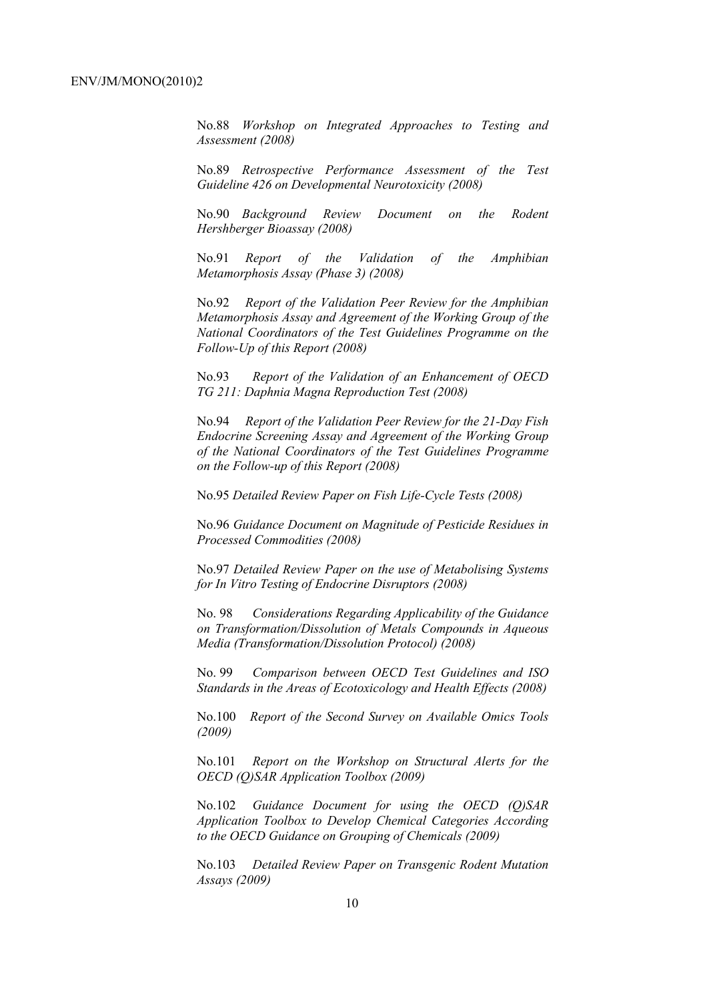No.88 *Workshop on Integrated Approaches to Testing and Assessment (2008)* 

No.89 *Retrospective Performance Assessment of the Test Guideline 426 on Developmental Neurotoxicity (2008)* 

No.90 *Background Review Document on the Rodent Hershberger Bioassay (2008)* 

No.91 *Report of the Validation of the Amphibian Metamorphosis Assay (Phase 3) (2008)* 

No.92 *Report of the Validation Peer Review for the Amphibian Metamorphosis Assay and Agreement of the Working Group of the National Coordinators of the Test Guidelines Programme on the Follow-Up of this Report (2008)* 

No.93 *Report of the Validation of an Enhancement of OECD TG 211: Daphnia Magna Reproduction Test (2008)* 

No.94 *Report of the Validation Peer Review for the 21-Day Fish Endocrine Screening Assay and Agreement of the Working Group of the National Coordinators of the Test Guidelines Programme on the Follow-up of this Report (2008)* 

No.95 *Detailed Review Paper on Fish Life-Cycle Tests (2008)* 

No.96 *Guidance Document on Magnitude of Pesticide Residues in Processed Commodities (2008)* 

No.97 *Detailed Review Paper on the use of Metabolising Systems for In Vitro Testing of Endocrine Disruptors (2008)* 

No. 98 *Considerations Regarding Applicability of the Guidance on Transformation/Dissolution of Metals Compounds in Aqueous Media (Transformation/Dissolution Protocol) (2008)*

No. 99 *Comparison between OECD Test Guidelines and ISO Standards in the Areas of Ecotoxicology and Health Effects (2008)* 

No.100 *Report of the Second Survey on Available Omics Tools (2009)* 

No.101 *Report on the Workshop on Structural Alerts for the OECD (Q)SAR Application Toolbox (2009)* 

No.102 *Guidance Document for using the OECD (Q)SAR Application Toolbox to Develop Chemical Categories According to the OECD Guidance on Grouping of Chemicals (2009)* 

No.103 *Detailed Review Paper on Transgenic Rodent Mutation Assays (2009)*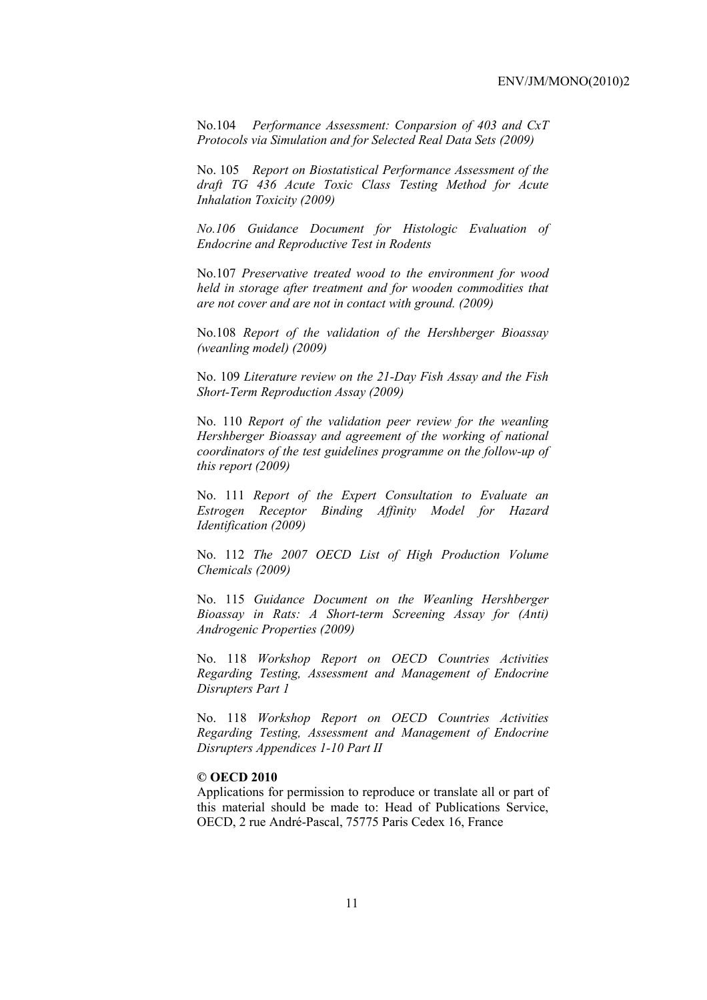No.104 *Performance Assessment: Conparsion of 403 and CxT Protocols via Simulation and for Selected Real Data Sets (2009)* 

No. 105 *Report on Biostatistical Performance Assessment of the draft TG 436 Acute Toxic Class Testing Method for Acute Inhalation Toxicity (2009)* 

*No.106 Guidance Document for Histologic Evaluation of Endocrine and Reproductive Test in Rodents* 

No.107 *Preservative treated wood to the environment for wood held in storage after treatment and for wooden commodities that are not cover and are not in contact with ground. (2009)* 

No.108 *Report of the validation of the Hershberger Bioassay (weanling model) (2009)* 

No. 109 *Literature review on the 21-Day Fish Assay and the Fish Short-Term Reproduction Assay (2009)* 

No. 110 *Report of the validation peer review for the weanling Hershberger Bioassay and agreement of the working of national coordinators of the test guidelines programme on the follow-up of this report (2009)* 

No. 111 *Report of the Expert Consultation to Evaluate an Estrogen Receptor Binding Affinity Model for Hazard Identification (2009)* 

No. 112 *The 2007 OECD List of High Production Volume Chemicals (2009)* 

No. 115 *Guidance Document on the Weanling Hershberger Bioassay in Rats: A Short-term Screening Assay for (Anti) Androgenic Properties (2009)* 

No. 118 *Workshop Report on OECD Countries Activities Regarding Testing, Assessment and Management of Endocrine Disrupters Part 1* 

No. 118 *Workshop Report on OECD Countries Activities Regarding Testing, Assessment and Management of Endocrine Disrupters Appendices 1-10 Part II* 

### **© OECD 2010**

Applications for permission to reproduce or translate all or part of this material should be made to: Head of Publications Service, OECD, 2 rue André-Pascal, 75775 Paris Cedex 16, France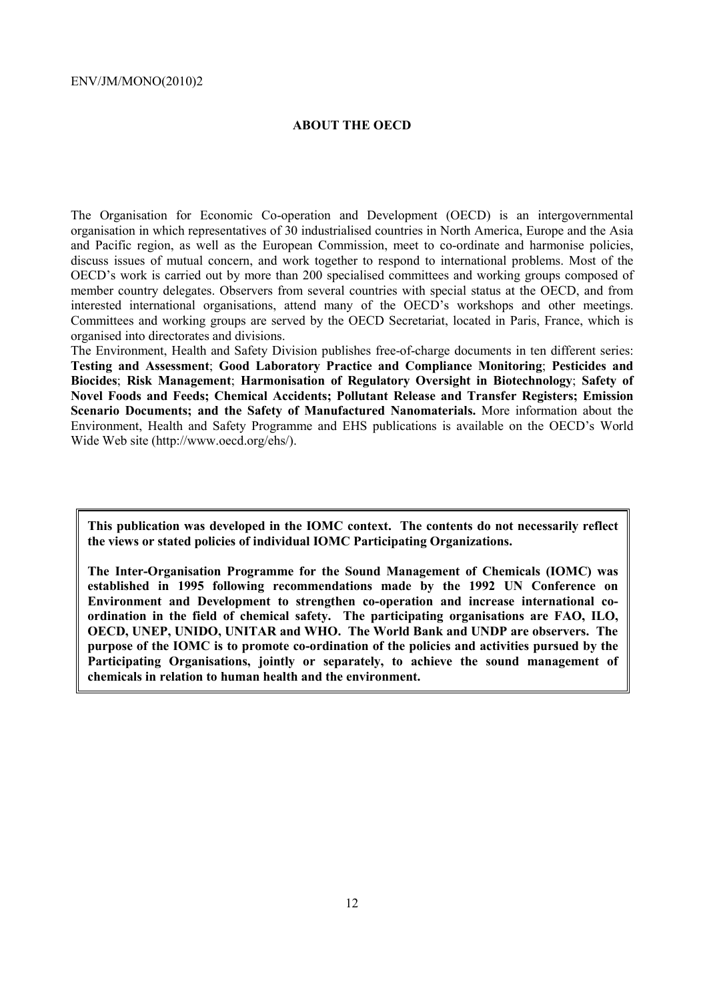# **ABOUT THE OECD**

The Organisation for Economic Co-operation and Development (OECD) is an intergovernmental organisation in which representatives of 30 industrialised countries in North America, Europe and the Asia and Pacific region, as well as the European Commission, meet to co-ordinate and harmonise policies, discuss issues of mutual concern, and work together to respond to international problems. Most of the OECD's work is carried out by more than 200 specialised committees and working groups composed of member country delegates. Observers from several countries with special status at the OECD, and from interested international organisations, attend many of the OECD's workshops and other meetings. Committees and working groups are served by the OECD Secretariat, located in Paris, France, which is organised into directorates and divisions.

The Environment, Health and Safety Division publishes free-of-charge documents in ten different series: **Testing and Assessment**; **Good Laboratory Practice and Compliance Monitoring**; **Pesticides and Biocides**; **Risk Management**; **Harmonisation of Regulatory Oversight in Biotechnology**; **Safety of Novel Foods and Feeds; Chemical Accidents; Pollutant Release and Transfer Registers; Emission Scenario Documents; and the Safety of Manufactured Nanomaterials.** More information about the Environment, Health and Safety Programme and EHS publications is available on the OECD's World Wide Web site (http://www.oecd.org/ehs/).

**This publication was developed in the IOMC context. The contents do not necessarily reflect the views or stated policies of individual IOMC Participating Organizations.** 

**The Inter-Organisation Programme for the Sound Management of Chemicals (IOMC) was established in 1995 following recommendations made by the 1992 UN Conference on Environment and Development to strengthen co-operation and increase international coordination in the field of chemical safety. The participating organisations are FAO, ILO, OECD, UNEP, UNIDO, UNITAR and WHO. The World Bank and UNDP are observers. The purpose of the IOMC is to promote co-ordination of the policies and activities pursued by the Participating Organisations, jointly or separately, to achieve the sound management of chemicals in relation to human health and the environment.**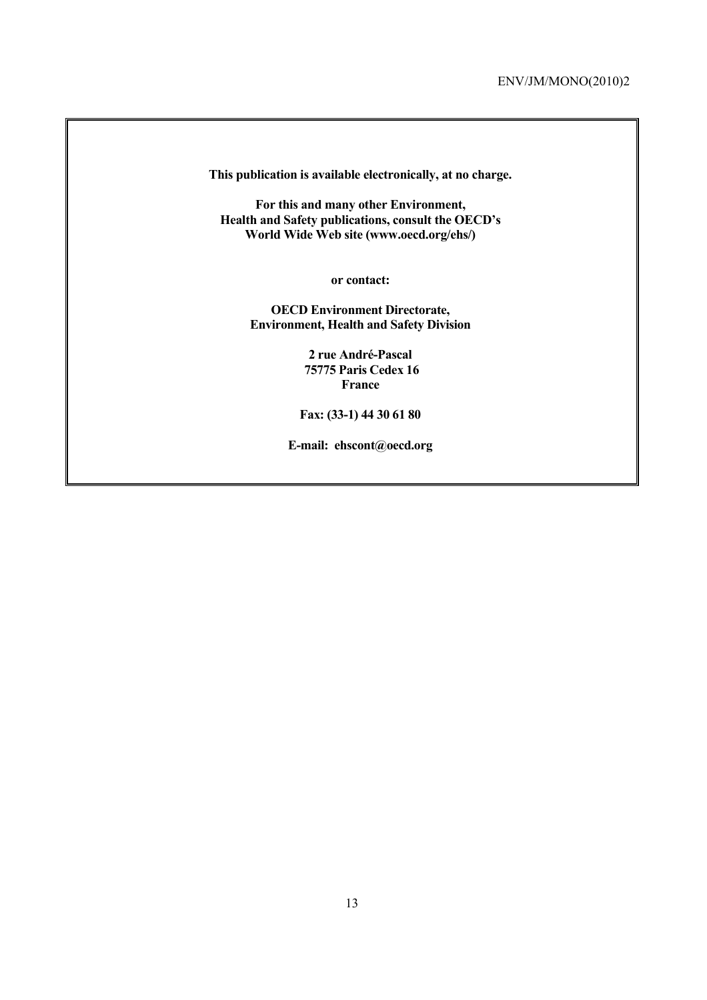**This publication is available electronically, at no charge.** 

**For this and many other Environment, Health and Safety publications, consult the OECD's World Wide Web site (www.oecd.org/ehs/)** 

**or contact:** 

**OECD Environment Directorate, Environment, Health and Safety Division**

> **2 rue André-Pascal 75775 Paris Cedex 16 France**

**Fax: (33-1) 44 30 61 80** 

**E-mail: ehscont@oecd.org**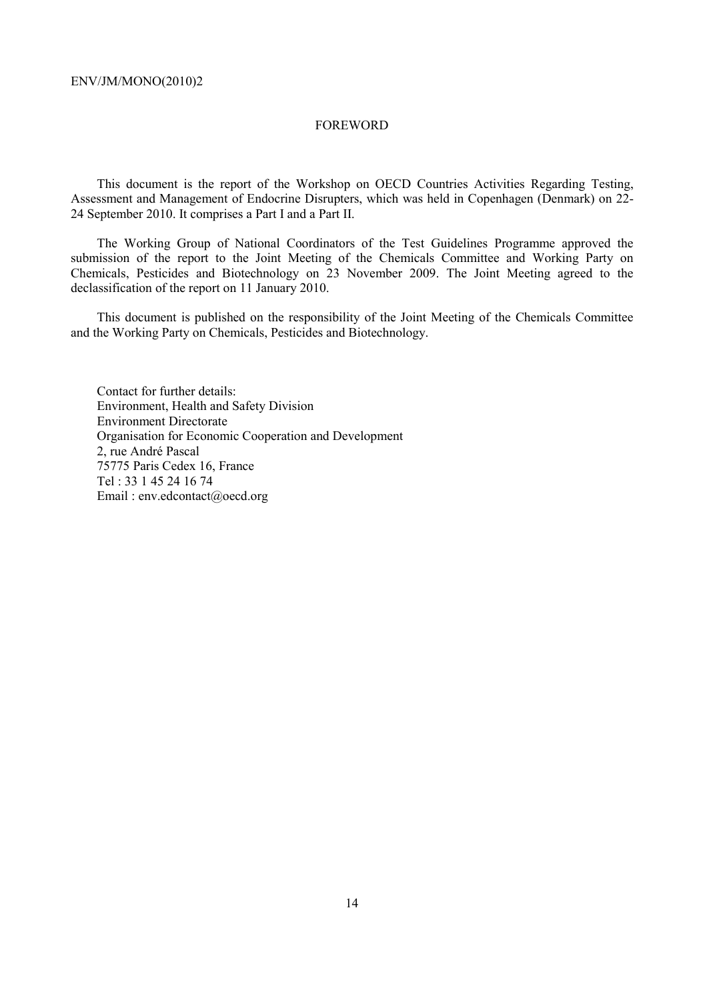### FOREWORD

This document is the report of the Workshop on OECD Countries Activities Regarding Testing, Assessment and Management of Endocrine Disrupters, which was held in Copenhagen (Denmark) on 22- 24 September 2010. It comprises a Part I and a Part II.

The Working Group of National Coordinators of the Test Guidelines Programme approved the submission of the report to the Joint Meeting of the Chemicals Committee and Working Party on Chemicals, Pesticides and Biotechnology on 23 November 2009. The Joint Meeting agreed to the declassification of the report on 11 January 2010.

This document is published on the responsibility of the Joint Meeting of the Chemicals Committee and the Working Party on Chemicals, Pesticides and Biotechnology.

Contact for further details: Environment, Health and Safety Division Environment Directorate Organisation for Economic Cooperation and Development 2, rue André Pascal 75775 Paris Cedex 16, France Tel : 33 1 45 24 16 74 Email: env.edcontact@oecd.org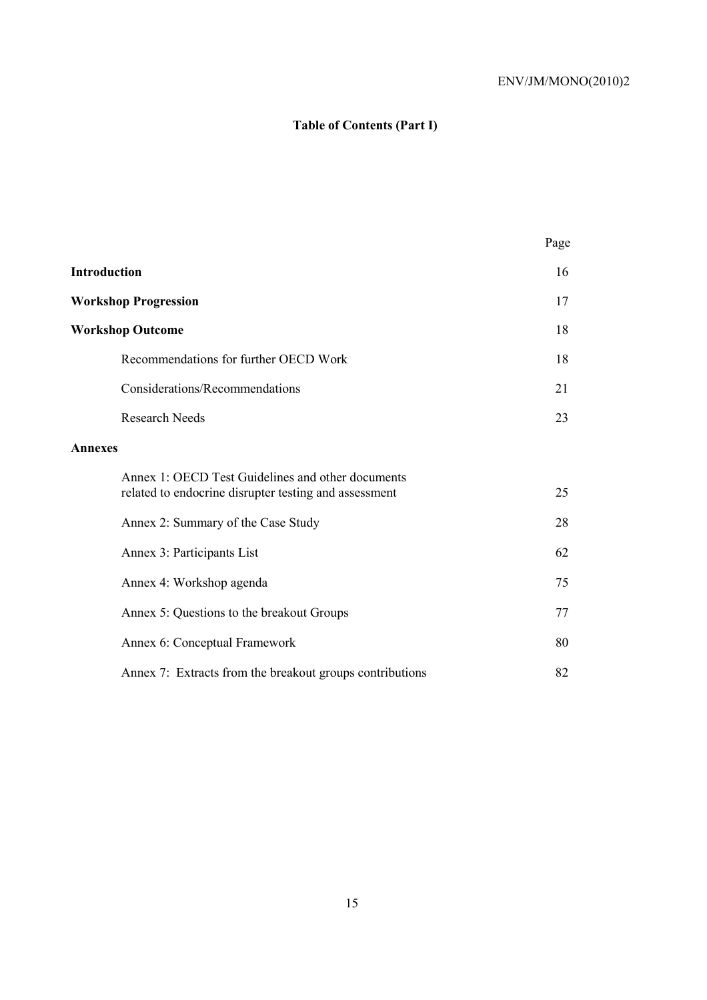# **Table of Contents (Part I)**

|                                                                                                            | Page |
|------------------------------------------------------------------------------------------------------------|------|
| <b>Introduction</b>                                                                                        | 16   |
| <b>Workshop Progression</b>                                                                                | 17   |
| <b>Workshop Outcome</b>                                                                                    | 18   |
| Recommendations for further OECD Work                                                                      | 18   |
| Considerations/Recommendations                                                                             | 21   |
| <b>Research Needs</b>                                                                                      | 23   |
| <b>Annexes</b>                                                                                             |      |
| Annex 1: OECD Test Guidelines and other documents<br>related to endocrine disrupter testing and assessment | 25   |
| Annex 2: Summary of the Case Study                                                                         | 28   |
| Annex 3: Participants List                                                                                 | 62   |
| Annex 4: Workshop agenda                                                                                   | 75   |
| Annex 5: Questions to the breakout Groups                                                                  | 77   |
| Annex 6: Conceptual Framework                                                                              | 80   |
| Annex 7: Extracts from the breakout groups contributions                                                   | 82   |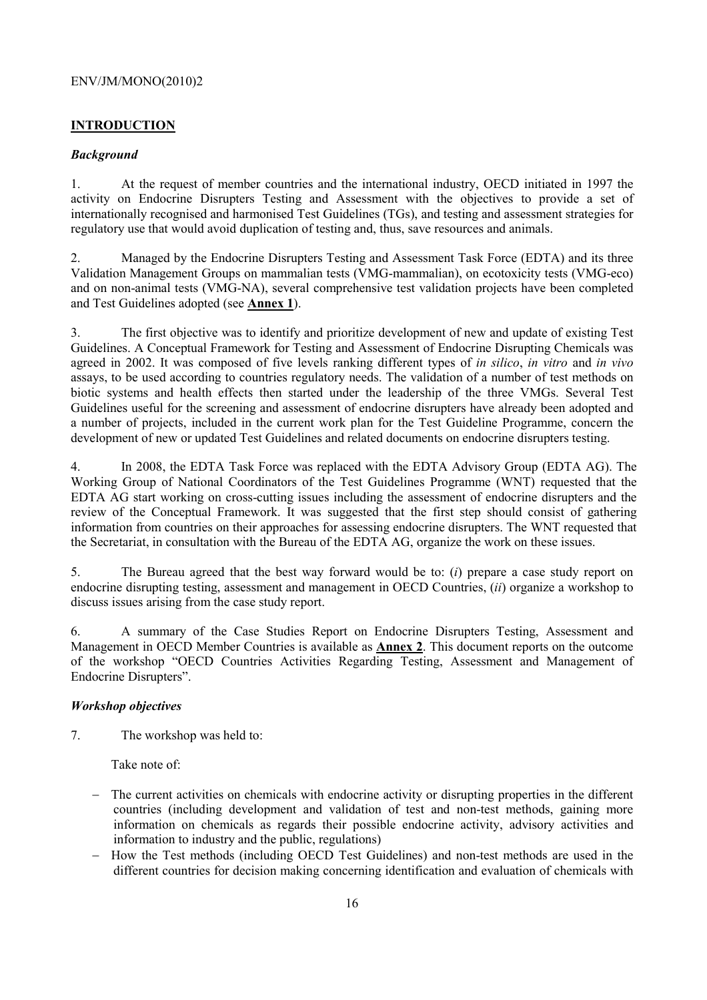# **INTRODUCTION**

# *Background*

1. At the request of member countries and the international industry, OECD initiated in 1997 the activity on Endocrine Disrupters Testing and Assessment with the objectives to provide a set of internationally recognised and harmonised Test Guidelines (TGs), and testing and assessment strategies for regulatory use that would avoid duplication of testing and, thus, save resources and animals.

2. Managed by the Endocrine Disrupters Testing and Assessment Task Force (EDTA) and its three Validation Management Groups on mammalian tests (VMG-mammalian), on ecotoxicity tests (VMG-eco) and on non-animal tests (VMG-NA), several comprehensive test validation projects have been completed and Test Guidelines adopted (see **Annex 1**).

3. The first objective was to identify and prioritize development of new and update of existing Test Guidelines. A Conceptual Framework for Testing and Assessment of Endocrine Disrupting Chemicals was agreed in 2002. It was composed of five levels ranking different types of *in silico*, *in vitro* and *in vivo* assays, to be used according to countries regulatory needs. The validation of a number of test methods on biotic systems and health effects then started under the leadership of the three VMGs. Several Test Guidelines useful for the screening and assessment of endocrine disrupters have already been adopted and a number of projects, included in the current work plan for the Test Guideline Programme, concern the development of new or updated Test Guidelines and related documents on endocrine disrupters testing.

4. In 2008, the EDTA Task Force was replaced with the EDTA Advisory Group (EDTA AG). The Working Group of National Coordinators of the Test Guidelines Programme (WNT) requested that the EDTA AG start working on cross-cutting issues including the assessment of endocrine disrupters and the review of the Conceptual Framework. It was suggested that the first step should consist of gathering information from countries on their approaches for assessing endocrine disrupters. The WNT requested that the Secretariat, in consultation with the Bureau of the EDTA AG, organize the work on these issues.

5. The Bureau agreed that the best way forward would be to: (*i*) prepare a case study report on endocrine disrupting testing, assessment and management in OECD Countries, (*ii*) organize a workshop to discuss issues arising from the case study report.

6. A summary of the Case Studies Report on Endocrine Disrupters Testing, Assessment and Management in OECD Member Countries is available as **Annex 2**. This document reports on the outcome of the workshop "OECD Countries Activities Regarding Testing, Assessment and Management of Endocrine Disrupters".

# *Workshop objectives*

7. The workshop was held to:

Take note of:

- − The current activities on chemicals with endocrine activity or disrupting properties in the different countries (including development and validation of test and non-test methods, gaining more information on chemicals as regards their possible endocrine activity, advisory activities and information to industry and the public, regulations)
- − How the Test methods (including OECD Test Guidelines) and non-test methods are used in the different countries for decision making concerning identification and evaluation of chemicals with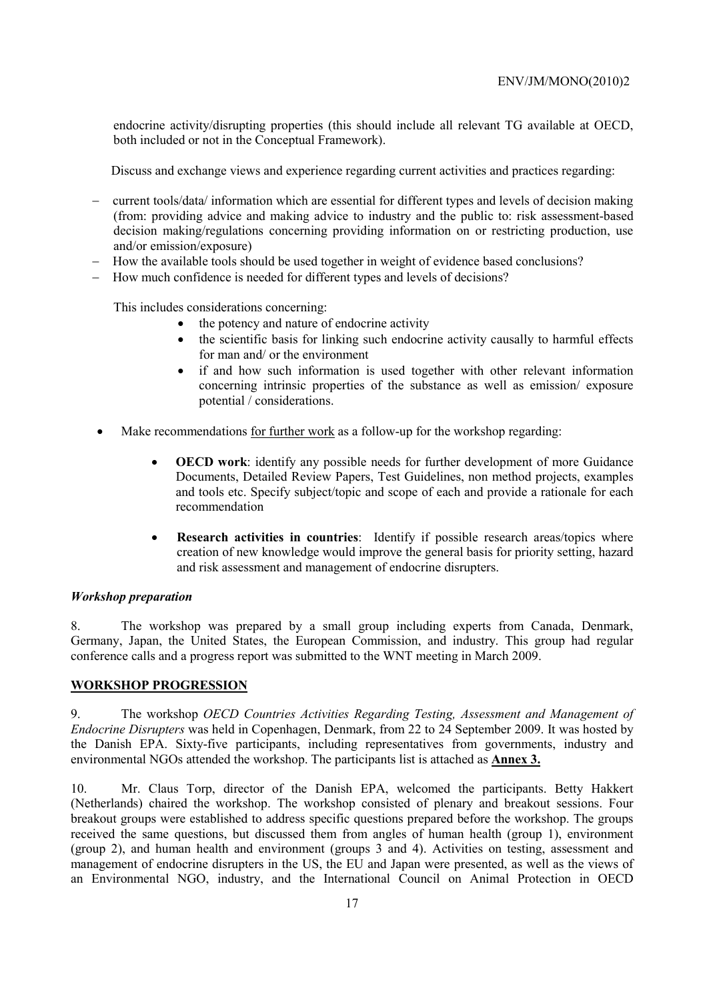endocrine activity/disrupting properties (this should include all relevant TG available at OECD, both included or not in the Conceptual Framework).

Discuss and exchange views and experience regarding current activities and practices regarding:

- − current tools/data/ information which are essential for different types and levels of decision making (from: providing advice and making advice to industry and the public to: risk assessment-based decision making/regulations concerning providing information on or restricting production, use and/or emission/exposure)
- − How the available tools should be used together in weight of evidence based conclusions?
- How much confidence is needed for different types and levels of decisions?

This includes considerations concerning:

- the potency and nature of endocrine activity
- the scientific basis for linking such endocrine activity causally to harmful effects for man and/ or the environment
- if and how such information is used together with other relevant information concerning intrinsic properties of the substance as well as emission/ exposure potential / considerations.
- Make recommendations for further work as a follow-up for the workshop regarding:
	- **OECD work**: identify any possible needs for further development of more Guidance Documents, Detailed Review Papers, Test Guidelines, non method projects, examples and tools etc. Specify subject/topic and scope of each and provide a rationale for each recommendation
	- **Research activities in countries**: Identify if possible research areas/topics where creation of new knowledge would improve the general basis for priority setting, hazard and risk assessment and management of endocrine disrupters.

### *Workshop preparation*

8. The workshop was prepared by a small group including experts from Canada, Denmark, Germany, Japan, the United States, the European Commission, and industry. This group had regular conference calls and a progress report was submitted to the WNT meeting in March 2009.

# **WORKSHOP PROGRESSION**

9. The workshop *OECD Countries Activities Regarding Testing, Assessment and Management of Endocrine Disrupters* was held in Copenhagen, Denmark, from 22 to 24 September 2009. It was hosted by the Danish EPA. Sixty-five participants, including representatives from governments, industry and environmental NGOs attended the workshop. The participants list is attached as **Annex 3.** 

10. Mr. Claus Torp, director of the Danish EPA, welcomed the participants. Betty Hakkert (Netherlands) chaired the workshop. The workshop consisted of plenary and breakout sessions. Four breakout groups were established to address specific questions prepared before the workshop. The groups received the same questions, but discussed them from angles of human health (group 1), environment (group 2), and human health and environment (groups 3 and 4). Activities on testing, assessment and management of endocrine disrupters in the US, the EU and Japan were presented, as well as the views of an Environmental NGO, industry, and the International Council on Animal Protection in OECD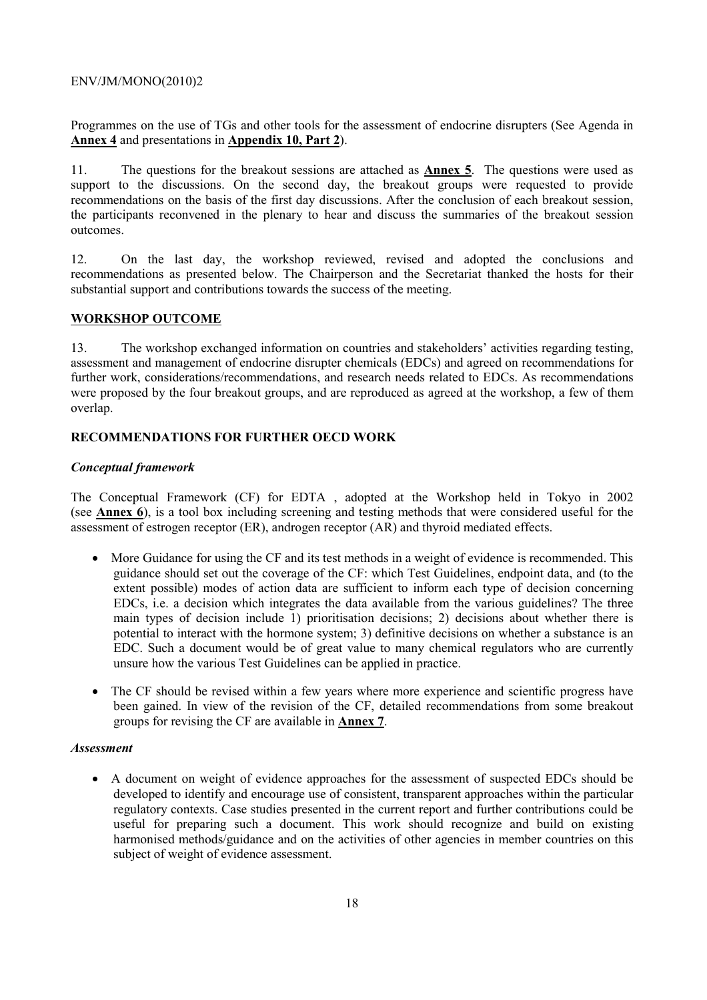Programmes on the use of TGs and other tools for the assessment of endocrine disrupters (See Agenda in **Annex 4** and presentations in **Appendix 10, Part 2**).

11. The questions for the breakout sessions are attached as **Annex 5**. The questions were used as support to the discussions. On the second day, the breakout groups were requested to provide recommendations on the basis of the first day discussions. After the conclusion of each breakout session, the participants reconvened in the plenary to hear and discuss the summaries of the breakout session outcomes.

12. On the last day, the workshop reviewed, revised and adopted the conclusions and recommendations as presented below. The Chairperson and the Secretariat thanked the hosts for their substantial support and contributions towards the success of the meeting.

# **WORKSHOP OUTCOME**

13. The workshop exchanged information on countries and stakeholders' activities regarding testing, assessment and management of endocrine disrupter chemicals (EDCs) and agreed on recommendations for further work, considerations/recommendations, and research needs related to EDCs. As recommendations were proposed by the four breakout groups, and are reproduced as agreed at the workshop, a few of them overlap.

# **RECOMMENDATIONS FOR FURTHER OECD WORK**

# *Conceptual framework*

The Conceptual Framework (CF) for EDTA , adopted at the Workshop held in Tokyo in 2002 (see **Annex 6**), is a tool box including screening and testing methods that were considered useful for the assessment of estrogen receptor (ER), androgen receptor (AR) and thyroid mediated effects.

- More Guidance for using the CF and its test methods in a weight of evidence is recommended. This guidance should set out the coverage of the CF: which Test Guidelines, endpoint data, and (to the extent possible) modes of action data are sufficient to inform each type of decision concerning EDCs, i.e. a decision which integrates the data available from the various guidelines? The three main types of decision include 1) prioritisation decisions; 2) decisions about whether there is potential to interact with the hormone system; 3) definitive decisions on whether a substance is an EDC. Such a document would be of great value to many chemical regulators who are currently unsure how the various Test Guidelines can be applied in practice.
- The CF should be revised within a few years where more experience and scientific progress have been gained. In view of the revision of the CF, detailed recommendations from some breakout groups for revising the CF are available in **Annex 7**.

# *Assessment*

• A document on weight of evidence approaches for the assessment of suspected EDCs should be developed to identify and encourage use of consistent, transparent approaches within the particular regulatory contexts. Case studies presented in the current report and further contributions could be useful for preparing such a document. This work should recognize and build on existing harmonised methods/guidance and on the activities of other agencies in member countries on this subject of weight of evidence assessment.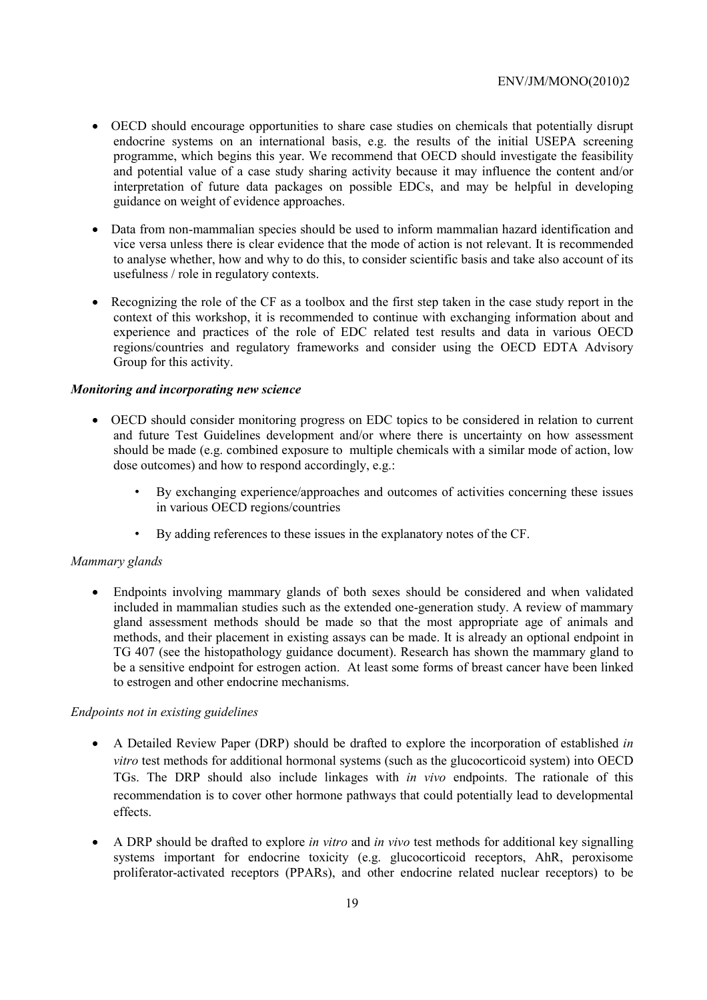- OECD should encourage opportunities to share case studies on chemicals that potentially disrupt endocrine systems on an international basis, e.g. the results of the initial USEPA screening programme, which begins this year. We recommend that OECD should investigate the feasibility and potential value of a case study sharing activity because it may influence the content and/or interpretation of future data packages on possible EDCs, and may be helpful in developing guidance on weight of evidence approaches.
- Data from non-mammalian species should be used to inform mammalian hazard identification and vice versa unless there is clear evidence that the mode of action is not relevant. It is recommended to analyse whether, how and why to do this, to consider scientific basis and take also account of its usefulness / role in regulatory contexts.
- Recognizing the role of the CF as a toolbox and the first step taken in the case study report in the context of this workshop, it is recommended to continue with exchanging information about and experience and practices of the role of EDC related test results and data in various OECD regions/countries and regulatory frameworks and consider using the OECD EDTA Advisory Group for this activity.

# *Monitoring and incorporating new science*

- OECD should consider monitoring progress on EDC topics to be considered in relation to current and future Test Guidelines development and/or where there is uncertainty on how assessment should be made (e.g. combined exposure to multiple chemicals with a similar mode of action, low dose outcomes) and how to respond accordingly, e.g.:
	- By exchanging experience/approaches and outcomes of activities concerning these issues in various OECD regions/countries
	- By adding references to these issues in the explanatory notes of the CF.

### *Mammary glands*

• Endpoints involving mammary glands of both sexes should be considered and when validated included in mammalian studies such as the extended one-generation study. A review of mammary gland assessment methods should be made so that the most appropriate age of animals and methods, and their placement in existing assays can be made. It is already an optional endpoint in TG 407 (see the histopathology guidance document). Research has shown the mammary gland to be a sensitive endpoint for estrogen action. At least some forms of breast cancer have been linked to estrogen and other endocrine mechanisms.

### *Endpoints not in existing guidelines*

- A Detailed Review Paper (DRP) should be drafted to explore the incorporation of established *in vitro* test methods for additional hormonal systems (such as the glucocorticoid system) into OECD TGs. The DRP should also include linkages with *in vivo* endpoints. The rationale of this recommendation is to cover other hormone pathways that could potentially lead to developmental effects.
- A DRP should be drafted to explore *in vitro* and *in vivo* test methods for additional key signalling systems important for endocrine toxicity (e.g. glucocorticoid receptors, AhR, peroxisome proliferator-activated receptors (PPARs), and other endocrine related nuclear receptors) to be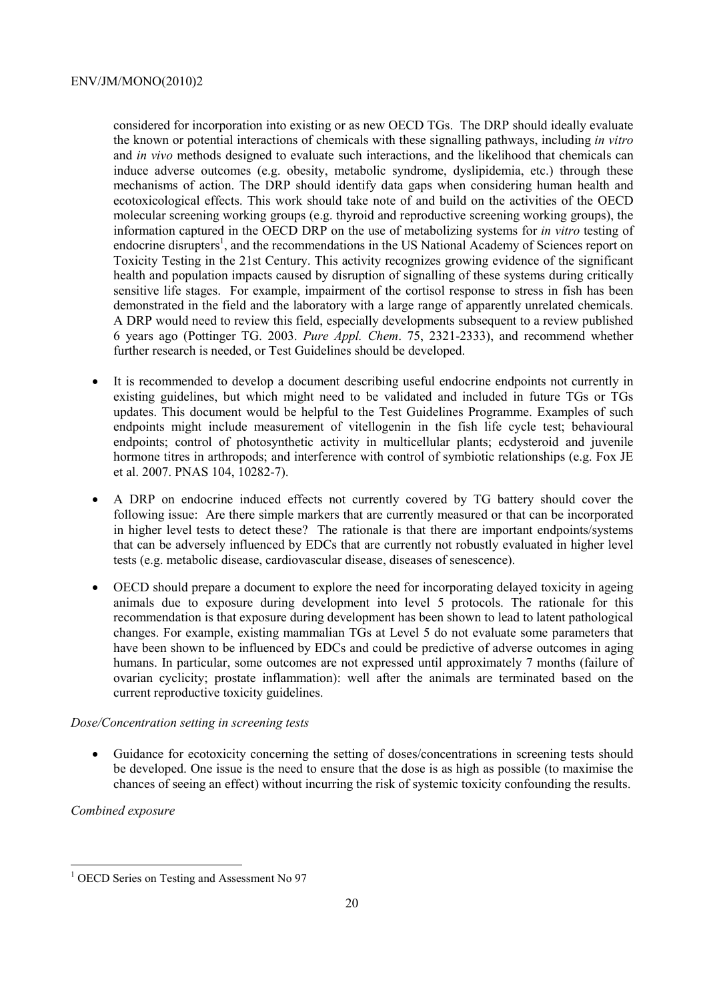considered for incorporation into existing or as new OECD TGs. The DRP should ideally evaluate the known or potential interactions of chemicals with these signalling pathways, including *in vitro* and *in vivo* methods designed to evaluate such interactions, and the likelihood that chemicals can induce adverse outcomes (e.g. obesity, metabolic syndrome, dyslipidemia, etc.) through these mechanisms of action. The DRP should identify data gaps when considering human health and ecotoxicological effects. This work should take note of and build on the activities of the OECD molecular screening working groups (e.g. thyroid and reproductive screening working groups), the information captured in the OECD DRP on the use of metabolizing systems for *in vitro* testing of endocrine disrupters<sup>1</sup>, and the recommendations in the US National Academy of Sciences report on Toxicity Testing in the 21st Century. This activity recognizes growing evidence of the significant health and population impacts caused by disruption of signalling of these systems during critically sensitive life stages. For example, impairment of the cortisol response to stress in fish has been demonstrated in the field and the laboratory with a large range of apparently unrelated chemicals. A DRP would need to review this field, especially developments subsequent to a review published 6 years ago (Pottinger TG. 2003. *Pure Appl. Chem*. 75, 2321-2333), and recommend whether further research is needed, or Test Guidelines should be developed.

- It is recommended to develop a document describing useful endocrine endpoints not currently in existing guidelines, but which might need to be validated and included in future TGs or TGs updates. This document would be helpful to the Test Guidelines Programme. Examples of such endpoints might include measurement of vitellogenin in the fish life cycle test; behavioural endpoints; control of photosynthetic activity in multicellular plants; ecdysteroid and juvenile hormone titres in arthropods; and interference with control of symbiotic relationships (e.g. Fox JE et al. 2007. PNAS 104, 10282-7).
- A DRP on endocrine induced effects not currently covered by TG battery should cover the following issue: Are there simple markers that are currently measured or that can be incorporated in higher level tests to detect these? The rationale is that there are important endpoints/systems that can be adversely influenced by EDCs that are currently not robustly evaluated in higher level tests (e.g. metabolic disease, cardiovascular disease, diseases of senescence).
- OECD should prepare a document to explore the need for incorporating delayed toxicity in ageing animals due to exposure during development into level 5 protocols. The rationale for this recommendation is that exposure during development has been shown to lead to latent pathological changes. For example, existing mammalian TGs at Level 5 do not evaluate some parameters that have been shown to be influenced by EDCs and could be predictive of adverse outcomes in aging humans. In particular, some outcomes are not expressed until approximately 7 months (failure of ovarian cyclicity; prostate inflammation): well after the animals are terminated based on the current reproductive toxicity guidelines.

# *Dose/Concentration setting in screening tests*

• Guidance for ecotoxicity concerning the setting of doses/concentrations in screening tests should be developed. One issue is the need to ensure that the dose is as high as possible (to maximise the chances of seeing an effect) without incurring the risk of systemic toxicity confounding the results.

*Combined exposure* 

 $\overline{a}$ 

<sup>&</sup>lt;sup>1</sup> OECD Series on Testing and Assessment No 97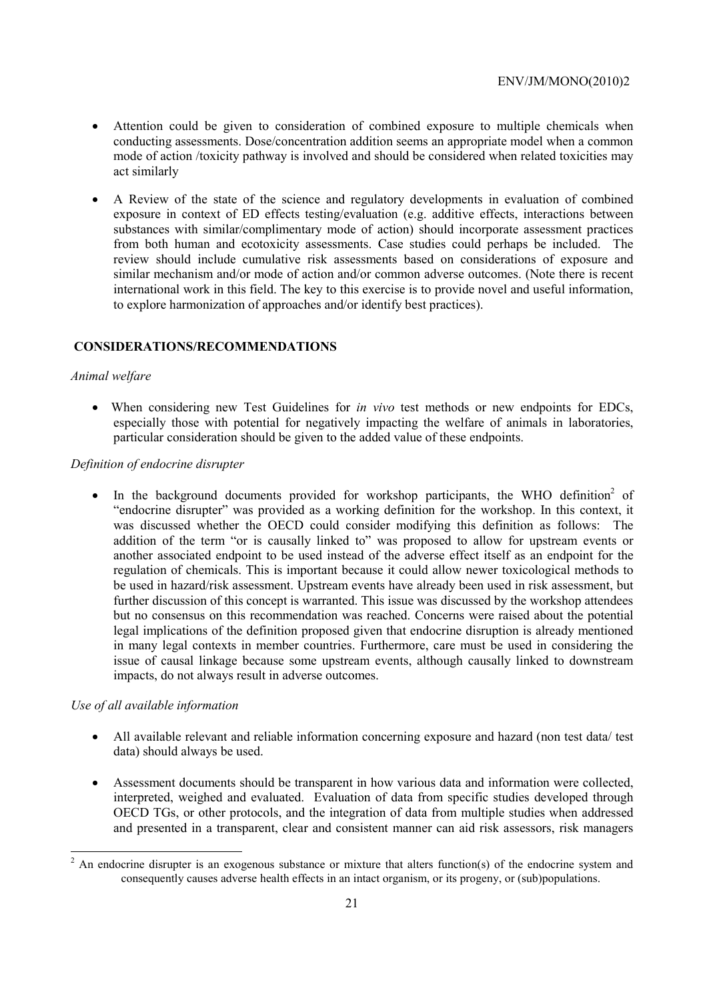- Attention could be given to consideration of combined exposure to multiple chemicals when conducting assessments. Dose/concentration addition seems an appropriate model when a common mode of action /toxicity pathway is involved and should be considered when related toxicities may act similarly
- A Review of the state of the science and regulatory developments in evaluation of combined exposure in context of ED effects testing/evaluation (e.g. additive effects, interactions between substances with similar/complimentary mode of action) should incorporate assessment practices from both human and ecotoxicity assessments. Case studies could perhaps be included. The review should include cumulative risk assessments based on considerations of exposure and similar mechanism and/or mode of action and/or common adverse outcomes. (Note there is recent international work in this field. The key to this exercise is to provide novel and useful information, to explore harmonization of approaches and/or identify best practices).

# **CONSIDERATIONS/RECOMMENDATIONS**

### *Animal welfare*

• When considering new Test Guidelines for *in vivo* test methods or new endpoints for EDCs, especially those with potential for negatively impacting the welfare of animals in laboratories, particular consideration should be given to the added value of these endpoints.

# *Definition of endocrine disrupter*

• In the background documents provided for workshop participants, the WHO definition<sup>2</sup> of "endocrine disrupter" was provided as a working definition for the workshop. In this context, it was discussed whether the OECD could consider modifying this definition as follows: The addition of the term "or is causally linked to" was proposed to allow for upstream events or another associated endpoint to be used instead of the adverse effect itself as an endpoint for the regulation of chemicals. This is important because it could allow newer toxicological methods to be used in hazard/risk assessment. Upstream events have already been used in risk assessment, but further discussion of this concept is warranted. This issue was discussed by the workshop attendees but no consensus on this recommendation was reached. Concerns were raised about the potential legal implications of the definition proposed given that endocrine disruption is already mentioned in many legal contexts in member countries. Furthermore, care must be used in considering the issue of causal linkage because some upstream events, although causally linked to downstream impacts, do not always result in adverse outcomes.

### *Use of all available information*

- All available relevant and reliable information concerning exposure and hazard (non test data) test data) should always be used.
- Assessment documents should be transparent in how various data and information were collected, interpreted, weighed and evaluated. Evaluation of data from specific studies developed through OECD TGs, or other protocols, and the integration of data from multiple studies when addressed and presented in a transparent, clear and consistent manner can aid risk assessors, risk managers

<sup>&</sup>lt;sup>2</sup> An endocrine disrupter is an exogenous substance or mixture that alters function(s) of the endocrine system and consequently causes adverse health effects in an intact organism, or its progeny, or (sub)populations.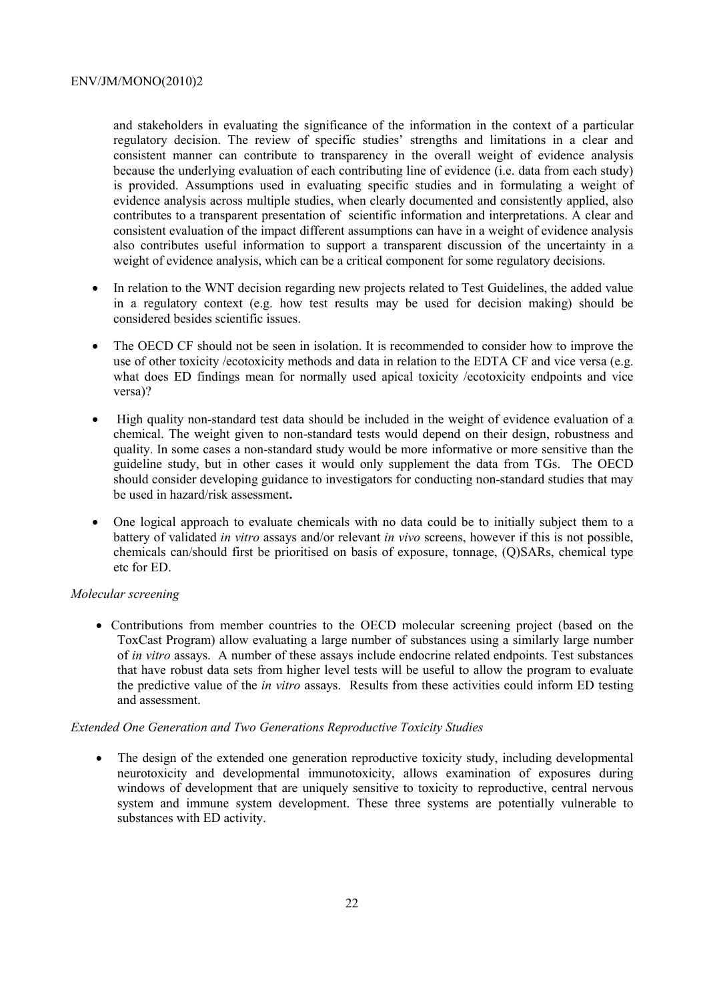and stakeholders in evaluating the significance of the information in the context of a particular regulatory decision. The review of specific studies' strengths and limitations in a clear and consistent manner can contribute to transparency in the overall weight of evidence analysis because the underlying evaluation of each contributing line of evidence (i.e. data from each study) is provided. Assumptions used in evaluating specific studies and in formulating a weight of evidence analysis across multiple studies, when clearly documented and consistently applied, also contributes to a transparent presentation of scientific information and interpretations. A clear and consistent evaluation of the impact different assumptions can have in a weight of evidence analysis also contributes useful information to support a transparent discussion of the uncertainty in a weight of evidence analysis, which can be a critical component for some regulatory decisions.

- In relation to the WNT decision regarding new projects related to Test Guidelines, the added value in a regulatory context (e.g. how test results may be used for decision making) should be considered besides scientific issues.
- The OECD CF should not be seen in isolation. It is recommended to consider how to improve the use of other toxicity /ecotoxicity methods and data in relation to the EDTA CF and vice versa (e.g. what does ED findings mean for normally used apical toxicity /ecotoxicity endpoints and vice versa)?
- High quality non-standard test data should be included in the weight of evidence evaluation of a chemical. The weight given to non-standard tests would depend on their design, robustness and quality. In some cases a non-standard study would be more informative or more sensitive than the guideline study, but in other cases it would only supplement the data from TGs. The OECD should consider developing guidance to investigators for conducting non-standard studies that may be used in hazard/risk assessment**.**
- One logical approach to evaluate chemicals with no data could be to initially subject them to a battery of validated *in vitro* assays and/or relevant *in vivo* screens, however if this is not possible, chemicals can/should first be prioritised on basis of exposure, tonnage, (Q)SARs, chemical type etc for ED.

# *Molecular screening*

• Contributions from member countries to the OECD molecular screening project (based on the ToxCast Program) allow evaluating a large number of substances using a similarly large number of *in vitro* assays. A number of these assays include endocrine related endpoints. Test substances that have robust data sets from higher level tests will be useful to allow the program to evaluate the predictive value of the *in vitro* assays. Results from these activities could inform ED testing and assessment.

# *Extended One Generation and Two Generations Reproductive Toxicity Studies*

• The design of the extended one generation reproductive toxicity study, including developmental neurotoxicity and developmental immunotoxicity, allows examination of exposures during windows of development that are uniquely sensitive to toxicity to reproductive, central nervous system and immune system development. These three systems are potentially vulnerable to substances with ED activity.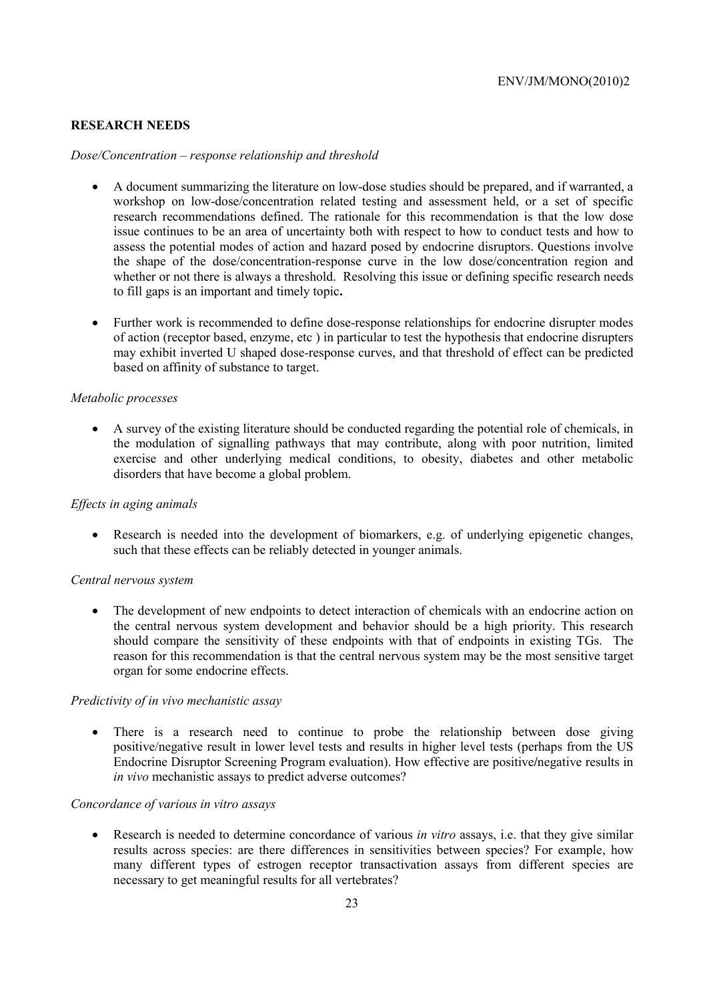# **RESEARCH NEEDS**

### *Dose/Concentration – response relationship and threshold*

- A document summarizing the literature on low-dose studies should be prepared, and if warranted, a workshop on low-dose/concentration related testing and assessment held, or a set of specific research recommendations defined. The rationale for this recommendation is that the low dose issue continues to be an area of uncertainty both with respect to how to conduct tests and how to assess the potential modes of action and hazard posed by endocrine disruptors. Questions involve the shape of the dose/concentration-response curve in the low dose/concentration region and whether or not there is always a threshold. Resolving this issue or defining specific research needs to fill gaps is an important and timely topic**.**
- Further work is recommended to define dose-response relationships for endocrine disrupter modes of action (receptor based, enzyme, etc ) in particular to test the hypothesis that endocrine disrupters may exhibit inverted U shaped dose-response curves, and that threshold of effect can be predicted based on affinity of substance to target.

# *Metabolic processes*

• A survey of the existing literature should be conducted regarding the potential role of chemicals, in the modulation of signalling pathways that may contribute, along with poor nutrition, limited exercise and other underlying medical conditions, to obesity, diabetes and other metabolic disorders that have become a global problem.

### *Effects in aging animals*

• Research is needed into the development of biomarkers, e.g. of underlying epigenetic changes, such that these effects can be reliably detected in younger animals.

### *Central nervous system*

• The development of new endpoints to detect interaction of chemicals with an endocrine action on the central nervous system development and behavior should be a high priority. This research should compare the sensitivity of these endpoints with that of endpoints in existing TGs. The reason for this recommendation is that the central nervous system may be the most sensitive target organ for some endocrine effects.

### *Predictivity of in vivo mechanistic assay*

• There is a research need to continue to probe the relationship between dose giving positive/negative result in lower level tests and results in higher level tests (perhaps from the US Endocrine Disruptor Screening Program evaluation). How effective are positive**/**negative results in *in vivo* mechanistic assays to predict adverse outcomes?

### *Concordance of various in vitro assays*

• Research is needed to determine concordance of various *in vitro* assays, i.e. that they give similar results across species: are there differences in sensitivities between species? For example, how many different types of estrogen receptor transactivation assays from different species are necessary to get meaningful results for all vertebrates?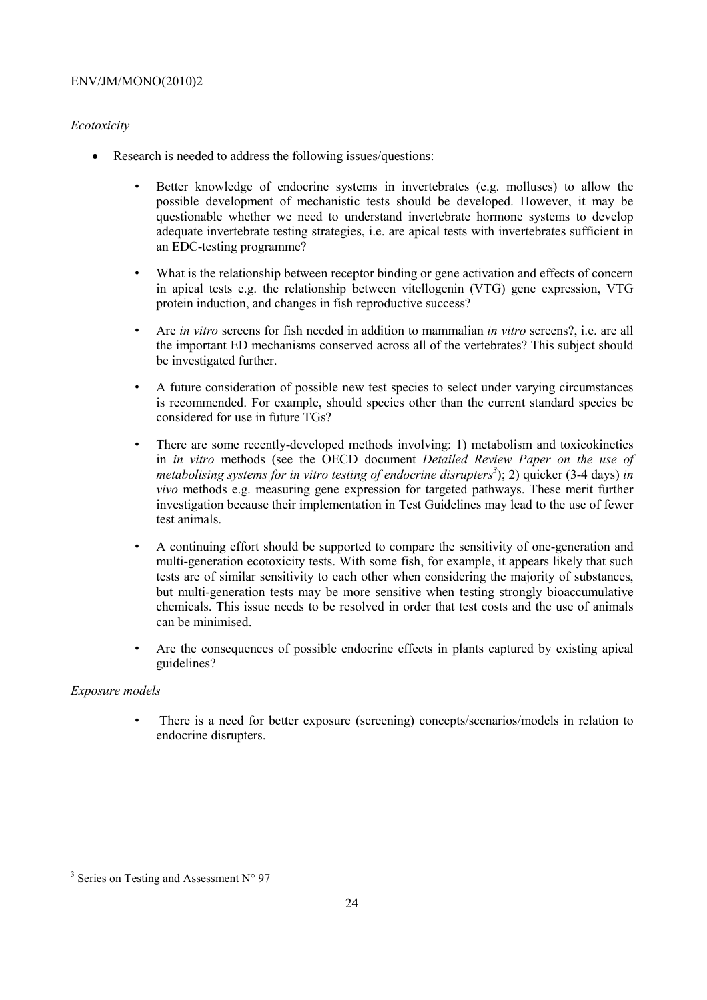# *Ecotoxicity*

- Research is needed to address the following issues/questions:
	- Better knowledge of endocrine systems in invertebrates (e.g. molluscs) to allow the possible development of mechanistic tests should be developed. However, it may be questionable whether we need to understand invertebrate hormone systems to develop adequate invertebrate testing strategies, i.e. are apical tests with invertebrates sufficient in an EDC-testing programme?
	- What is the relationship between receptor binding or gene activation and effects of concern in apical tests e.g. the relationship between vitellogenin (VTG) gene expression, VTG protein induction, and changes in fish reproductive success?
	- Are *in vitro* screens for fish needed in addition to mammalian *in vitro* screens?, i.e. are all the important ED mechanisms conserved across all of the vertebrates? This subject should be investigated further.
	- A future consideration of possible new test species to select under varying circumstances is recommended. For example, should species other than the current standard species be considered for use in future TGs?
	- There are some recently-developed methods involving: 1) metabolism and toxicokinetics in *in vitro* methods (see the OECD document *Detailed Review Paper on the use of metabolising systems for in vitro testing of endocrine disrupters*<sup>3</sup>); 2) quicker (3-4 days) *in vivo* methods e.g. measuring gene expression for targeted pathways. These merit further investigation because their implementation in Test Guidelines may lead to the use of fewer test animals.
	- A continuing effort should be supported to compare the sensitivity of one-generation and multi-generation ecotoxicity tests. With some fish, for example, it appears likely that such tests are of similar sensitivity to each other when considering the majority of substances, but multi-generation tests may be more sensitive when testing strongly bioaccumulative chemicals. This issue needs to be resolved in order that test costs and the use of animals can be minimised.
	- Are the consequences of possible endocrine effects in plants captured by existing apical guidelines?

# *Exposure models*

 $\overline{a}$ 

• There is a need for better exposure (screening) concepts/scenarios/models in relation to endocrine disrupters.

<sup>&</sup>lt;sup>3</sup> Series on Testing and Assessment N° 97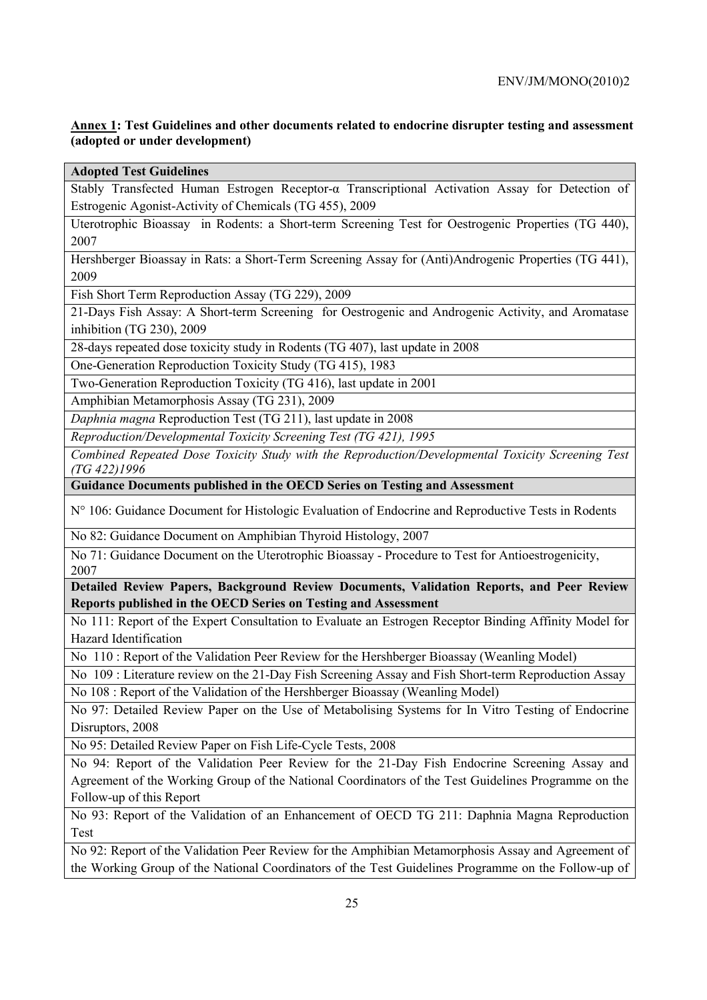# **Annex 1: Test Guidelines and other documents related to endocrine disrupter testing and assessment (adopted or under development)**

| <b>Adopted Test Guidelines</b>                                                                         |  |
|--------------------------------------------------------------------------------------------------------|--|
| Stably Transfected Human Estrogen Receptor- $\alpha$ Transcriptional Activation Assay for Detection of |  |
| Estrogenic Agonist-Activity of Chemicals (TG 455), 2009                                                |  |
| Uterotrophic Bioassay in Rodents: a Short-term Screening Test for Oestrogenic Properties (TG 440),     |  |
| 2007                                                                                                   |  |
| Hershberger Bioassay in Rats: a Short-Term Screening Assay for (Anti)Androgenic Properties (TG 441),   |  |
| 2009                                                                                                   |  |
| Fish Short Term Reproduction Assay (TG 229), 2009                                                      |  |
| 21-Days Fish Assay: A Short-term Screening for Oestrogenic and Androgenic Activity, and Aromatase      |  |
| inhibition (TG 230), 2009                                                                              |  |
| 28-days repeated dose toxicity study in Rodents (TG 407), last update in 2008                          |  |
| One-Generation Reproduction Toxicity Study (TG 415), 1983                                              |  |
| Two-Generation Reproduction Toxicity (TG 416), last update in 2001                                     |  |
| Amphibian Metamorphosis Assay (TG 231), 2009                                                           |  |
| <i>Daphnia magna</i> Reproduction Test (TG 211), last update in 2008                                   |  |
| Reproduction/Developmental Toxicity Screening Test (TG 421), 1995                                      |  |
| Combined Repeated Dose Toxicity Study with the Reproduction/Developmental Toxicity Screening Test      |  |
| (TG 422)1996                                                                                           |  |
| Guidance Documents published in the OECD Series on Testing and Assessment                              |  |
| N° 106: Guidance Document for Histologic Evaluation of Endocrine and Reproductive Tests in Rodents     |  |
| No 82: Guidance Document on Amphibian Thyroid Histology, 2007                                          |  |

No 71: Guidance Document on the Uterotrophic Bioassay - Procedure to Test for Antioestrogenicity, 2007

**Detailed Review Papers, Background Review Documents, Validation Reports, and Peer Review Reports published in the OECD Series on Testing and Assessment** 

No 111: Report of the Expert Consultation to Evaluate an Estrogen Receptor Binding Affinity Model for Hazard Identification

No 110 : Report of the Validation Peer Review for the Hershberger Bioassay (Weanling Model)

No 109 : Literature review on the 21-Day Fish Screening Assay and Fish Short-term Reproduction Assay

No 108 : Report of the Validation of the Hershberger Bioassay (Weanling Model)

No 97: Detailed Review Paper on the Use of Metabolising Systems for In Vitro Testing of Endocrine Disruptors, 2008

No 95: Detailed Review Paper on Fish Life-Cycle Tests, 2008

No 94: Report of the Validation Peer Review for the 21-Day Fish Endocrine Screening Assay and Agreement of the Working Group of the National Coordinators of the Test Guidelines Programme on the Follow-up of this Report

No 93: Report of the Validation of an Enhancement of OECD TG 211: Daphnia Magna Reproduction Test

No 92: Report of the Validation Peer Review for the Amphibian Metamorphosis Assay and Agreement of the Working Group of the National Coordinators of the Test Guidelines Programme on the Follow-up of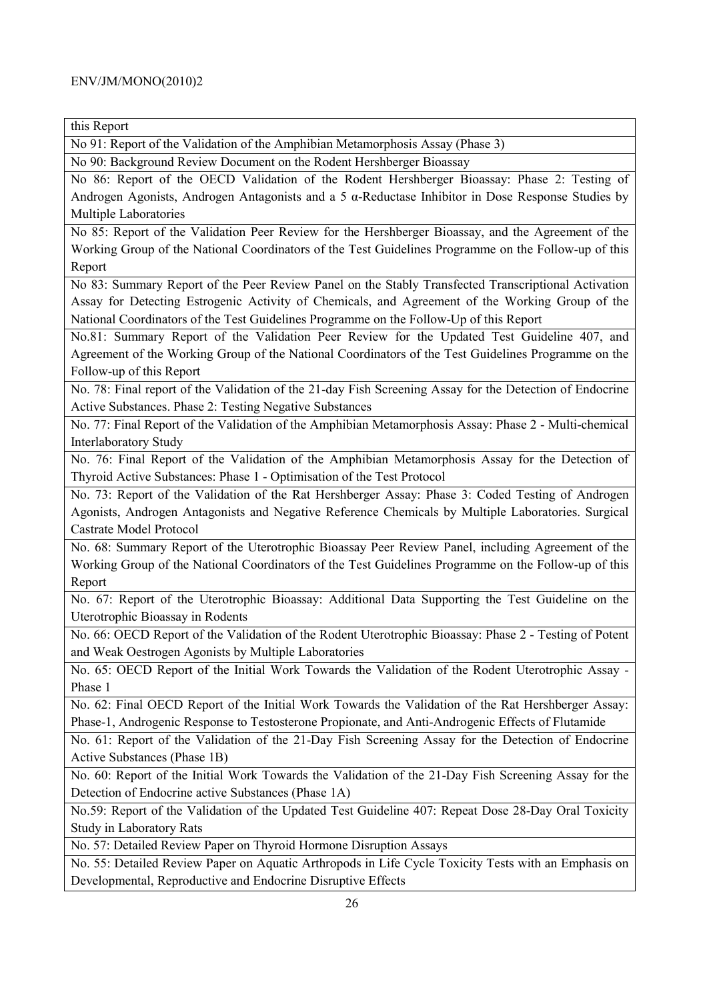26 this Report No 91: Report of the Validation of the Amphibian Metamorphosis Assay (Phase 3) No 90: Background Review Document on the Rodent Hershberger Bioassay No 86: Report of the OECD Validation of the Rodent Hershberger Bioassay: Phase 2: Testing of Androgen Agonists, Androgen Antagonists and a 5 α-Reductase Inhibitor in Dose Response Studies by Multiple Laboratories No 85: Report of the Validation Peer Review for the Hershberger Bioassay, and the Agreement of the Working Group of the National Coordinators of the Test Guidelines Programme on the Follow-up of this Report No 83: Summary Report of the Peer Review Panel on the Stably Transfected Transcriptional Activation Assay for Detecting Estrogenic Activity of Chemicals, and Agreement of the Working Group of the National Coordinators of the Test Guidelines Programme on the Follow-Up of this Report No.81: Summary Report of the Validation Peer Review for the Updated Test Guideline 407, and Agreement of the Working Group of the National Coordinators of the Test Guidelines Programme on the Follow-up of this Report No. 78: Final report of the Validation of the 21-day Fish Screening Assay for the Detection of Endocrine Active Substances. Phase 2: Testing Negative Substances No. 77: Final Report of the Validation of the Amphibian Metamorphosis Assay: Phase 2 - Multi-chemical Interlaboratory Study No. 76: Final Report of the Validation of the Amphibian Metamorphosis Assay for the Detection of Thyroid Active Substances: Phase 1 - Optimisation of the Test Protocol No. 73: Report of the Validation of the Rat Hershberger Assay: Phase 3: Coded Testing of Androgen Agonists, Androgen Antagonists and Negative Reference Chemicals by Multiple Laboratories. Surgical Castrate Model Protocol No. 68: Summary Report of the Uterotrophic Bioassay Peer Review Panel, including Agreement of the Working Group of the National Coordinators of the Test Guidelines Programme on the Follow-up of this Report No. 67: Report of the Uterotrophic Bioassay: Additional Data Supporting the Test Guideline on the Uterotrophic Bioassay in Rodents No. 66: OECD Report of the Validation of the Rodent Uterotrophic Bioassay: Phase 2 - Testing of Potent and Weak Oestrogen Agonists by Multiple Laboratories No. 65: OECD Report of the Initial Work Towards the Validation of the Rodent Uterotrophic Assay - Phase 1 No. 62: Final OECD Report of the Initial Work Towards the Validation of the Rat Hershberger Assay: Phase-1, Androgenic Response to Testosterone Propionate, and Anti-Androgenic Effects of Flutamide No. 61: Report of the Validation of the 21-Day Fish Screening Assay for the Detection of Endocrine Active Substances (Phase 1B) No. 60: Report of the Initial Work Towards the Validation of the 21-Day Fish Screening Assay for the Detection of Endocrine active Substances (Phase 1A) No.59: Report of the Validation of the Updated Test Guideline 407: Repeat Dose 28-Day Oral Toxicity Study in Laboratory Rats No. 57: Detailed Review Paper on Thyroid Hormone Disruption Assays No. 55: Detailed Review Paper on Aquatic Arthropods in Life Cycle Toxicity Tests with an Emphasis on Developmental, Reproductive and Endocrine Disruptive Effects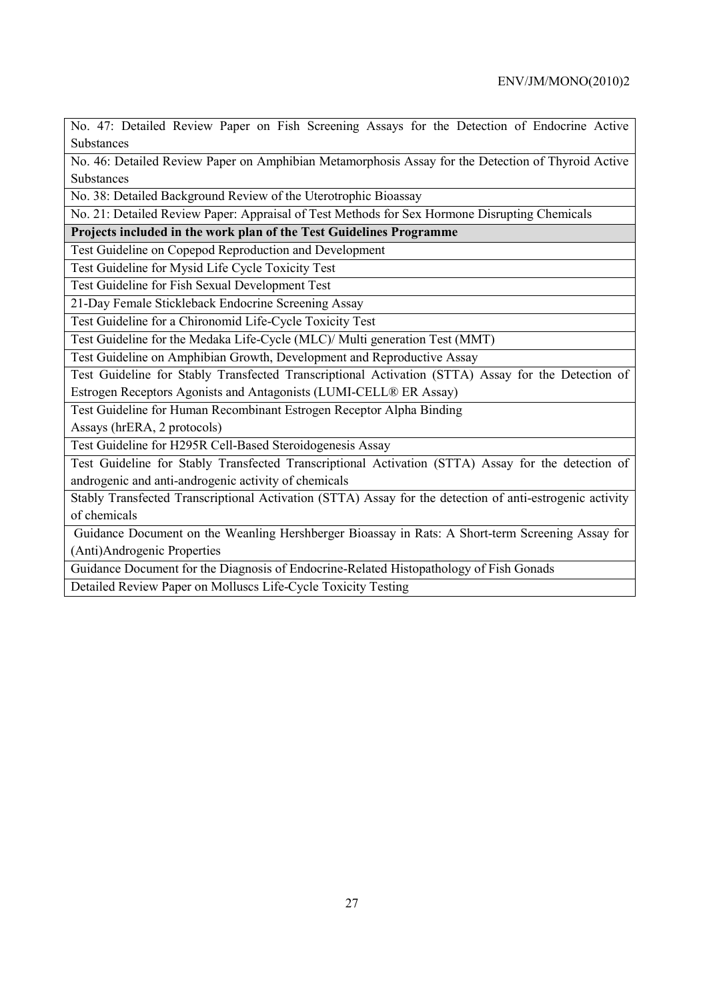No. 47: Detailed Review Paper on Fish Screening Assays for the Detection of Endocrine Active Substances

No. 46: Detailed Review Paper on Amphibian Metamorphosis Assay for the Detection of Thyroid Active Substances

No. 38: Detailed Background Review of the Uterotrophic Bioassay

No. 21: Detailed Review Paper: Appraisal of Test Methods for Sex Hormone Disrupting Chemicals

**Projects included in the work plan of the Test Guidelines Programme** 

Test Guideline on Copepod Reproduction and Development

Test Guideline for Mysid Life Cycle Toxicity Test

Test Guideline for Fish Sexual Development Test

21-Day Female Stickleback Endocrine Screening Assay

Test Guideline for a Chironomid Life-Cycle Toxicity Test

Test Guideline for the Medaka Life-Cycle (MLC)/ Multi generation Test (MMT)

Test Guideline on Amphibian Growth, Development and Reproductive Assay

Test Guideline for Stably Transfected Transcriptional Activation (STTA) Assay for the Detection of Estrogen Receptors Agonists and Antagonists (LUMI-CELL® ER Assay)

Test Guideline for Human Recombinant Estrogen Receptor Alpha Binding

Assays (hrERA, 2 protocols)

Test Guideline for H295R Cell-Based Steroidogenesis Assay

Test Guideline for Stably Transfected Transcriptional Activation (STTA) Assay for the detection of androgenic and anti-androgenic activity of chemicals

Stably Transfected Transcriptional Activation (STTA) Assay for the detection of anti-estrogenic activity of chemicals

 Guidance Document on the Weanling Hershberger Bioassay in Rats: A Short-term Screening Assay for (Anti)Androgenic Properties

Guidance Document for the Diagnosis of Endocrine-Related Histopathology of Fish Gonads

Detailed Review Paper on Molluscs Life-Cycle Toxicity Testing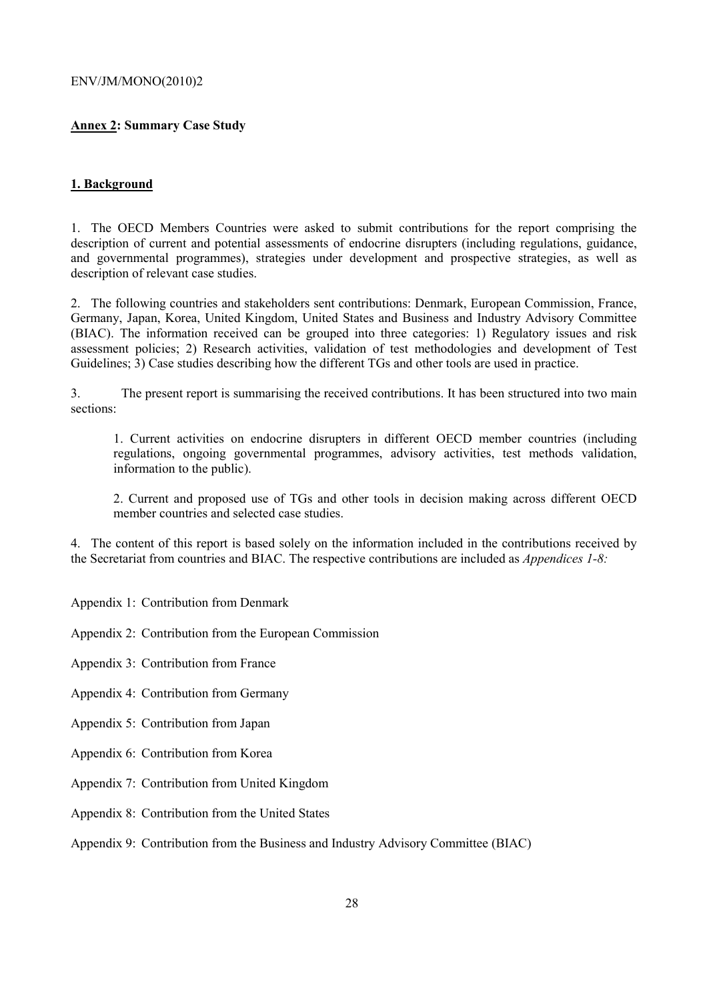# **Annex 2: Summary Case Study**

# **1. Background**

1. The OECD Members Countries were asked to submit contributions for the report comprising the description of current and potential assessments of endocrine disrupters (including regulations, guidance, and governmental programmes), strategies under development and prospective strategies, as well as description of relevant case studies.

2. The following countries and stakeholders sent contributions: Denmark, European Commission, France, Germany, Japan, Korea, United Kingdom, United States and Business and Industry Advisory Committee (BIAC). The information received can be grouped into three categories: 1) Regulatory issues and risk assessment policies; 2) Research activities, validation of test methodologies and development of Test Guidelines; 3) Case studies describing how the different TGs and other tools are used in practice.

3. The present report is summarising the received contributions. It has been structured into two main sections:

1. Current activities on endocrine disrupters in different OECD member countries (including regulations, ongoing governmental programmes, advisory activities, test methods validation, information to the public).

2. Current and proposed use of TGs and other tools in decision making across different OECD member countries and selected case studies.

4. The content of this report is based solely on the information included in the contributions received by the Secretariat from countries and BIAC. The respective contributions are included as *Appendices 1-8:*

Appendix 1: Contribution from Denmark

Appendix 2: Contribution from the European Commission

Appendix 3: Contribution from France

Appendix 4: Contribution from Germany

Appendix 5: Contribution from Japan

- Appendix 6: Contribution from Korea
- Appendix 7: Contribution from United Kingdom
- Appendix 8: Contribution from the United States

Appendix 9: Contribution from the Business and Industry Advisory Committee (BIAC)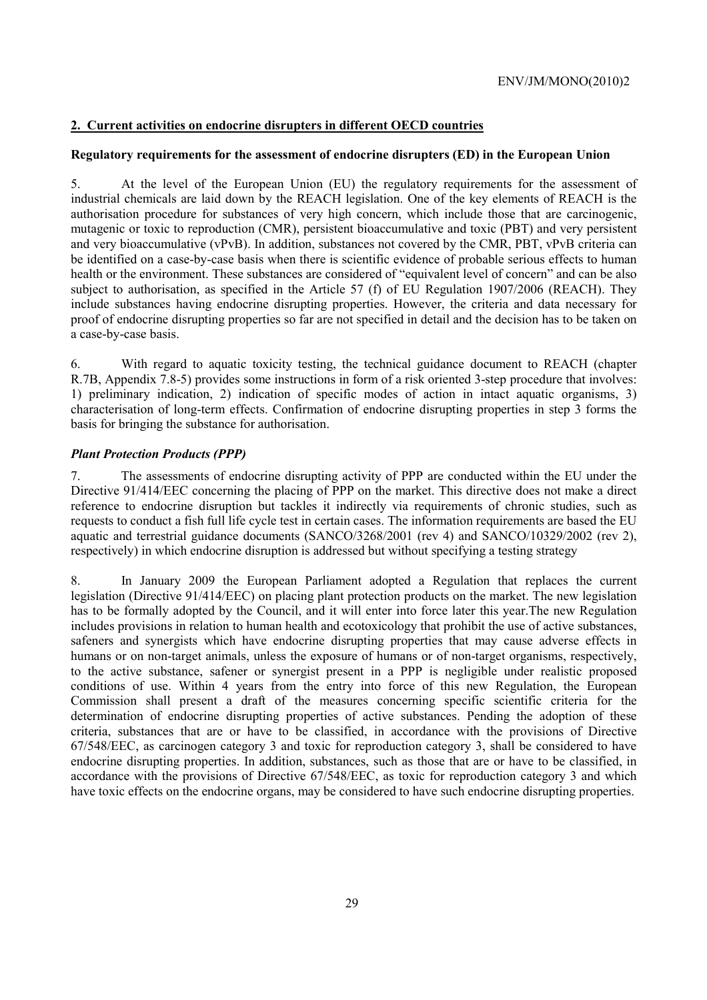# **2. Current activities on endocrine disrupters in different OECD countries**

# **Regulatory requirements for the assessment of endocrine disrupters (ED) in the European Union**

5. At the level of the European Union (EU) the regulatory requirements for the assessment of industrial chemicals are laid down by the REACH legislation. One of the key elements of REACH is the authorisation procedure for substances of very high concern, which include those that are carcinogenic, mutagenic or toxic to reproduction (CMR), persistent bioaccumulative and toxic (PBT) and very persistent and very bioaccumulative (vPvB). In addition, substances not covered by the CMR, PBT, vPvB criteria can be identified on a case-by-case basis when there is scientific evidence of probable serious effects to human health or the environment. These substances are considered of "equivalent level of concern" and can be also subject to authorisation, as specified in the Article 57 (f) of EU Regulation 1907/2006 (REACH). They include substances having endocrine disrupting properties. However, the criteria and data necessary for proof of endocrine disrupting properties so far are not specified in detail and the decision has to be taken on a case-by-case basis.

6. With regard to aquatic toxicity testing, the technical guidance document to REACH (chapter R.7B, Appendix 7.8-5) provides some instructions in form of a risk oriented 3-step procedure that involves: 1) preliminary indication, 2) indication of specific modes of action in intact aquatic organisms, 3) characterisation of long-term effects. Confirmation of endocrine disrupting properties in step 3 forms the basis for bringing the substance for authorisation.

### *Plant Protection Products (PPP)*

7. The assessments of endocrine disrupting activity of PPP are conducted within the EU under the Directive 91/414/EEC concerning the placing of PPP on the market. This directive does not make a direct reference to endocrine disruption but tackles it indirectly via requirements of chronic studies, such as requests to conduct a fish full life cycle test in certain cases. The information requirements are based the EU aquatic and terrestrial guidance documents (SANCO/3268/2001 (rev 4) and SANCO/10329/2002 (rev 2), respectively) in which endocrine disruption is addressed but without specifying a testing strategy

8. In January 2009 the European Parliament adopted a Regulation that replaces the current legislation (Directive 91/414/EEC) on placing plant protection products on the market. The new legislation has to be formally adopted by the Council, and it will enter into force later this year.The new Regulation includes provisions in relation to human health and ecotoxicology that prohibit the use of active substances, safeners and synergists which have endocrine disrupting properties that may cause adverse effects in humans or on non-target animals, unless the exposure of humans or of non-target organisms, respectively, to the active substance, safener or synergist present in a PPP is negligible under realistic proposed conditions of use. Within 4 years from the entry into force of this new Regulation, the European Commission shall present a draft of the measures concerning specific scientific criteria for the determination of endocrine disrupting properties of active substances. Pending the adoption of these criteria, substances that are or have to be classified, in accordance with the provisions of Directive 67/548/EEC, as carcinogen category 3 and toxic for reproduction category 3, shall be considered to have endocrine disrupting properties. In addition, substances, such as those that are or have to be classified, in accordance with the provisions of Directive 67/548/EEC, as toxic for reproduction category 3 and which have toxic effects on the endocrine organs, may be considered to have such endocrine disrupting properties.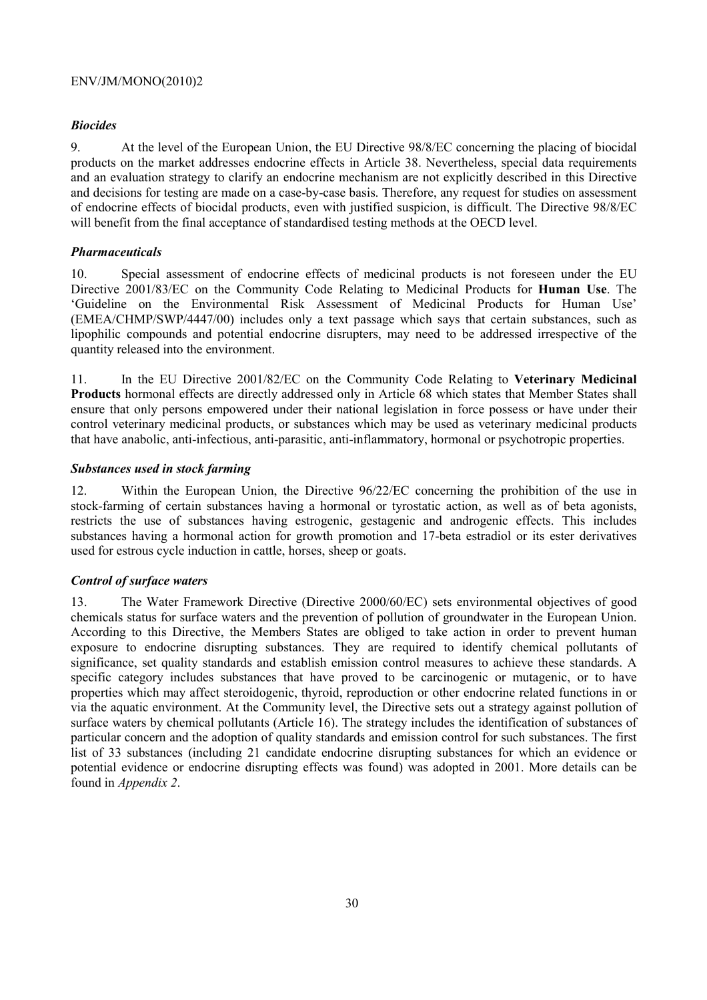# *Biocides*

9. At the level of the European Union, the EU Directive 98/8/EC concerning the placing of biocidal products on the market addresses endocrine effects in Article 38. Nevertheless, special data requirements and an evaluation strategy to clarify an endocrine mechanism are not explicitly described in this Directive and decisions for testing are made on a case-by-case basis. Therefore, any request for studies on assessment of endocrine effects of biocidal products, even with justified suspicion, is difficult. The Directive 98/8/EC will benefit from the final acceptance of standardised testing methods at the OECD level.

# *Pharmaceuticals*

10. Special assessment of endocrine effects of medicinal products is not foreseen under the EU Directive 2001/83/EC on the Community Code Relating to Medicinal Products for **Human Use**. The 'Guideline on the Environmental Risk Assessment of Medicinal Products for Human Use' (EMEA/CHMP/SWP/4447/00) includes only a text passage which says that certain substances, such as lipophilic compounds and potential endocrine disrupters, may need to be addressed irrespective of the quantity released into the environment.

11. In the EU Directive 2001/82/EC on the Community Code Relating to **Veterinary Medicinal Products** hormonal effects are directly addressed only in Article 68 which states that Member States shall ensure that only persons empowered under their national legislation in force possess or have under their control veterinary medicinal products, or substances which may be used as veterinary medicinal products that have anabolic, anti-infectious, anti-parasitic, anti-inflammatory, hormonal or psychotropic properties.

# *Substances used in stock farming*

12. Within the European Union, the Directive 96/22/EC concerning the prohibition of the use in stock-farming of certain substances having a hormonal or tyrostatic action, as well as of beta agonists, restricts the use of substances having estrogenic, gestagenic and androgenic effects. This includes substances having a hormonal action for growth promotion and 17-beta estradiol or its ester derivatives used for estrous cycle induction in cattle, horses, sheep or goats.

# *Control of surface waters*

13. The Water Framework Directive (Directive 2000/60/EC) sets environmental objectives of good chemicals status for surface waters and the prevention of pollution of groundwater in the European Union. According to this Directive, the Members States are obliged to take action in order to prevent human exposure to endocrine disrupting substances. They are required to identify chemical pollutants of significance, set quality standards and establish emission control measures to achieve these standards. A specific category includes substances that have proved to be carcinogenic or mutagenic, or to have properties which may affect steroidogenic, thyroid, reproduction or other endocrine related functions in or via the aquatic environment. At the Community level, the Directive sets out a strategy against pollution of surface waters by chemical pollutants (Article 16). The strategy includes the identification of substances of particular concern and the adoption of quality standards and emission control for such substances. The first list of 33 substances (including 21 candidate endocrine disrupting substances for which an evidence or potential evidence or endocrine disrupting effects was found) was adopted in 2001. More details can be found in *Appendix 2*.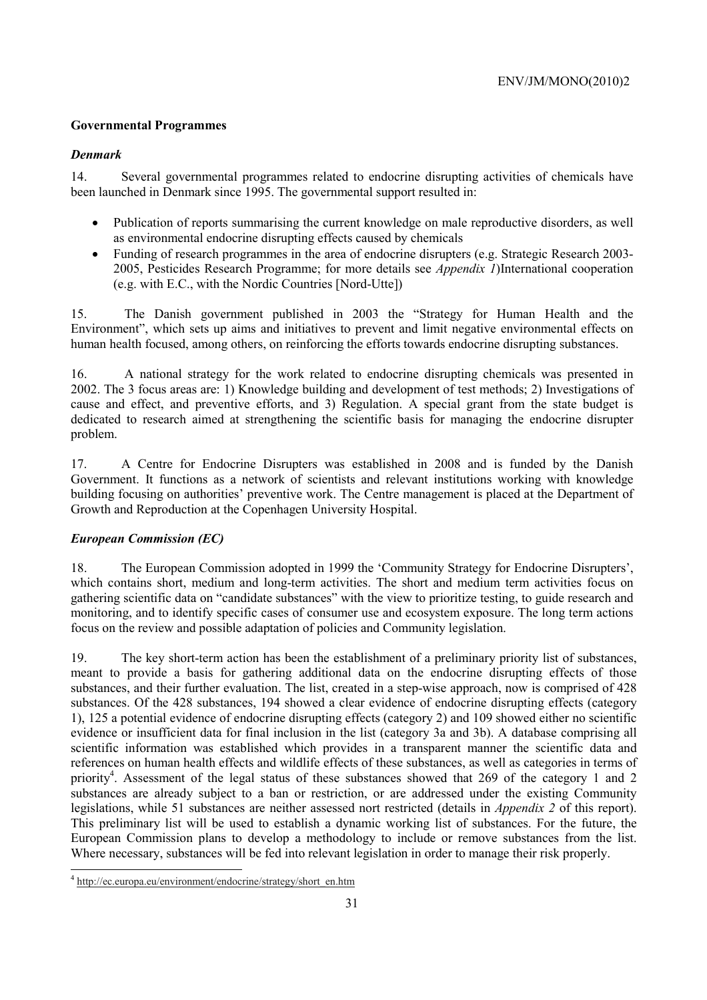# **Governmental Programmes**

# *Denmark*

14. Several governmental programmes related to endocrine disrupting activities of chemicals have been launched in Denmark since 1995. The governmental support resulted in:

- Publication of reports summarising the current knowledge on male reproductive disorders, as well as environmental endocrine disrupting effects caused by chemicals
- Funding of research programmes in the area of endocrine disrupters (e.g. Strategic Research 2003- 2005, Pesticides Research Programme; for more details see *Appendix 1*)International cooperation (e.g. with E.C., with the Nordic Countries [Nord-Utte])

15. The Danish government published in 2003 the "Strategy for Human Health and the Environment", which sets up aims and initiatives to prevent and limit negative environmental effects on human health focused, among others, on reinforcing the efforts towards endocrine disrupting substances.

16. A national strategy for the work related to endocrine disrupting chemicals was presented in 2002. The 3 focus areas are: 1) Knowledge building and development of test methods; 2) Investigations of cause and effect, and preventive efforts, and 3) Regulation. A special grant from the state budget is dedicated to research aimed at strengthening the scientific basis for managing the endocrine disrupter problem.

17. A Centre for Endocrine Disrupters was established in 2008 and is funded by the Danish Government. It functions as a network of scientists and relevant institutions working with knowledge building focusing on authorities' preventive work. The Centre management is placed at the Department of Growth and Reproduction at the Copenhagen University Hospital.

# *European Commission (EC)*

 $\overline{a}$ 

18. The European Commission adopted in 1999 the 'Community Strategy for Endocrine Disrupters', which contains short, medium and long-term activities. The short and medium term activities focus on gathering scientific data on "candidate substances" with the view to prioritize testing, to guide research and monitoring, and to identify specific cases of consumer use and ecosystem exposure. The long term actions focus on the review and possible adaptation of policies and Community legislation.

19. The key short-term action has been the establishment of a preliminary priority list of substances, meant to provide a basis for gathering additional data on the endocrine disrupting effects of those substances, and their further evaluation. The list, created in a step-wise approach, now is comprised of 428 substances. Of the 428 substances, 194 showed a clear evidence of endocrine disrupting effects (category 1), 125 a potential evidence of endocrine disrupting effects (category 2) and 109 showed either no scientific evidence or insufficient data for final inclusion in the list (category 3a and 3b). A database comprising all scientific information was established which provides in a transparent manner the scientific data and references on human health effects and wildlife effects of these substances, as well as categories in terms of priority<sup>4</sup>. Assessment of the legal status of these substances showed that 269 of the category 1 and 2 substances are already subject to a ban or restriction, or are addressed under the existing Community legislations, while 51 substances are neither assessed nort restricted (details in *Appendix 2* of this report). This preliminary list will be used to establish a dynamic working list of substances. For the future, the European Commission plans to develop a methodology to include or remove substances from the list. Where necessary, substances will be fed into relevant legislation in order to manage their risk properly.

<sup>&</sup>lt;sup>4</sup> http://ec.europa.eu/environment/endocrine/strategy/short\_en.htm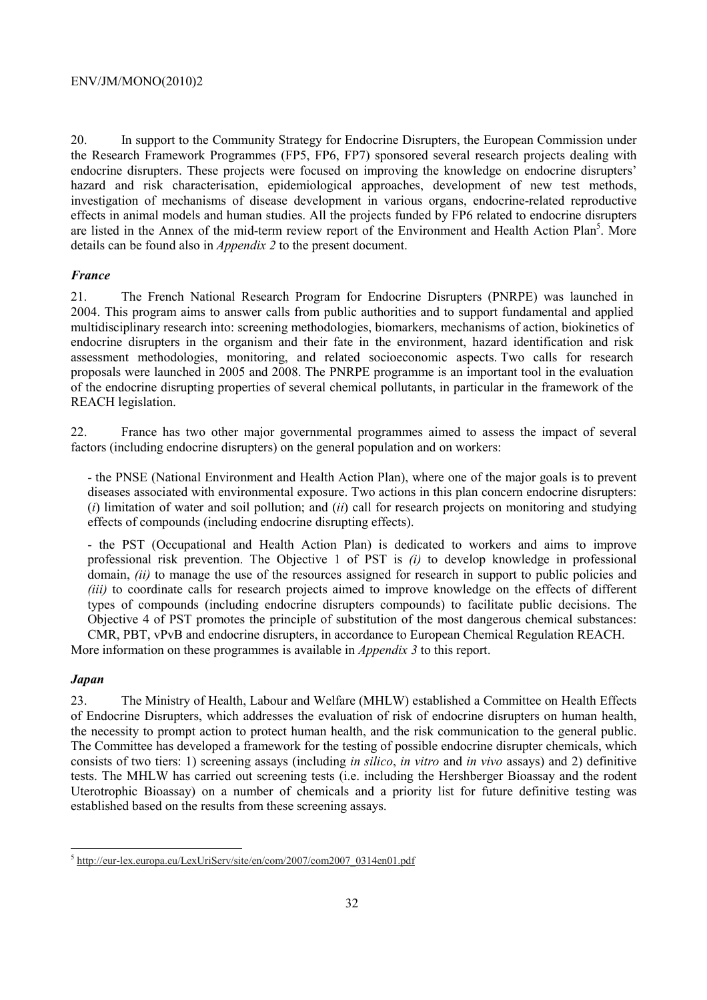20. In support to the Community Strategy for Endocrine Disrupters, the European Commission under the Research Framework Programmes (FP5, FP6, FP7) sponsored several research projects dealing with endocrine disrupters. These projects were focused on improving the knowledge on endocrine disrupters' hazard and risk characterisation, epidemiological approaches, development of new test methods, investigation of mechanisms of disease development in various organs, endocrine-related reproductive effects in animal models and human studies. All the projects funded by FP6 related to endocrine disrupters are listed in the Annex of the mid-term review report of the Environment and Health Action Plan<sup>5</sup>. More details can be found also in *Appendix 2* to the present document.

# *France*

21. The French National Research Program for Endocrine Disrupters (PNRPE) was launched in 2004. This program aims to answer calls from public authorities and to support fundamental and applied multidisciplinary research into: screening methodologies, biomarkers, mechanisms of action, biokinetics of endocrine disrupters in the organism and their fate in the environment, hazard identification and risk assessment methodologies, monitoring, and related socioeconomic aspects. Two calls for research proposals were launched in 2005 and 2008. The PNRPE programme is an important tool in the evaluation of the endocrine disrupting properties of several chemical pollutants, in particular in the framework of the REACH legislation.

22. France has two other major governmental programmes aimed to assess the impact of several factors (including endocrine disrupters) on the general population and on workers:

- the PNSE (National Environment and Health Action Plan), where one of the major goals is to prevent diseases associated with environmental exposure. Two actions in this plan concern endocrine disrupters: (*i*) limitation of water and soil pollution; and (*ii*) call for research projects on monitoring and studying effects of compounds (including endocrine disrupting effects).

- the PST (Occupational and Health Action Plan) is dedicated to workers and aims to improve professional risk prevention. The Objective 1 of PST is *(i)* to develop knowledge in professional domain, *(ii)* to manage the use of the resources assigned for research in support to public policies and *(iii)* to coordinate calls for research projects aimed to improve knowledge on the effects of different types of compounds (including endocrine disrupters compounds) to facilitate public decisions. The Objective 4 of PST promotes the principle of substitution of the most dangerous chemical substances: CMR, PBT, vPvB and endocrine disrupters, in accordance to European Chemical Regulation REACH.

More information on these programmes is available in *Appendix 3* to this report.

### *Japan*

23. The Ministry of Health, Labour and Welfare (MHLW) established a Committee on Health Effects of Endocrine Disrupters, which addresses the evaluation of risk of endocrine disrupters on human health, the necessity to prompt action to protect human health, and the risk communication to the general public. The Committee has developed a framework for the testing of possible endocrine disrupter chemicals, which consists of two tiers: 1) screening assays (including *in silico*, *in vitro* and *in vivo* assays) and 2) definitive tests. The MHLW has carried out screening tests (i.e. including the Hershberger Bioassay and the rodent Uterotrophic Bioassay) on a number of chemicals and a priority list for future definitive testing was established based on the results from these screening assays.

<sup>5</sup> http://eur-lex.europa.eu/LexUriServ/site/en/com/2007/com2007\_0314en01.pdf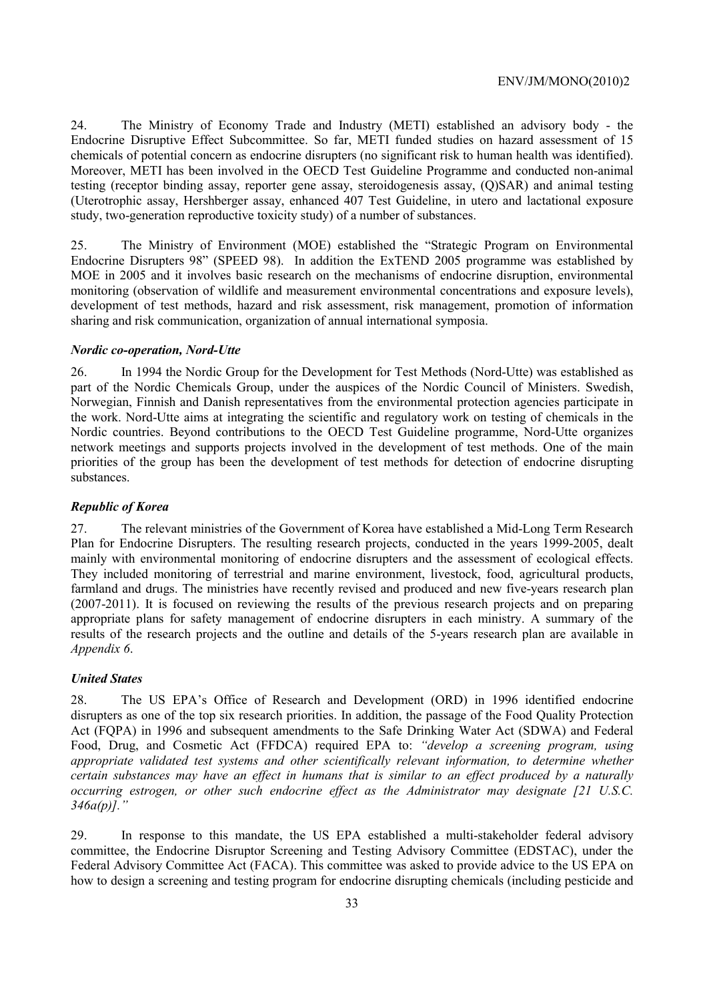24. The Ministry of Economy Trade and Industry (METI) established an advisory body - the Endocrine Disruptive Effect Subcommittee. So far, METI funded studies on hazard assessment of 15 chemicals of potential concern as endocrine disrupters (no significant risk to human health was identified). Moreover, METI has been involved in the OECD Test Guideline Programme and conducted non-animal testing (receptor binding assay, reporter gene assay, steroidogenesis assay, (Q)SAR) and animal testing (Uterotrophic assay, Hershberger assay, enhanced 407 Test Guideline, in utero and lactational exposure study, two-generation reproductive toxicity study) of a number of substances.

25. The Ministry of Environment (MOE) established the "Strategic Program on Environmental Endocrine Disrupters 98" (SPEED 98). In addition the ExTEND 2005 programme was established by MOE in 2005 and it involves basic research on the mechanisms of endocrine disruption, environmental monitoring (observation of wildlife and measurement environmental concentrations and exposure levels), development of test methods, hazard and risk assessment, risk management, promotion of information sharing and risk communication, organization of annual international symposia.

### *Nordic co-operation, Nord-Utte*

26. In 1994 the Nordic Group for the Development for Test Methods (Nord-Utte) was established as part of the Nordic Chemicals Group, under the auspices of the Nordic Council of Ministers. Swedish, Norwegian, Finnish and Danish representatives from the environmental protection agencies participate in the work. Nord-Utte aims at integrating the scientific and regulatory work on testing of chemicals in the Nordic countries. Beyond contributions to the OECD Test Guideline programme, Nord-Utte organizes network meetings and supports projects involved in the development of test methods. One of the main priorities of the group has been the development of test methods for detection of endocrine disrupting substances.

### *Republic of Korea*

27. The relevant ministries of the Government of Korea have established a Mid-Long Term Research Plan for Endocrine Disrupters. The resulting research projects, conducted in the years 1999-2005, dealt mainly with environmental monitoring of endocrine disrupters and the assessment of ecological effects. They included monitoring of terrestrial and marine environment, livestock, food, agricultural products, farmland and drugs. The ministries have recently revised and produced and new five-years research plan (2007-2011). It is focused on reviewing the results of the previous research projects and on preparing appropriate plans for safety management of endocrine disrupters in each ministry. A summary of the results of the research projects and the outline and details of the 5-years research plan are available in *Appendix 6*.

### *United States*

28. The US EPA's Office of Research and Development (ORD) in 1996 identified endocrine disrupters as one of the top six research priorities. In addition, the passage of the Food Quality Protection Act (FQPA) in 1996 and subsequent amendments to the Safe Drinking Water Act (SDWA) and Federal Food, Drug, and Cosmetic Act (FFDCA) required EPA to: *"develop a screening program, using appropriate validated test systems and other scientifically relevant information, to determine whether certain substances may have an effect in humans that is similar to an effect produced by a naturally occurring estrogen, or other such endocrine effect as the Administrator may designate [21 U.S.C. 346a(p)]."* 

29. In response to this mandate, the US EPA established a multi-stakeholder federal advisory committee, the Endocrine Disruptor Screening and Testing Advisory Committee (EDSTAC), under the Federal Advisory Committee Act (FACA). This committee was asked to provide advice to the US EPA on how to design a screening and testing program for endocrine disrupting chemicals (including pesticide and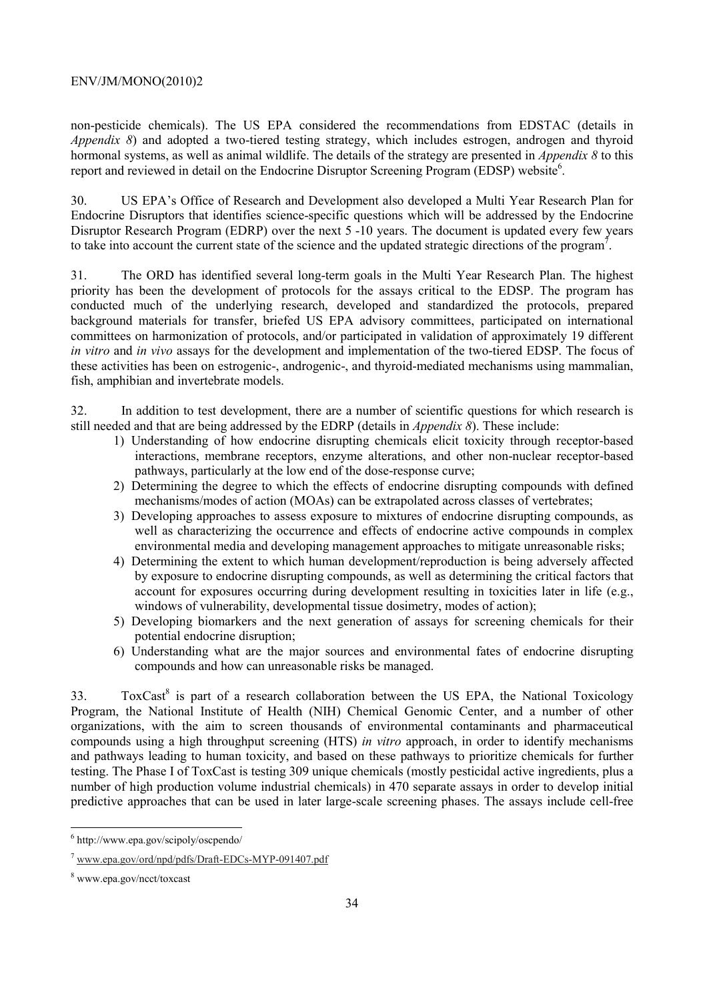non-pesticide chemicals). The US EPA considered the recommendations from EDSTAC (details in *Appendix 8*) and adopted a two-tiered testing strategy, which includes estrogen, androgen and thyroid hormonal systems, as well as animal wildlife. The details of the strategy are presented in *Appendix 8* to this report and reviewed in detail on the Endocrine Disruptor Screening Program (EDSP) website<sup>6</sup>.

30. US EPA's Office of Research and Development also developed a Multi Year Research Plan for Endocrine Disruptors that identifies science-specific questions which will be addressed by the Endocrine Disruptor Research Program (EDRP) over the next 5 -10 years. The document is updated every few years to take into account the current state of the science and the updated strategic directions of the program<sup>7</sup>.

31. The ORD has identified several long-term goals in the Multi Year Research Plan. The highest priority has been the development of protocols for the assays critical to the EDSP. The program has conducted much of the underlying research, developed and standardized the protocols, prepared background materials for transfer, briefed US EPA advisory committees, participated on international committees on harmonization of protocols, and/or participated in validation of approximately 19 different *in vitro* and *in vivo* assays for the development and implementation of the two-tiered EDSP. The focus of these activities has been on estrogenic-, androgenic-, and thyroid-mediated mechanisms using mammalian, fish, amphibian and invertebrate models.

32. In addition to test development, there are a number of scientific questions for which research is still needed and that are being addressed by the EDRP (details in *Appendix 8*). These include:

- 1) Understanding of how endocrine disrupting chemicals elicit toxicity through receptor-based interactions, membrane receptors, enzyme alterations, and other non-nuclear receptor-based pathways, particularly at the low end of the dose-response curve;
- 2) Determining the degree to which the effects of endocrine disrupting compounds with defined mechanisms/modes of action (MOAs) can be extrapolated across classes of vertebrates;
- 3) Developing approaches to assess exposure to mixtures of endocrine disrupting compounds, as well as characterizing the occurrence and effects of endocrine active compounds in complex environmental media and developing management approaches to mitigate unreasonable risks;
- 4) Determining the extent to which human development/reproduction is being adversely affected by exposure to endocrine disrupting compounds, as well as determining the critical factors that account for exposures occurring during development resulting in toxicities later in life (e.g., windows of vulnerability, developmental tissue dosimetry, modes of action);
- 5) Developing biomarkers and the next generation of assays for screening chemicals for their potential endocrine disruption;
- 6) Understanding what are the major sources and environmental fates of endocrine disrupting compounds and how can unreasonable risks be managed.

 $33.$  ToxCast<sup>8</sup> is part of a research collaboration between the US EPA, the National Toxicology Program, the National Institute of Health (NIH) Chemical Genomic Center, and a number of other organizations, with the aim to screen thousands of environmental contaminants and pharmaceutical compounds using a high throughput screening (HTS) *in vitro* approach, in order to identify mechanisms and pathways leading to human toxicity, and based on these pathways to prioritize chemicals for further testing. The Phase I of ToxCast is testing 309 unique chemicals (mostly pesticidal active ingredients, plus a number of high production volume industrial chemicals) in 470 separate assays in order to develop initial predictive approaches that can be used in later large-scale screening phases. The assays include cell-free

 6 http://www.epa.gov/scipoly/oscpendo/

<sup>7</sup> www.epa.gov/ord/npd/pdfs/Draft-EDCs-MYP-091407.pdf

<sup>8</sup> www.epa.gov/ncct/toxcast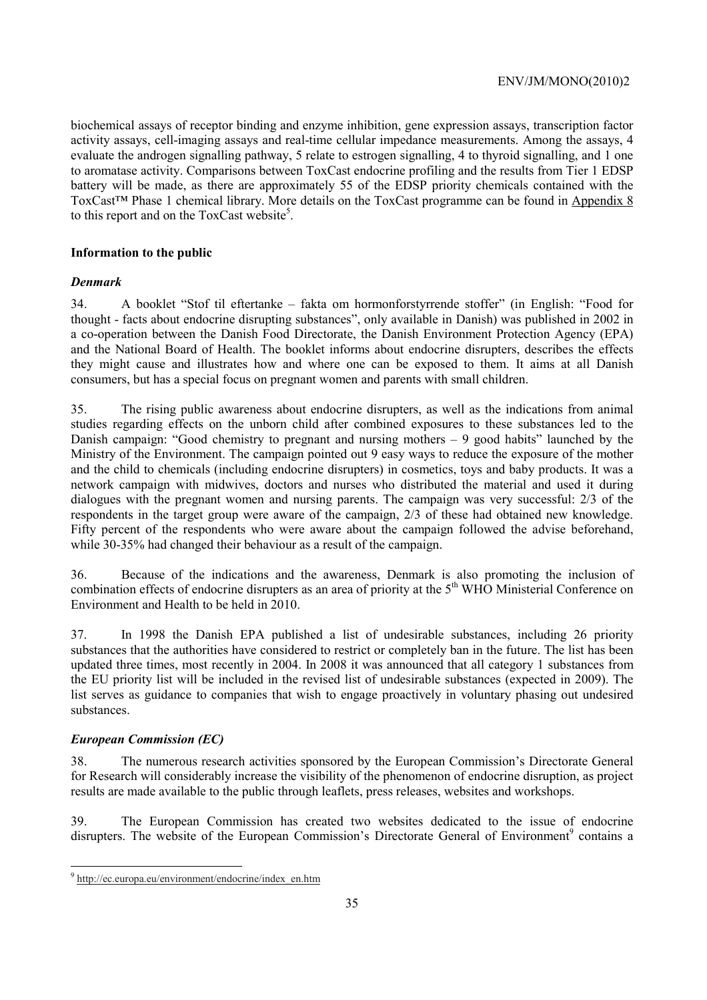biochemical assays of receptor binding and enzyme inhibition, gene expression assays, transcription factor activity assays, cell-imaging assays and real-time cellular impedance measurements. Among the assays, 4 evaluate the androgen signalling pathway, 5 relate to estrogen signalling, 4 to thyroid signalling, and 1 one to aromatase activity. Comparisons between ToxCast endocrine profiling and the results from Tier 1 EDSP battery will be made, as there are approximately 55 of the EDSP priority chemicals contained with the ToxCast™ Phase 1 chemical library. More details on the ToxCast programme can be found in Appendix 8 to this report and on the ToxCast website<sup>5</sup>.

# **Information to the public**

# *Denmark*

34. A booklet "Stof til eftertanke – fakta om hormonforstyrrende stoffer" (in English: "Food for thought - facts about endocrine disrupting substances", only available in Danish) was published in 2002 in a co-operation between the Danish Food Directorate, the Danish Environment Protection Agency (EPA) and the National Board of Health. The booklet informs about endocrine disrupters, describes the effects they might cause and illustrates how and where one can be exposed to them. It aims at all Danish consumers, but has a special focus on pregnant women and parents with small children.

35. The rising public awareness about endocrine disrupters, as well as the indications from animal studies regarding effects on the unborn child after combined exposures to these substances led to the Danish campaign: "Good chemistry to pregnant and nursing mothers – 9 good habits" launched by the Ministry of the Environment. The campaign pointed out 9 easy ways to reduce the exposure of the mother and the child to chemicals (including endocrine disrupters) in cosmetics, toys and baby products. It was a network campaign with midwives, doctors and nurses who distributed the material and used it during dialogues with the pregnant women and nursing parents. The campaign was very successful: 2/3 of the respondents in the target group were aware of the campaign, 2/3 of these had obtained new knowledge. Fifty percent of the respondents who were aware about the campaign followed the advise beforehand, while 30-35% had changed their behaviour as a result of the campaign.

36. Because of the indications and the awareness, Denmark is also promoting the inclusion of combination effects of endocrine disrupters as an area of priority at the 5<sup>th</sup> WHO Ministerial Conference on Environment and Health to be held in 2010.

37. In 1998 the Danish EPA published a list of undesirable substances, including 26 priority substances that the authorities have considered to restrict or completely ban in the future. The list has been updated three times, most recently in 2004. In 2008 it was announced that all category 1 substances from the EU priority list will be included in the revised list of undesirable substances (expected in 2009). The list serves as guidance to companies that wish to engage proactively in voluntary phasing out undesired substances.

# *European Commission (EC)*

38. The numerous research activities sponsored by the European Commission's Directorate General for Research will considerably increase the visibility of the phenomenon of endocrine disruption, as project results are made available to the public through leaflets, press releases, websites and workshops.

39. The European Commission has created two websites dedicated to the issue of endocrine disrupters. The website of the European Commission's Directorate General of Environment<sup>9</sup> contains a

<sup>&</sup>lt;sup>9</sup> http://ec.europa.eu/environment/endocrine/index\_en.htm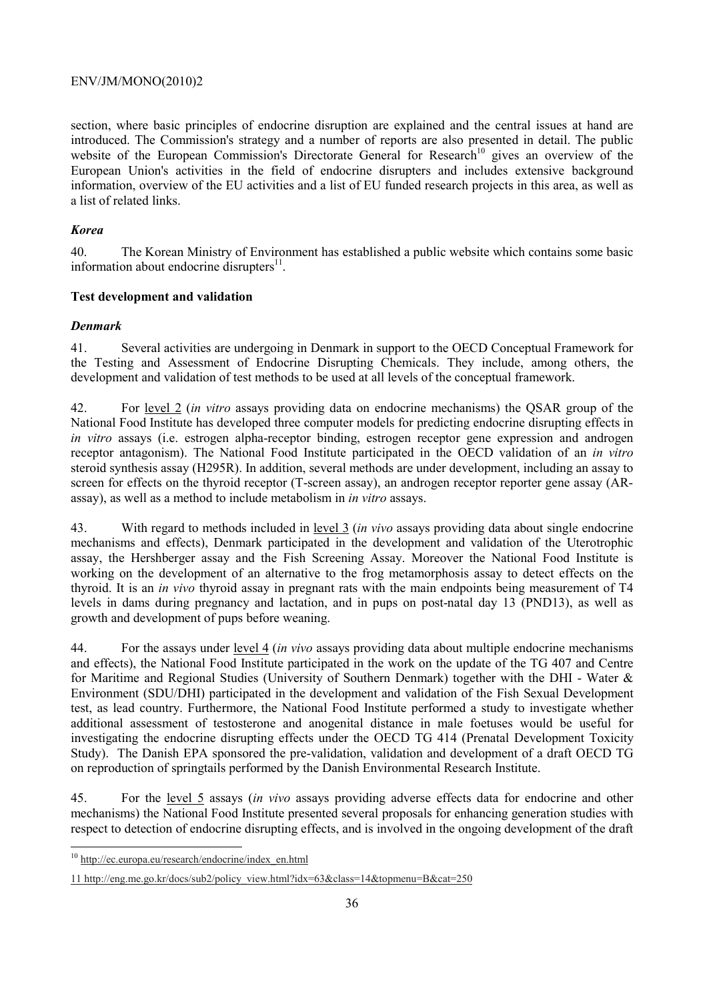section, where basic principles of endocrine disruption are explained and the central issues at hand are introduced. The Commission's strategy and a number of reports are also presented in detail. The public website of the European Commission's Directorate General for Research<sup>10</sup> gives an overview of the European Union's activities in the field of endocrine disrupters and includes extensive background information, overview of the EU activities and a list of EU funded research projects in this area, as well as a list of related links.

# *Korea*

40. The Korean Ministry of Environment has established a public website which contains some basic information about endocrine disrupters $11$ .

# **Test development and validation**

# *Denmark*

41. Several activities are undergoing in Denmark in support to the OECD Conceptual Framework for the Testing and Assessment of Endocrine Disrupting Chemicals. They include, among others, the development and validation of test methods to be used at all levels of the conceptual framework.

42. For level 2 (*in vitro* assays providing data on endocrine mechanisms) the QSAR group of the National Food Institute has developed three computer models for predicting endocrine disrupting effects in *in vitro* assays (i.e. estrogen alpha-receptor binding, estrogen receptor gene expression and androgen receptor antagonism). The National Food Institute participated in the OECD validation of an *in vitro* steroid synthesis assay (H295R). In addition, several methods are under development, including an assay to screen for effects on the thyroid receptor (T-screen assay), an androgen receptor reporter gene assay (ARassay), as well as a method to include metabolism in *in vitro* assays.

43. With regard to methods included in level 3 (*in vivo* assays providing data about single endocrine mechanisms and effects), Denmark participated in the development and validation of the Uterotrophic assay, the Hershberger assay and the Fish Screening Assay. Moreover the National Food Institute is working on the development of an alternative to the frog metamorphosis assay to detect effects on the thyroid. It is an *in vivo* thyroid assay in pregnant rats with the main endpoints being measurement of T4 levels in dams during pregnancy and lactation, and in pups on post-natal day 13 (PND13), as well as growth and development of pups before weaning.

44. For the assays under level 4 (*in vivo* assays providing data about multiple endocrine mechanisms and effects), the National Food Institute participated in the work on the update of the TG 407 and Centre for Maritime and Regional Studies (University of Southern Denmark) together with the DHI - Water & Environment (SDU/DHI) participated in the development and validation of the Fish Sexual Development test, as lead country. Furthermore, the National Food Institute performed a study to investigate whether additional assessment of testosterone and anogenital distance in male foetuses would be useful for investigating the endocrine disrupting effects under the OECD TG 414 (Prenatal Development Toxicity Study). The Danish EPA sponsored the pre-validation, validation and development of a draft OECD TG on reproduction of springtails performed by the Danish Environmental Research Institute.

45. For the level 5 assays (*in vivo* assays providing adverse effects data for endocrine and other mechanisms) the National Food Institute presented several proposals for enhancing generation studies with respect to detection of endocrine disrupting effects, and is involved in the ongoing development of the draft

 $\overline{a}$ 

<sup>&</sup>lt;sup>10</sup> http://ec.europa.eu/research/endocrine/index\_en.html

<sup>11</sup> http://eng.me.go.kr/docs/sub2/policy\_view.html?idx=63&class=14&topmenu=B&cat=250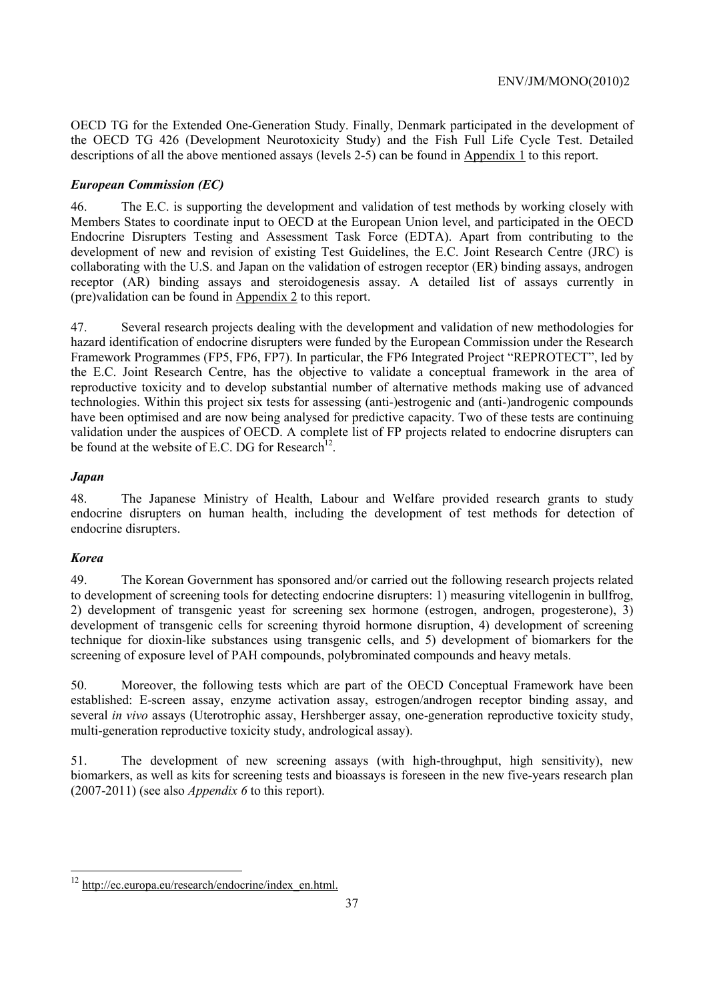OECD TG for the Extended One-Generation Study. Finally, Denmark participated in the development of the OECD TG 426 (Development Neurotoxicity Study) and the Fish Full Life Cycle Test. Detailed descriptions of all the above mentioned assays (levels 2-5) can be found in Appendix 1 to this report.

# *European Commission (EC)*

46. The E.C. is supporting the development and validation of test methods by working closely with Members States to coordinate input to OECD at the European Union level, and participated in the OECD Endocrine Disrupters Testing and Assessment Task Force (EDTA). Apart from contributing to the development of new and revision of existing Test Guidelines, the E.C. Joint Research Centre (JRC) is collaborating with the U.S. and Japan on the validation of estrogen receptor (ER) binding assays, androgen receptor (AR) binding assays and steroidogenesis assay. A detailed list of assays currently in (pre)validation can be found in Appendix 2 to this report.

47. Several research projects dealing with the development and validation of new methodologies for hazard identification of endocrine disrupters were funded by the European Commission under the Research Framework Programmes (FP5, FP6, FP7). In particular, the FP6 Integrated Project "REPROTECT", led by the E.C. Joint Research Centre, has the objective to validate a conceptual framework in the area of reproductive toxicity and to develop substantial number of alternative methods making use of advanced technologies. Within this project six tests for assessing (anti-)estrogenic and (anti-)androgenic compounds have been optimised and are now being analysed for predictive capacity. Two of these tests are continuing validation under the auspices of OECD. A complete list of FP projects related to endocrine disrupters can be found at the website of E.C. DG for Research<sup>12</sup>.

# *Japan*

48. The Japanese Ministry of Health, Labour and Welfare provided research grants to study endocrine disrupters on human health, including the development of test methods for detection of endocrine disrupters.

### *Korea*

49. The Korean Government has sponsored and/or carried out the following research projects related to development of screening tools for detecting endocrine disrupters: 1) measuring vitellogenin in bullfrog, 2) development of transgenic yeast for screening sex hormone (estrogen, androgen, progesterone), 3) development of transgenic cells for screening thyroid hormone disruption, 4) development of screening technique for dioxin-like substances using transgenic cells, and 5) development of biomarkers for the screening of exposure level of PAH compounds, polybrominated compounds and heavy metals.

50. Moreover, the following tests which are part of the OECD Conceptual Framework have been established: E-screen assay, enzyme activation assay, estrogen/androgen receptor binding assay, and several *in vivo* assays (Uterotrophic assay, Hershberger assay, one-generation reproductive toxicity study, multi-generation reproductive toxicity study, andrological assay).

51. The development of new screening assays (with high-throughput, high sensitivity), new biomarkers, as well as kits for screening tests and bioassays is foreseen in the new five-years research plan (2007-2011) (see also *Appendix 6* to this report).

<sup>&</sup>lt;sup>12</sup> http://ec.europa.eu/research/endocrine/index\_en.html.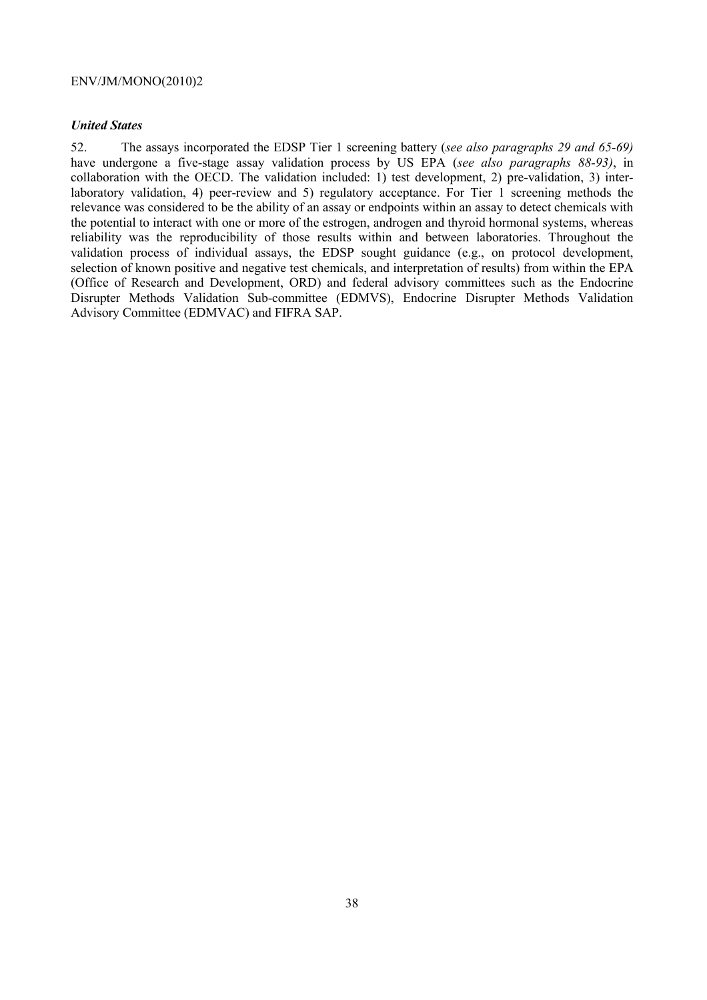#### *United States*

52. The assays incorporated the EDSP Tier 1 screening battery (*see also paragraphs 29 and 65-69)* have undergone a five-stage assay validation process by US EPA (*see also paragraphs 88-93)*, in collaboration with the OECD. The validation included: 1) test development, 2) pre-validation, 3) interlaboratory validation, 4) peer-review and 5) regulatory acceptance. For Tier 1 screening methods the relevance was considered to be the ability of an assay or endpoints within an assay to detect chemicals with the potential to interact with one or more of the estrogen, androgen and thyroid hormonal systems, whereas reliability was the reproducibility of those results within and between laboratories. Throughout the validation process of individual assays, the EDSP sought guidance (e.g., on protocol development, selection of known positive and negative test chemicals, and interpretation of results) from within the EPA (Office of Research and Development, ORD) and federal advisory committees such as the Endocrine Disrupter Methods Validation Sub-committee (EDMVS), Endocrine Disrupter Methods Validation Advisory Committee (EDMVAC) and FIFRA SAP.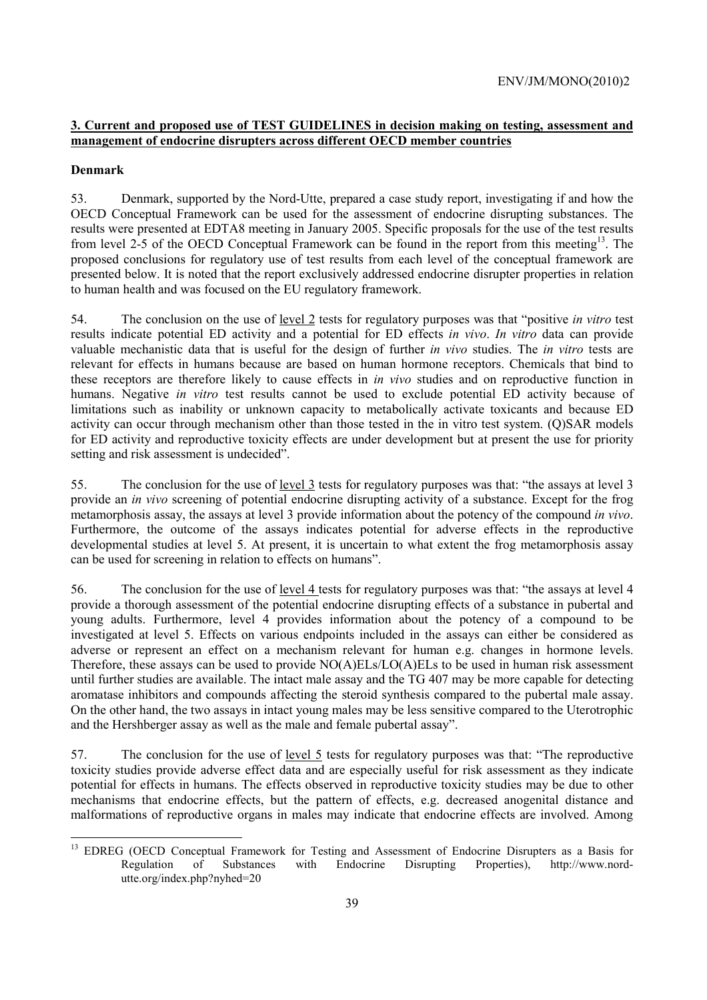### **3. Current and proposed use of TEST GUIDELINES in decision making on testing, assessment and management of endocrine disrupters across different OECD member countries**

### **Denmark**

53. Denmark, supported by the Nord-Utte, prepared a case study report, investigating if and how the OECD Conceptual Framework can be used for the assessment of endocrine disrupting substances. The results were presented at EDTA8 meeting in January 2005. Specific proposals for the use of the test results from level 2-5 of the OECD Conceptual Framework can be found in the report from this meeting<sup>13</sup>. The proposed conclusions for regulatory use of test results from each level of the conceptual framework are presented below. It is noted that the report exclusively addressed endocrine disrupter properties in relation to human health and was focused on the EU regulatory framework.

54. The conclusion on the use of level 2 tests for regulatory purposes was that "positive *in vitro* test results indicate potential ED activity and a potential for ED effects *in vivo*. *In vitro* data can provide valuable mechanistic data that is useful for the design of further *in vivo* studies. The *in vitro* tests are relevant for effects in humans because are based on human hormone receptors. Chemicals that bind to these receptors are therefore likely to cause effects in *in vivo* studies and on reproductive function in humans. Negative *in vitro* test results cannot be used to exclude potential ED activity because of limitations such as inability or unknown capacity to metabolically activate toxicants and because ED activity can occur through mechanism other than those tested in the in vitro test system. (Q)SAR models for ED activity and reproductive toxicity effects are under development but at present the use for priority setting and risk assessment is undecided".

55. The conclusion for the use of <u>level 3</u> tests for regulatory purposes was that: "the assays at level 3 provide an *in vivo* screening of potential endocrine disrupting activity of a substance. Except for the frog metamorphosis assay, the assays at level 3 provide information about the potency of the compound *in vivo*. Furthermore, the outcome of the assays indicates potential for adverse effects in the reproductive developmental studies at level 5. At present, it is uncertain to what extent the frog metamorphosis assay can be used for screening in relation to effects on humans".

56. The conclusion for the use of level 4 tests for regulatory purposes was that: "the assays at level 4 provide a thorough assessment of the potential endocrine disrupting effects of a substance in pubertal and young adults. Furthermore, level 4 provides information about the potency of a compound to be investigated at level 5. Effects on various endpoints included in the assays can either be considered as adverse or represent an effect on a mechanism relevant for human e.g. changes in hormone levels. Therefore, these assays can be used to provide NO(A)ELs/LO(A)ELs to be used in human risk assessment until further studies are available. The intact male assay and the TG 407 may be more capable for detecting aromatase inhibitors and compounds affecting the steroid synthesis compared to the pubertal male assay. On the other hand, the two assays in intact young males may be less sensitive compared to the Uterotrophic and the Hershberger assay as well as the male and female pubertal assay".

57. The conclusion for the use of level 5 tests for regulatory purposes was that: "The reproductive toxicity studies provide adverse effect data and are especially useful for risk assessment as they indicate potential for effects in humans. The effects observed in reproductive toxicity studies may be due to other mechanisms that endocrine effects, but the pattern of effects, e.g. decreased anogenital distance and malformations of reproductive organs in males may indicate that endocrine effects are involved. Among

<sup>&</sup>lt;sup>13</sup> EDREG (OECD Conceptual Framework for Testing and Assessment of Endocrine Disrupters as a Basis for Regulation of Substances with Endocrine Disrupting Properties), http://www.nordutte.org/index.php?nyhed=20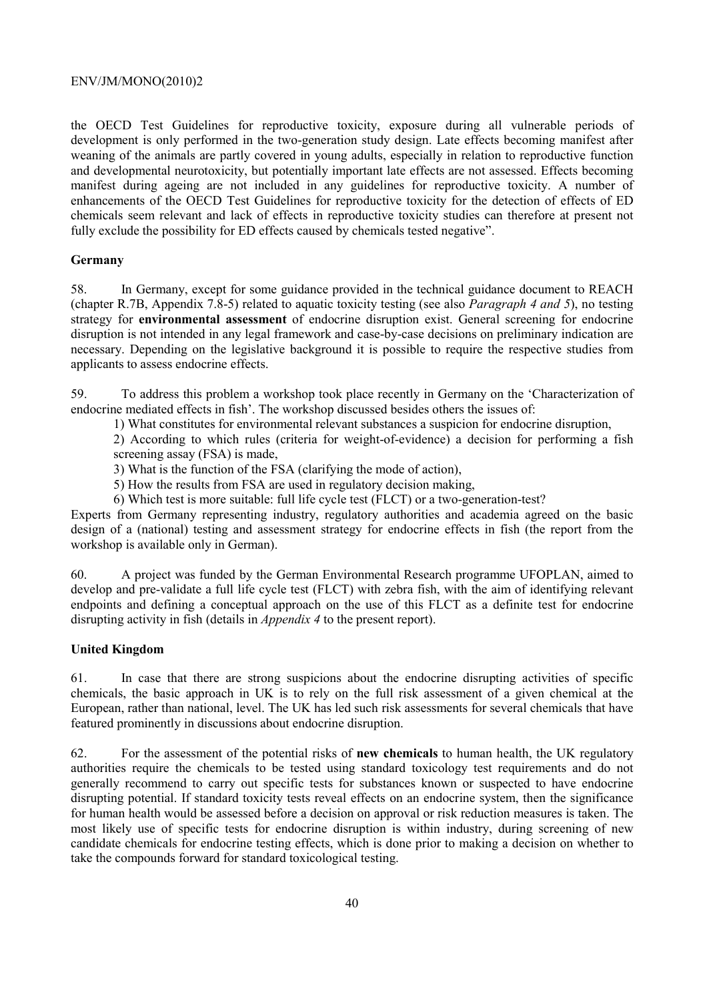the OECD Test Guidelines for reproductive toxicity, exposure during all vulnerable periods of development is only performed in the two-generation study design. Late effects becoming manifest after weaning of the animals are partly covered in young adults, especially in relation to reproductive function and developmental neurotoxicity, but potentially important late effects are not assessed. Effects becoming manifest during ageing are not included in any guidelines for reproductive toxicity. A number of enhancements of the OECD Test Guidelines for reproductive toxicity for the detection of effects of ED chemicals seem relevant and lack of effects in reproductive toxicity studies can therefore at present not fully exclude the possibility for ED effects caused by chemicals tested negative".

### **Germany**

58. In Germany, except for some guidance provided in the technical guidance document to REACH (chapter R.7B, Appendix 7.8-5) related to aquatic toxicity testing (see also *Paragraph 4 and 5*), no testing strategy for **environmental assessment** of endocrine disruption exist. General screening for endocrine disruption is not intended in any legal framework and case-by-case decisions on preliminary indication are necessary. Depending on the legislative background it is possible to require the respective studies from applicants to assess endocrine effects.

59. To address this problem a workshop took place recently in Germany on the 'Characterization of endocrine mediated effects in fish'. The workshop discussed besides others the issues of:

1) What constitutes for environmental relevant substances a suspicion for endocrine disruption,

2) According to which rules (criteria for weight-of-evidence) a decision for performing a fish screening assay (FSA) is made,

- 3) What is the function of the FSA (clarifying the mode of action),
- 5) How the results from FSA are used in regulatory decision making,
- 6) Which test is more suitable: full life cycle test (FLCT) or a two-generation-test?

Experts from Germany representing industry, regulatory authorities and academia agreed on the basic design of a (national) testing and assessment strategy for endocrine effects in fish (the report from the workshop is available only in German).

60. A project was funded by the German Environmental Research programme UFOPLAN, aimed to develop and pre-validate a full life cycle test (FLCT) with zebra fish, with the aim of identifying relevant endpoints and defining a conceptual approach on the use of this FLCT as a definite test for endocrine disrupting activity in fish (details in *Appendix 4* to the present report).

### **United Kingdom**

61. In case that there are strong suspicions about the endocrine disrupting activities of specific chemicals, the basic approach in UK is to rely on the full risk assessment of a given chemical at the European, rather than national, level. The UK has led such risk assessments for several chemicals that have featured prominently in discussions about endocrine disruption.

62. For the assessment of the potential risks of **new chemicals** to human health, the UK regulatory authorities require the chemicals to be tested using standard toxicology test requirements and do not generally recommend to carry out specific tests for substances known or suspected to have endocrine disrupting potential. If standard toxicity tests reveal effects on an endocrine system, then the significance for human health would be assessed before a decision on approval or risk reduction measures is taken. The most likely use of specific tests for endocrine disruption is within industry, during screening of new candidate chemicals for endocrine testing effects, which is done prior to making a decision on whether to take the compounds forward for standard toxicological testing.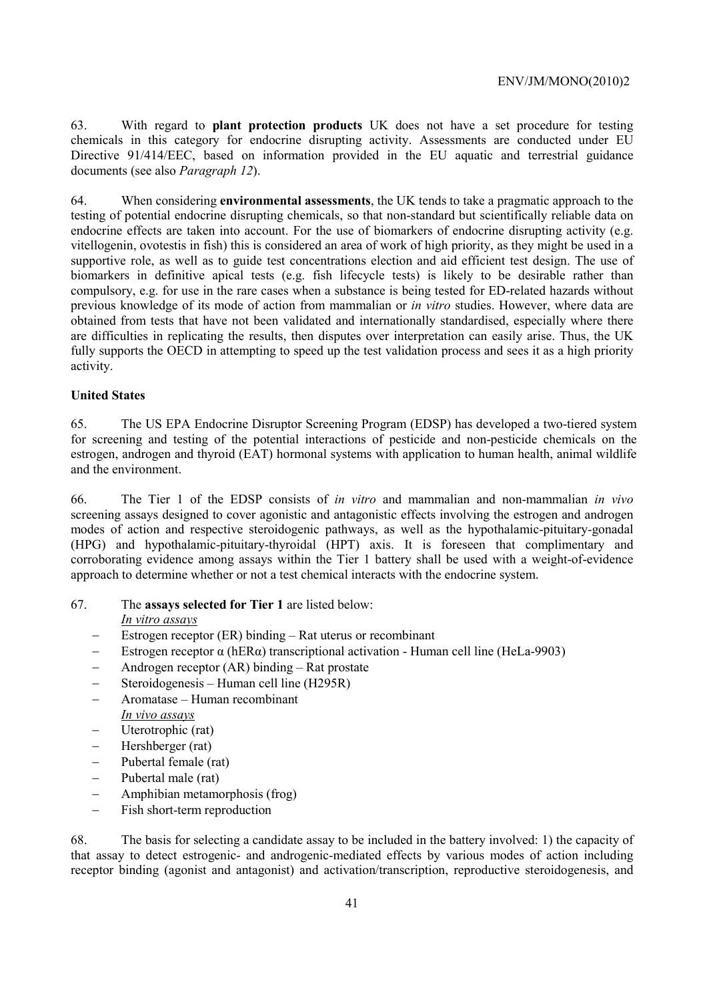63. With regard to **plant protection products** UK does not have a set procedure for testing chemicals in this category for endocrine disrupting activity. Assessments are conducted under EU Directive 91/414/EEC, based on information provided in the EU aquatic and terrestrial guidance documents (see also *Paragraph 12*).

64. When considering **environmental assessments**, the UK tends to take a pragmatic approach to the testing of potential endocrine disrupting chemicals, so that non-standard but scientifically reliable data on endocrine effects are taken into account. For the use of biomarkers of endocrine disrupting activity (e.g. vitellogenin, ovotestis in fish) this is considered an area of work of high priority, as they might be used in a supportive role, as well as to guide test concentrations election and aid efficient test design. The use of biomarkers in definitive apical tests (e.g. fish lifecycle tests) is likely to be desirable rather than compulsory, e.g. for use in the rare cases when a substance is being tested for ED-related hazards without previous knowledge of its mode of action from mammalian or *in vitro* studies. However, where data are obtained from tests that have not been validated and internationally standardised, especially where there are difficulties in replicating the results, then disputes over interpretation can easily arise. Thus, the UK fully supports the OECD in attempting to speed up the test validation process and sees it as a high priority activity.

# **United States**

65. The US EPA Endocrine Disruptor Screening Program (EDSP) has developed a two-tiered system for screening and testing of the potential interactions of pesticide and non-pesticide chemicals on the estrogen, androgen and thyroid (EAT) hormonal systems with application to human health, animal wildlife and the environment.

66. The Tier 1 of the EDSP consists of *in vitro* and mammalian and non-mammalian *in vivo* screening assays designed to cover agonistic and antagonistic effects involving the estrogen and androgen modes of action and respective steroidogenic pathways, as well as the hypothalamic-pituitary-gonadal (HPG) and hypothalamic-pituitary-thyroidal (HPT) axis. It is foreseen that complimentary and corroborating evidence among assays within the Tier 1 battery shall be used with a weight-of-evidence approach to determine whether or not a test chemical interacts with the endocrine system.

# 67. The **assays selected for Tier 1** are listed below:

#### *In vitro assays*

- − Estrogen receptor (ER) binding Rat uterus or recombinant
- Estrogen receptor  $\alpha$  (hER $\alpha$ ) transcriptional activation Human cell line (HeLa-9903)
- Androgen receptor  $(AR)$  binding Rat prostate
- − Steroidogenesis Human cell line (H295R)
- − Aromatase Human recombinant  *In vivo assays*
- − Uterotrophic (rat)
- − Hershberger (rat)
- − Pubertal female (rat)
- − Pubertal male (rat)
- − Amphibian metamorphosis (frog)
- Fish short-term reproduction

68. The basis for selecting a candidate assay to be included in the battery involved: 1) the capacity of that assay to detect estrogenic- and androgenic-mediated effects by various modes of action including receptor binding (agonist and antagonist) and activation/transcription, reproductive steroidogenesis, and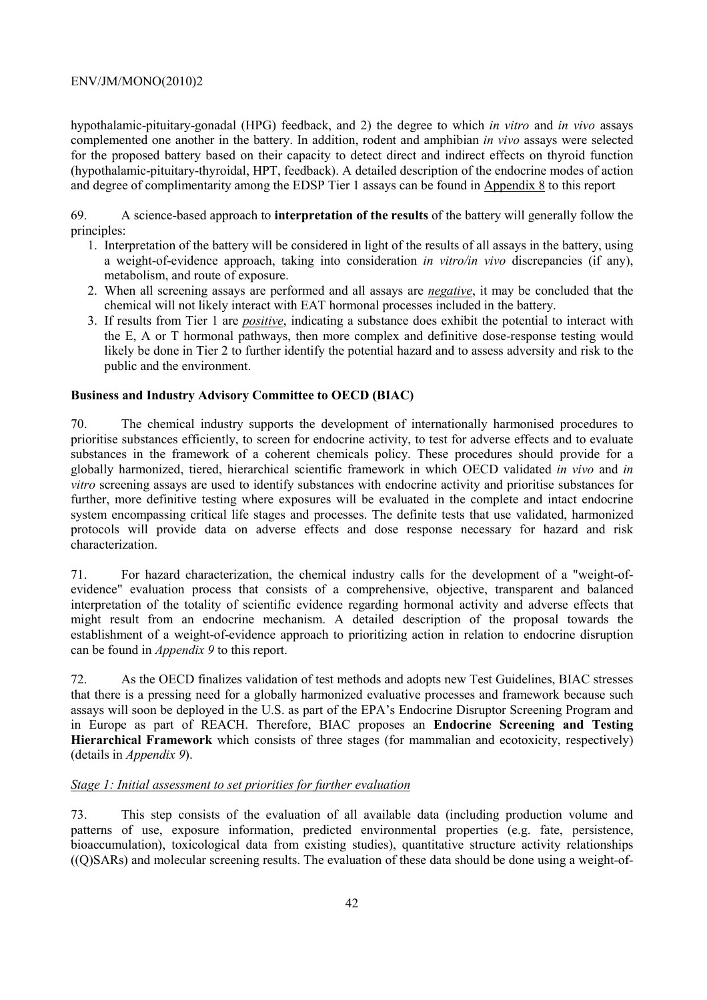hypothalamic-pituitary-gonadal (HPG) feedback, and 2) the degree to which *in vitro* and *in vivo* assays complemented one another in the battery. In addition, rodent and amphibian *in vivo* assays were selected for the proposed battery based on their capacity to detect direct and indirect effects on thyroid function (hypothalamic-pituitary-thyroidal, HPT, feedback). A detailed description of the endocrine modes of action and degree of complimentarity among the EDSP Tier 1 assays can be found in Appendix 8 to this report

69. A science-based approach to **interpretation of the results** of the battery will generally follow the principles:

- 1. Interpretation of the battery will be considered in light of the results of all assays in the battery, using a weight-of-evidence approach, taking into consideration *in vitro/in vivo* discrepancies (if any), metabolism, and route of exposure.
- 2. When all screening assays are performed and all assays are *negative*, it may be concluded that the chemical will not likely interact with EAT hormonal processes included in the battery.
- 3. If results from Tier 1 are *positive*, indicating a substance does exhibit the potential to interact with the E, A or T hormonal pathways, then more complex and definitive dose-response testing would likely be done in Tier 2 to further identify the potential hazard and to assess adversity and risk to the public and the environment.

# **Business and Industry Advisory Committee to OECD (BIAC)**

70. The chemical industry supports the development of internationally harmonised procedures to prioritise substances efficiently, to screen for endocrine activity, to test for adverse effects and to evaluate substances in the framework of a coherent chemicals policy. These procedures should provide for a globally harmonized, tiered, hierarchical scientific framework in which OECD validated *in vivo* and *in vitro* screening assays are used to identify substances with endocrine activity and prioritise substances for further, more definitive testing where exposures will be evaluated in the complete and intact endocrine system encompassing critical life stages and processes. The definite tests that use validated, harmonized protocols will provide data on adverse effects and dose response necessary for hazard and risk characterization.

71. For hazard characterization, the chemical industry calls for the development of a "weight-ofevidence" evaluation process that consists of a comprehensive, objective, transparent and balanced interpretation of the totality of scientific evidence regarding hormonal activity and adverse effects that might result from an endocrine mechanism. A detailed description of the proposal towards the establishment of a weight-of-evidence approach to prioritizing action in relation to endocrine disruption can be found in *Appendix 9* to this report.

72. As the OECD finalizes validation of test methods and adopts new Test Guidelines, BIAC stresses that there is a pressing need for a globally harmonized evaluative processes and framework because such assays will soon be deployed in the U.S. as part of the EPA's Endocrine Disruptor Screening Program and in Europe as part of REACH. Therefore, BIAC proposes an **Endocrine Screening and Testing Hierarchical Framework** which consists of three stages (for mammalian and ecotoxicity, respectively) (details in *Appendix 9*).

### *Stage 1: Initial assessment to set priorities for further evaluation*

73. This step consists of the evaluation of all available data (including production volume and patterns of use, exposure information, predicted environmental properties (e.g. fate, persistence, bioaccumulation), toxicological data from existing studies), quantitative structure activity relationships ((Q)SARs) and molecular screening results. The evaluation of these data should be done using a weight-of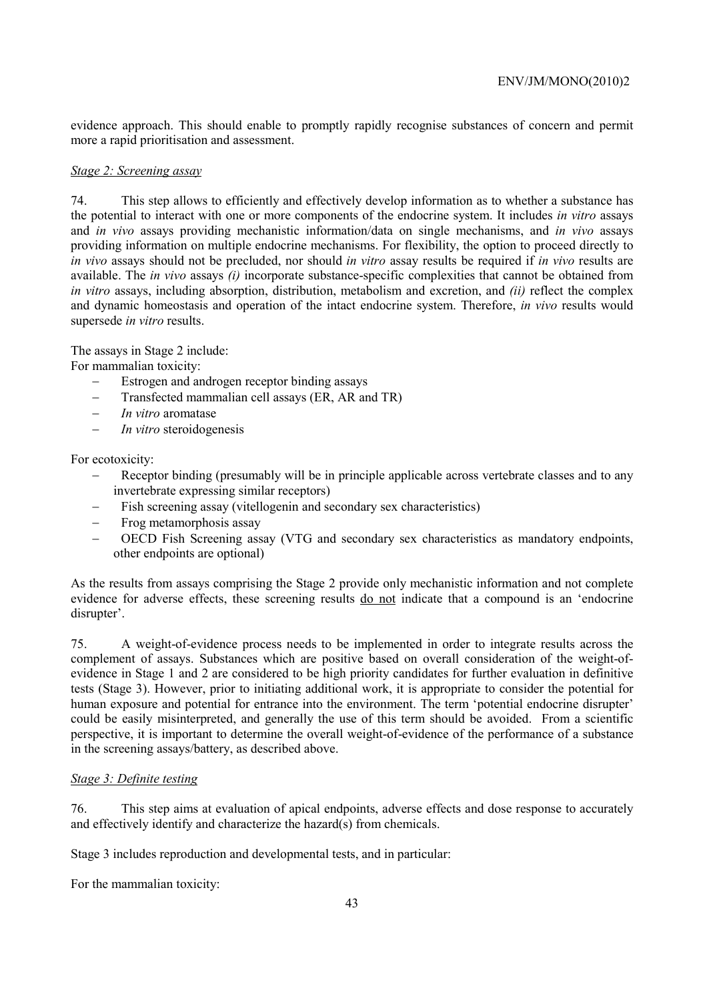evidence approach. This should enable to promptly rapidly recognise substances of concern and permit more a rapid prioritisation and assessment.

### *Stage 2: Screening assay*

74. This step allows to efficiently and effectively develop information as to whether a substance has the potential to interact with one or more components of the endocrine system. It includes *in vitro* assays and *in vivo* assays providing mechanistic information/data on single mechanisms, and *in vivo* assays providing information on multiple endocrine mechanisms. For flexibility, the option to proceed directly to *in vivo* assays should not be precluded, nor should *in vitro* assay results be required if *in vivo* results are available. The *in vivo* assays *(i)* incorporate substance-specific complexities that cannot be obtained from *in vitro* assays, including absorption, distribution, metabolism and excretion, and *(ii)* reflect the complex and dynamic homeostasis and operation of the intact endocrine system. Therefore, *in vivo* results would supersede *in vitro* results.

The assays in Stage 2 include:

For mammalian toxicity:

- Estrogen and androgen receptor binding assays
- Transfected mammalian cell assays (ER, AR and TR)
- − *In vitro* aromatase
- − *In vitro* steroidogenesis

For ecotoxicity:

- Receptor binding (presumably will be in principle applicable across vertebrate classes and to any invertebrate expressing similar receptors)
- Fish screening assay (vitellogenin and secondary sex characteristics)
- − Frog metamorphosis assay
- − OECD Fish Screening assay (VTG and secondary sex characteristics as mandatory endpoints, other endpoints are optional)

As the results from assays comprising the Stage 2 provide only mechanistic information and not complete evidence for adverse effects, these screening results do not indicate that a compound is an 'endocrine disrupter'.

75. A weight-of-evidence process needs to be implemented in order to integrate results across the complement of assays. Substances which are positive based on overall consideration of the weight-ofevidence in Stage 1 and 2 are considered to be high priority candidates for further evaluation in definitive tests (Stage 3). However, prior to initiating additional work, it is appropriate to consider the potential for human exposure and potential for entrance into the environment. The term 'potential endocrine disrupter' could be easily misinterpreted, and generally the use of this term should be avoided. From a scientific perspective, it is important to determine the overall weight-of-evidence of the performance of a substance in the screening assays/battery, as described above.

### *Stage 3: Definite testing*

76. This step aims at evaluation of apical endpoints, adverse effects and dose response to accurately and effectively identify and characterize the hazard(s) from chemicals.

Stage 3 includes reproduction and developmental tests, and in particular:

For the mammalian toxicity: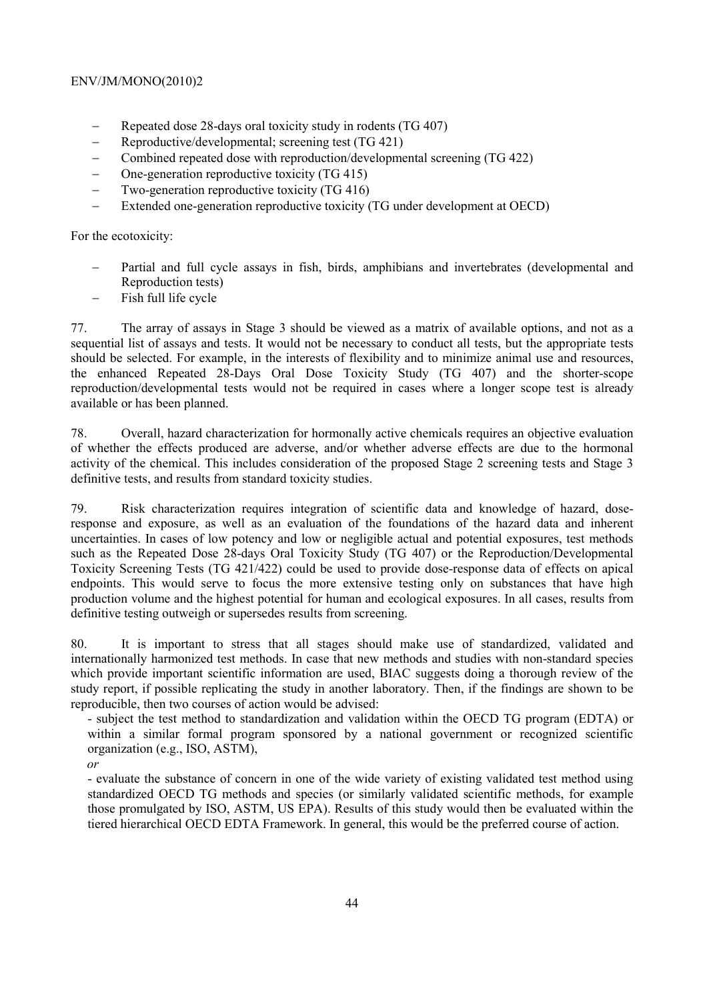- Repeated dose 28-days oral toxicity study in rodents (TG 407)
- − Reproductive/developmental; screening test (TG 421)
- − Combined repeated dose with reproduction/developmental screening (TG 422)
- − One-generation reproductive toxicity (TG 415)
- − Two-generation reproductive toxicity (TG 416)
- − Extended one-generation reproductive toxicity (TG under development at OECD)

For the ecotoxicity:

- Partial and full cycle assays in fish, birds, amphibians and invertebrates (developmental and Reproduction tests)
- Fish full life cycle

77. The array of assays in Stage 3 should be viewed as a matrix of available options, and not as a sequential list of assays and tests. It would not be necessary to conduct all tests, but the appropriate tests should be selected. For example, in the interests of flexibility and to minimize animal use and resources, the enhanced Repeated 28-Days Oral Dose Toxicity Study (TG 407) and the shorter-scope reproduction/developmental tests would not be required in cases where a longer scope test is already available or has been planned.

78. Overall, hazard characterization for hormonally active chemicals requires an objective evaluation of whether the effects produced are adverse, and/or whether adverse effects are due to the hormonal activity of the chemical. This includes consideration of the proposed Stage 2 screening tests and Stage 3 definitive tests, and results from standard toxicity studies.

79. Risk characterization requires integration of scientific data and knowledge of hazard, doseresponse and exposure, as well as an evaluation of the foundations of the hazard data and inherent uncertainties. In cases of low potency and low or negligible actual and potential exposures, test methods such as the Repeated Dose 28-days Oral Toxicity Study (TG 407) or the Reproduction/Developmental Toxicity Screening Tests (TG 421/422) could be used to provide dose-response data of effects on apical endpoints. This would serve to focus the more extensive testing only on substances that have high production volume and the highest potential for human and ecological exposures. In all cases, results from definitive testing outweigh or supersedes results from screening.

80. It is important to stress that all stages should make use of standardized, validated and internationally harmonized test methods. In case that new methods and studies with non-standard species which provide important scientific information are used, BIAC suggests doing a thorough review of the study report, if possible replicating the study in another laboratory. Then, if the findings are shown to be reproducible, then two courses of action would be advised:

- subject the test method to standardization and validation within the OECD TG program (EDTA) or within a similar formal program sponsored by a national government or recognized scientific organization (e.g., ISO, ASTM),

- evaluate the substance of concern in one of the wide variety of existing validated test method using standardized OECD TG methods and species (or similarly validated scientific methods, for example those promulgated by ISO, ASTM, US EPA). Results of this study would then be evaluated within the tiered hierarchical OECD EDTA Framework. In general, this would be the preferred course of action.

*or*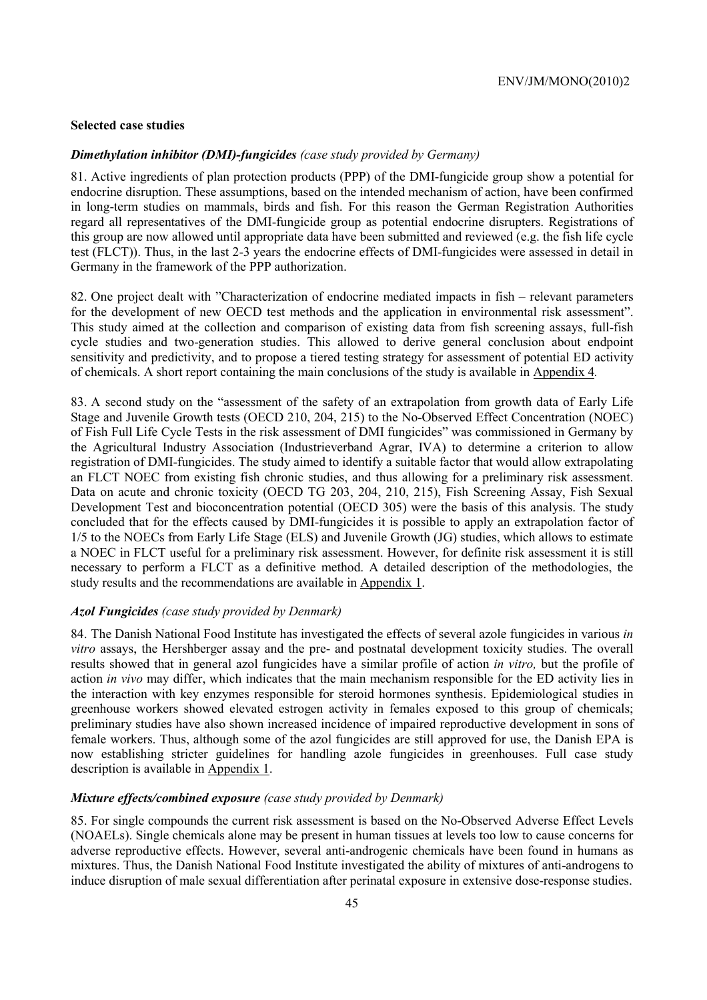#### **Selected case studies**

#### *Dimethylation inhibitor (DMI)-fungicides (case study provided by Germany)*

81. Active ingredients of plan protection products (PPP) of the DMI-fungicide group show a potential for endocrine disruption. These assumptions, based on the intended mechanism of action, have been confirmed in long-term studies on mammals, birds and fish. For this reason the German Registration Authorities regard all representatives of the DMI-fungicide group as potential endocrine disrupters. Registrations of this group are now allowed until appropriate data have been submitted and reviewed (e.g. the fish life cycle test (FLCT)). Thus, in the last 2-3 years the endocrine effects of DMI-fungicides were assessed in detail in Germany in the framework of the PPP authorization.

82. One project dealt with "Characterization of endocrine mediated impacts in fish – relevant parameters for the development of new OECD test methods and the application in environmental risk assessment". This study aimed at the collection and comparison of existing data from fish screening assays, full-fish cycle studies and two-generation studies. This allowed to derive general conclusion about endpoint sensitivity and predictivity, and to propose a tiered testing strategy for assessment of potential ED activity of chemicals. A short report containing the main conclusions of the study is available in Appendix 4*.*

83. A second study on the "assessment of the safety of an extrapolation from growth data of Early Life Stage and Juvenile Growth tests (OECD 210, 204, 215) to the No-Observed Effect Concentration (NOEC) of Fish Full Life Cycle Tests in the risk assessment of DMI fungicides" was commissioned in Germany by the Agricultural Industry Association (Industrieverband Agrar, IVA) to determine a criterion to allow registration of DMI-fungicides. The study aimed to identify a suitable factor that would allow extrapolating an FLCT NOEC from existing fish chronic studies, and thus allowing for a preliminary risk assessment. Data on acute and chronic toxicity (OECD TG 203, 204, 210, 215), Fish Screening Assay, Fish Sexual Development Test and bioconcentration potential (OECD 305) were the basis of this analysis. The study concluded that for the effects caused by DMI-fungicides it is possible to apply an extrapolation factor of 1/5 to the NOECs from Early Life Stage (ELS) and Juvenile Growth (JG) studies, which allows to estimate a NOEC in FLCT useful for a preliminary risk assessment. However, for definite risk assessment it is still necessary to perform a FLCT as a definitive method. A detailed description of the methodologies, the study results and the recommendations are available in Appendix 1.

#### *Azol Fungicides (case study provided by Denmark)*

84. The Danish National Food Institute has investigated the effects of several azole fungicides in various *in vitro* assays, the Hershberger assay and the pre- and postnatal development toxicity studies. The overall results showed that in general azol fungicides have a similar profile of action *in vitro,* but the profile of action *in vivo* may differ, which indicates that the main mechanism responsible for the ED activity lies in the interaction with key enzymes responsible for steroid hormones synthesis. Epidemiological studies in greenhouse workers showed elevated estrogen activity in females exposed to this group of chemicals; preliminary studies have also shown increased incidence of impaired reproductive development in sons of female workers. Thus, although some of the azol fungicides are still approved for use, the Danish EPA is now establishing stricter guidelines for handling azole fungicides in greenhouses. Full case study description is available in Appendix 1.

#### *Mixture effects/combined exposure (case study provided by Denmark)*

85. For single compounds the current risk assessment is based on the No-Observed Adverse Effect Levels (NOAELs). Single chemicals alone may be present in human tissues at levels too low to cause concerns for adverse reproductive effects. However, several anti-androgenic chemicals have been found in humans as mixtures. Thus, the Danish National Food Institute investigated the ability of mixtures of anti-androgens to induce disruption of male sexual differentiation after perinatal exposure in extensive dose-response studies.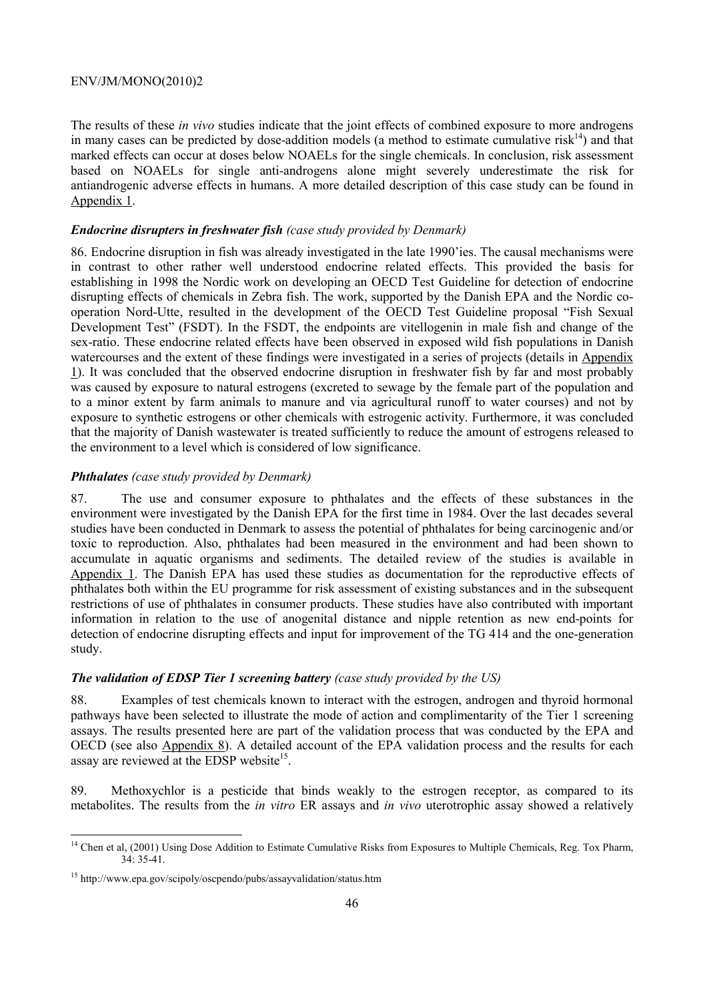The results of these *in vivo* studies indicate that the joint effects of combined exposure to more androgens in many cases can be predicted by dose-addition models (a method to estimate cumulative risk<sup>14</sup>) and that marked effects can occur at doses below NOAELs for the single chemicals. In conclusion, risk assessment based on NOAELs for single anti-androgens alone might severely underestimate the risk for antiandrogenic adverse effects in humans. A more detailed description of this case study can be found in Appendix 1.

#### *Endocrine disrupters in freshwater fish (case study provided by Denmark)*

86. Endocrine disruption in fish was already investigated in the late 1990'ies. The causal mechanisms were in contrast to other rather well understood endocrine related effects. This provided the basis for establishing in 1998 the Nordic work on developing an OECD Test Guideline for detection of endocrine disrupting effects of chemicals in Zebra fish. The work, supported by the Danish EPA and the Nordic cooperation Nord-Utte, resulted in the development of the OECD Test Guideline proposal "Fish Sexual Development Test" (FSDT). In the FSDT, the endpoints are vitellogenin in male fish and change of the sex-ratio. These endocrine related effects have been observed in exposed wild fish populations in Danish watercourses and the extent of these findings were investigated in a series of projects (details in Appendix 1). It was concluded that the observed endocrine disruption in freshwater fish by far and most probably was caused by exposure to natural estrogens (excreted to sewage by the female part of the population and to a minor extent by farm animals to manure and via agricultural runoff to water courses) and not by exposure to synthetic estrogens or other chemicals with estrogenic activity. Furthermore, it was concluded that the majority of Danish wastewater is treated sufficiently to reduce the amount of estrogens released to the environment to a level which is considered of low significance.

#### *Phthalates (case study provided by Denmark)*

87. The use and consumer exposure to phthalates and the effects of these substances in the environment were investigated by the Danish EPA for the first time in 1984. Over the last decades several studies have been conducted in Denmark to assess the potential of phthalates for being carcinogenic and/or toxic to reproduction. Also, phthalates had been measured in the environment and had been shown to accumulate in aquatic organisms and sediments. The detailed review of the studies is available in Appendix 1. The Danish EPA has used these studies as documentation for the reproductive effects of phthalates both within the EU programme for risk assessment of existing substances and in the subsequent restrictions of use of phthalates in consumer products. These studies have also contributed with important information in relation to the use of anogenital distance and nipple retention as new end-points for detection of endocrine disrupting effects and input for improvement of the TG 414 and the one-generation study.

# *The validation of EDSP Tier 1 screening battery (case study provided by the US)*

88. Examples of test chemicals known to interact with the estrogen, androgen and thyroid hormonal pathways have been selected to illustrate the mode of action and complimentarity of the Tier 1 screening assays. The results presented here are part of the validation process that was conducted by the EPA and OECD (see also Appendix 8). A detailed account of the EPA validation process and the results for each assay are reviewed at the EDSP website<sup>15</sup>.

89. Methoxychlor is a pesticide that binds weakly to the estrogen receptor, as compared to its metabolites. The results from the *in vitro* ER assays and *in vivo* uterotrophic assay showed a relatively

<sup>&</sup>lt;sup>14</sup> Chen et al, (2001) Using Dose Addition to Estimate Cumulative Risks from Exposures to Multiple Chemicals, Reg. Tox Pharm, 34: 35-41.

<sup>15</sup> http://www.epa.gov/scipoly/oscpendo/pubs/assayvalidation/status.htm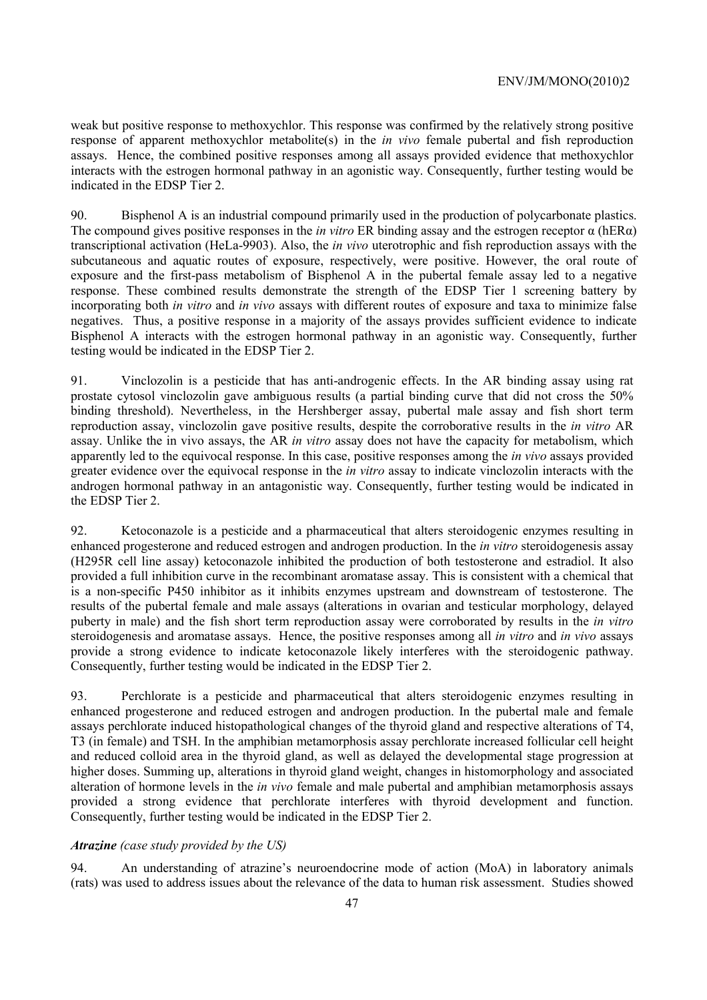weak but positive response to methoxychlor. This response was confirmed by the relatively strong positive response of apparent methoxychlor metabolite(s) in the *in vivo* female pubertal and fish reproduction assays. Hence, the combined positive responses among all assays provided evidence that methoxychlor interacts with the estrogen hormonal pathway in an agonistic way. Consequently, further testing would be indicated in the EDSP Tier 2.

90. Bisphenol A is an industrial compound primarily used in the production of polycarbonate plastics. The compound gives positive responses in the *in vitro* ER binding assay and the estrogen receptor α (hERα) transcriptional activation (HeLa-9903). Also, the *in vivo* uterotrophic and fish reproduction assays with the subcutaneous and aquatic routes of exposure, respectively, were positive. However, the oral route of exposure and the first-pass metabolism of Bisphenol A in the pubertal female assay led to a negative response. These combined results demonstrate the strength of the EDSP Tier 1 screening battery by incorporating both *in vitro* and *in vivo* assays with different routes of exposure and taxa to minimize false negatives. Thus, a positive response in a majority of the assays provides sufficient evidence to indicate Bisphenol A interacts with the estrogen hormonal pathway in an agonistic way. Consequently, further testing would be indicated in the EDSP Tier 2.

91. Vinclozolin is a pesticide that has anti-androgenic effects. In the AR binding assay using rat prostate cytosol vinclozolin gave ambiguous results (a partial binding curve that did not cross the 50% binding threshold). Nevertheless, in the Hershberger assay, pubertal male assay and fish short term reproduction assay, vinclozolin gave positive results, despite the corroborative results in the *in vitro* AR assay. Unlike the in vivo assays, the AR *in vitro* assay does not have the capacity for metabolism, which apparently led to the equivocal response. In this case, positive responses among the *in vivo* assays provided greater evidence over the equivocal response in the *in vitro* assay to indicate vinclozolin interacts with the androgen hormonal pathway in an antagonistic way. Consequently, further testing would be indicated in the EDSP Tier 2.

92. Ketoconazole is a pesticide and a pharmaceutical that alters steroidogenic enzymes resulting in enhanced progesterone and reduced estrogen and androgen production. In the *in vitro* steroidogenesis assay (H295R cell line assay) ketoconazole inhibited the production of both testosterone and estradiol. It also provided a full inhibition curve in the recombinant aromatase assay. This is consistent with a chemical that is a non-specific P450 inhibitor as it inhibits enzymes upstream and downstream of testosterone. The results of the pubertal female and male assays (alterations in ovarian and testicular morphology, delayed puberty in male) and the fish short term reproduction assay were corroborated by results in the *in vitro* steroidogenesis and aromatase assays. Hence, the positive responses among all *in vitro* and *in vivo* assays provide a strong evidence to indicate ketoconazole likely interferes with the steroidogenic pathway. Consequently, further testing would be indicated in the EDSP Tier 2.

93. Perchlorate is a pesticide and pharmaceutical that alters steroidogenic enzymes resulting in enhanced progesterone and reduced estrogen and androgen production. In the pubertal male and female assays perchlorate induced histopathological changes of the thyroid gland and respective alterations of T4, T3 (in female) and TSH. In the amphibian metamorphosis assay perchlorate increased follicular cell height and reduced colloid area in the thyroid gland, as well as delayed the developmental stage progression at higher doses. Summing up, alterations in thyroid gland weight, changes in histomorphology and associated alteration of hormone levels in the *in vivo* female and male pubertal and amphibian metamorphosis assays provided a strong evidence that perchlorate interferes with thyroid development and function. Consequently, further testing would be indicated in the EDSP Tier 2.

### *Atrazine (case study provided by the US)*

94. An understanding of atrazine's neuroendocrine mode of action (MoA) in laboratory animals (rats) was used to address issues about the relevance of the data to human risk assessment. Studies showed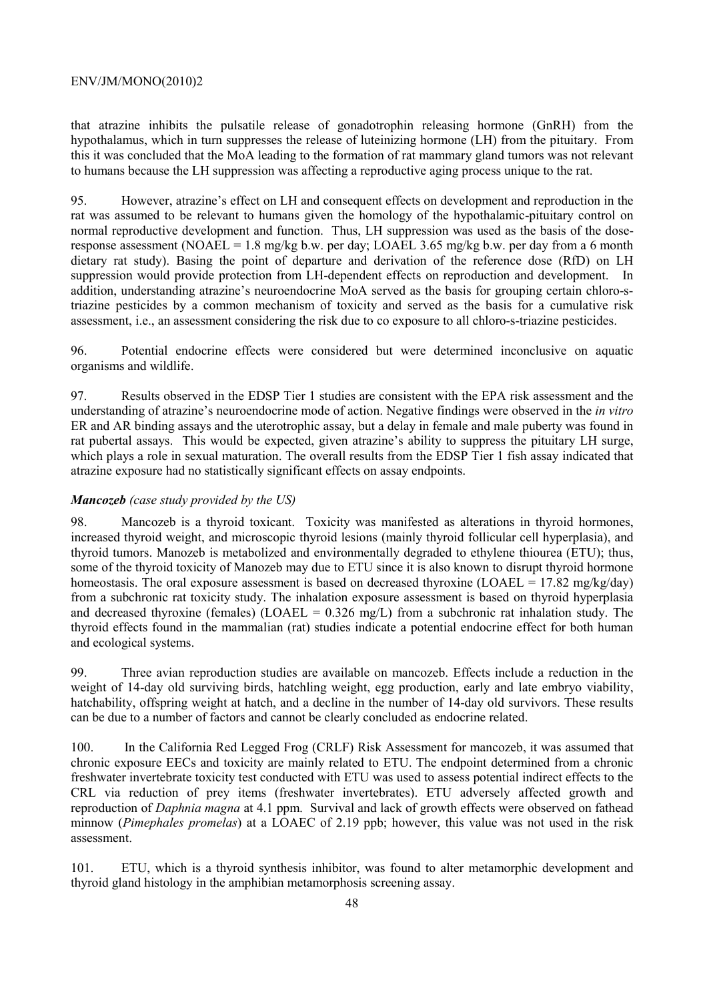that atrazine inhibits the pulsatile release of gonadotrophin releasing hormone (GnRH) from the hypothalamus, which in turn suppresses the release of luteinizing hormone (LH) from the pituitary. From this it was concluded that the MoA leading to the formation of rat mammary gland tumors was not relevant to humans because the LH suppression was affecting a reproductive aging process unique to the rat.

95. However, atrazine's effect on LH and consequent effects on development and reproduction in the rat was assumed to be relevant to humans given the homology of the hypothalamic-pituitary control on normal reproductive development and function. Thus, LH suppression was used as the basis of the doseresponse assessment (NOAEL = 1.8 mg/kg b.w. per day; LOAEL 3.65 mg/kg b.w. per day from a 6 month dietary rat study). Basing the point of departure and derivation of the reference dose (RfD) on LH suppression would provide protection from LH-dependent effects on reproduction and development. In addition, understanding atrazine's neuroendocrine MoA served as the basis for grouping certain chloro-striazine pesticides by a common mechanism of toxicity and served as the basis for a cumulative risk assessment, i.e., an assessment considering the risk due to co exposure to all chloro-s-triazine pesticides.

96. Potential endocrine effects were considered but were determined inconclusive on aquatic organisms and wildlife.

97. Results observed in the EDSP Tier 1 studies are consistent with the EPA risk assessment and the understanding of atrazine's neuroendocrine mode of action. Negative findings were observed in the *in vitro* ER and AR binding assays and the uterotrophic assay, but a delay in female and male puberty was found in rat pubertal assays. This would be expected, given atrazine's ability to suppress the pituitary LH surge, which plays a role in sexual maturation. The overall results from the EDSP Tier 1 fish assay indicated that atrazine exposure had no statistically significant effects on assay endpoints.

#### *Mancozeb (case study provided by the US)*

98. Mancozeb is a thyroid toxicant. Toxicity was manifested as alterations in thyroid hormones, increased thyroid weight, and microscopic thyroid lesions (mainly thyroid follicular cell hyperplasia), and thyroid tumors. Manozeb is metabolized and environmentally degraded to ethylene thiourea (ETU); thus, some of the thyroid toxicity of Manozeb may due to ETU since it is also known to disrupt thyroid hormone homeostasis. The oral exposure assessment is based on decreased thyroxine (LOAEL =  $17.82 \text{ mg/kg/day}$ ) from a subchronic rat toxicity study. The inhalation exposure assessment is based on thyroid hyperplasia and decreased thyroxine (females) (LOAEL =  $0.326$  mg/L) from a subchronic rat inhalation study. The thyroid effects found in the mammalian (rat) studies indicate a potential endocrine effect for both human and ecological systems.

99. Three avian reproduction studies are available on mancozeb. Effects include a reduction in the weight of 14-day old surviving birds, hatchling weight, egg production, early and late embryo viability, hatchability, offspring weight at hatch, and a decline in the number of 14-day old survivors. These results can be due to a number of factors and cannot be clearly concluded as endocrine related.

100. In the California Red Legged Frog (CRLF) Risk Assessment for mancozeb, it was assumed that chronic exposure EECs and toxicity are mainly related to ETU. The endpoint determined from a chronic freshwater invertebrate toxicity test conducted with ETU was used to assess potential indirect effects to the CRL via reduction of prey items (freshwater invertebrates). ETU adversely affected growth and reproduction of *Daphnia magna* at 4.1 ppm. Survival and lack of growth effects were observed on fathead minnow (*Pimephales promelas*) at a LOAEC of 2.19 ppb; however, this value was not used in the risk assessment.

101. ETU, which is a thyroid synthesis inhibitor, was found to alter metamorphic development and thyroid gland histology in the amphibian metamorphosis screening assay.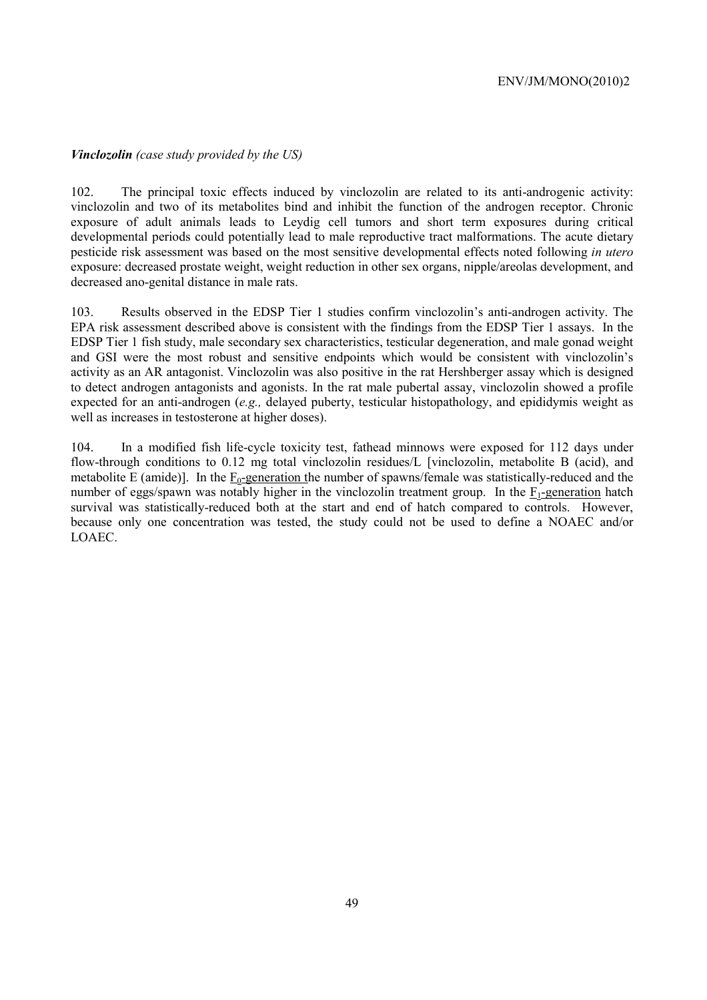#### *Vinclozolin (case study provided by the US)*

102. The principal toxic effects induced by vinclozolin are related to its anti-androgenic activity: vinclozolin and two of its metabolites bind and inhibit the function of the androgen receptor. Chronic exposure of adult animals leads to Leydig cell tumors and short term exposures during critical developmental periods could potentially lead to male reproductive tract malformations. The acute dietary pesticide risk assessment was based on the most sensitive developmental effects noted following *in utero* exposure: decreased prostate weight, weight reduction in other sex organs, nipple/areolas development, and decreased ano-genital distance in male rats.

103. Results observed in the EDSP Tier 1 studies confirm vinclozolin's anti-androgen activity. The EPA risk assessment described above is consistent with the findings from the EDSP Tier 1 assays. In the EDSP Tier 1 fish study, male secondary sex characteristics, testicular degeneration, and male gonad weight and GSI were the most robust and sensitive endpoints which would be consistent with vinclozolin's activity as an AR antagonist. Vinclozolin was also positive in the rat Hershberger assay which is designed to detect androgen antagonists and agonists. In the rat male pubertal assay, vinclozolin showed a profile expected for an anti-androgen (*e.g.,* delayed puberty, testicular histopathology, and epididymis weight as well as increases in testosterone at higher doses).

104. In a modified fish life-cycle toxicity test, fathead minnows were exposed for 112 days under flow-through conditions to 0.12 mg total vinclozolin residues/L [vinclozolin, metabolite B (acid), and metabolite E (amide)]. In the  $F_0$ -generation the number of spawns/female was statistically-reduced and the number of eggs/spawn was notably higher in the vinclozolin treatment group. In the F<sub>1</sub>-generation hatch survival was statistically-reduced both at the start and end of hatch compared to controls. However, because only one concentration was tested, the study could not be used to define a NOAEC and/or LOAEC.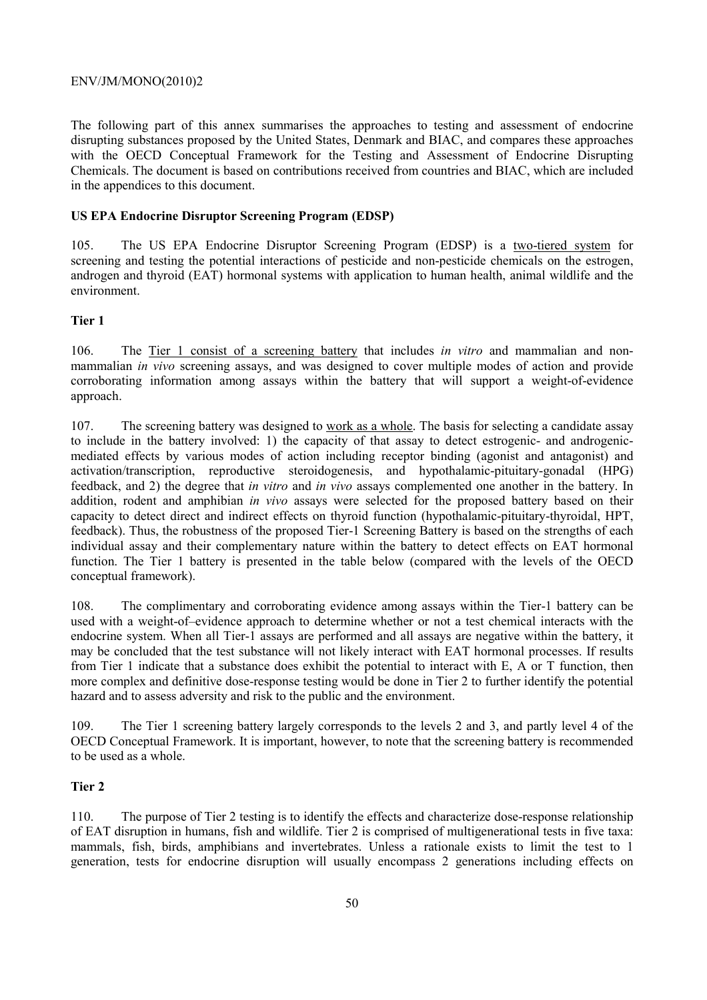The following part of this annex summarises the approaches to testing and assessment of endocrine disrupting substances proposed by the United States, Denmark and BIAC, and compares these approaches with the OECD Conceptual Framework for the Testing and Assessment of Endocrine Disrupting Chemicals. The document is based on contributions received from countries and BIAC, which are included in the appendices to this document.

#### **US EPA Endocrine Disruptor Screening Program (EDSP)**

105. The US EPA Endocrine Disruptor Screening Program (EDSP) is a two-tiered system for screening and testing the potential interactions of pesticide and non-pesticide chemicals on the estrogen, androgen and thyroid (EAT) hormonal systems with application to human health, animal wildlife and the environment.

#### **Tier 1**

106. The Tier 1 consist of a screening battery that includes *in vitro* and mammalian and nonmammalian *in vivo* screening assays, and was designed to cover multiple modes of action and provide corroborating information among assays within the battery that will support a weight-of-evidence approach.

107. The screening battery was designed to work as a whole. The basis for selecting a candidate assay to include in the battery involved: 1) the capacity of that assay to detect estrogenic- and androgenicmediated effects by various modes of action including receptor binding (agonist and antagonist) and activation/transcription, reproductive steroidogenesis, and hypothalamic-pituitary-gonadal (HPG) feedback, and 2) the degree that *in vitro* and *in vivo* assays complemented one another in the battery. In addition, rodent and amphibian *in vivo* assays were selected for the proposed battery based on their capacity to detect direct and indirect effects on thyroid function (hypothalamic-pituitary-thyroidal, HPT, feedback). Thus, the robustness of the proposed Tier-1 Screening Battery is based on the strengths of each individual assay and their complementary nature within the battery to detect effects on EAT hormonal function. The Tier 1 battery is presented in the table below (compared with the levels of the OECD conceptual framework).

108. The complimentary and corroborating evidence among assays within the Tier-1 battery can be used with a weight-of–evidence approach to determine whether or not a test chemical interacts with the endocrine system. When all Tier-1 assays are performed and all assays are negative within the battery, it may be concluded that the test substance will not likely interact with EAT hormonal processes. If results from Tier 1 indicate that a substance does exhibit the potential to interact with E, A or T function, then more complex and definitive dose-response testing would be done in Tier 2 to further identify the potential hazard and to assess adversity and risk to the public and the environment.

109. The Tier 1 screening battery largely corresponds to the levels 2 and 3, and partly level 4 of the OECD Conceptual Framework. It is important, however, to note that the screening battery is recommended to be used as a whole.

#### **Tier 2**

110. The purpose of Tier 2 testing is to identify the effects and characterize dose-response relationship of EAT disruption in humans, fish and wildlife. Tier 2 is comprised of multigenerational tests in five taxa: mammals, fish, birds, amphibians and invertebrates. Unless a rationale exists to limit the test to 1 generation, tests for endocrine disruption will usually encompass 2 generations including effects on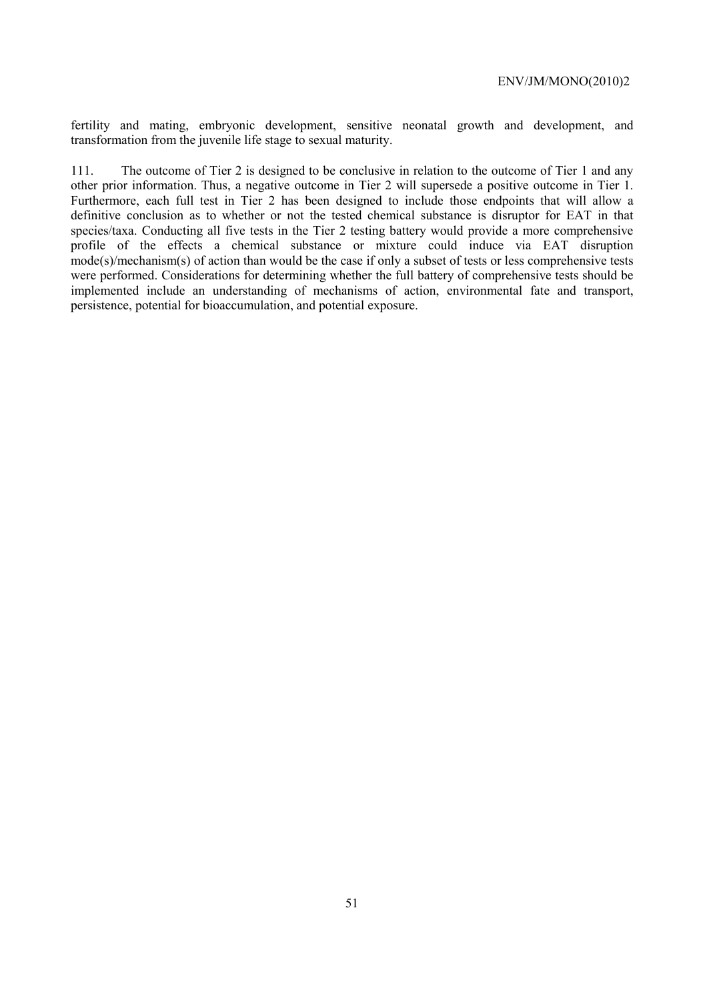fertility and mating, embryonic development, sensitive neonatal growth and development, and transformation from the juvenile life stage to sexual maturity.

111. The outcome of Tier 2 is designed to be conclusive in relation to the outcome of Tier 1 and any other prior information. Thus, a negative outcome in Tier 2 will supersede a positive outcome in Tier 1. Furthermore, each full test in Tier 2 has been designed to include those endpoints that will allow a definitive conclusion as to whether or not the tested chemical substance is disruptor for EAT in that species/taxa. Conducting all five tests in the Tier 2 testing battery would provide a more comprehensive profile of the effects a chemical substance or mixture could induce via EAT disruption mode(s)/mechanism(s) of action than would be the case if only a subset of tests or less comprehensive tests were performed. Considerations for determining whether the full battery of comprehensive tests should be implemented include an understanding of mechanisms of action, environmental fate and transport, persistence, potential for bioaccumulation, and potential exposure.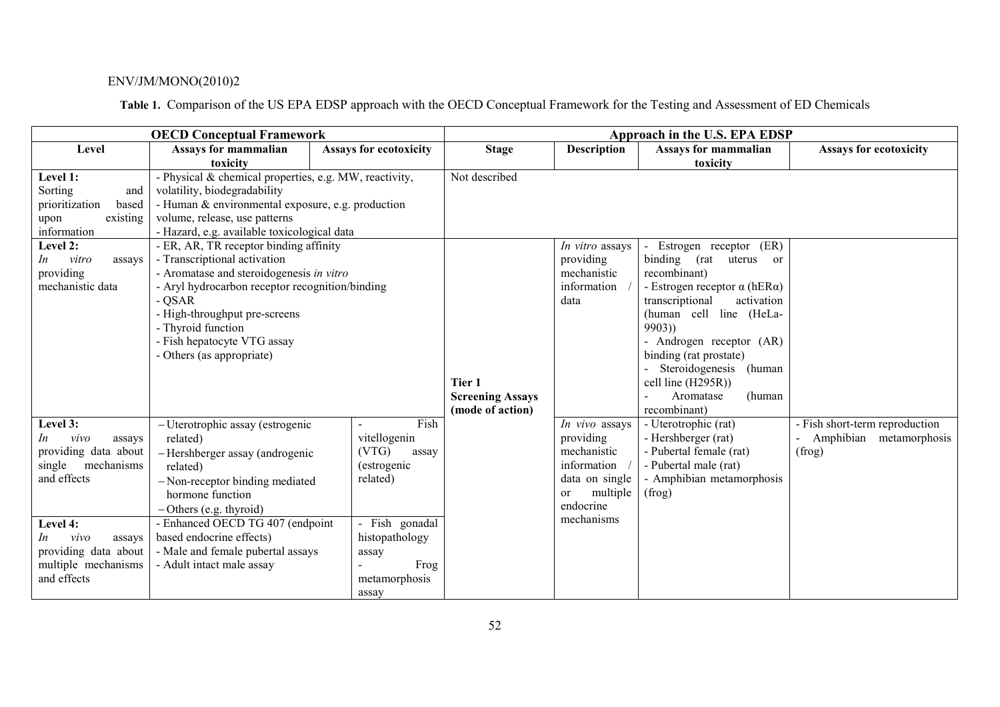**Table 1.** Comparison of the US EPA EDSP approach with the OECD Conceptual Framework for the Testing and Assessment of ED Chemicals

| <b>OECD Conceptual Framework</b>                                                                |                                                                                                                                                                                                                                                                                                    |                                                                             | Approach in the U.S. EPA EDSP                         |                                                                                                            |                                                                                                                                                                                                                                                                                                                                                        |                                                                     |
|-------------------------------------------------------------------------------------------------|----------------------------------------------------------------------------------------------------------------------------------------------------------------------------------------------------------------------------------------------------------------------------------------------------|-----------------------------------------------------------------------------|-------------------------------------------------------|------------------------------------------------------------------------------------------------------------|--------------------------------------------------------------------------------------------------------------------------------------------------------------------------------------------------------------------------------------------------------------------------------------------------------------------------------------------------------|---------------------------------------------------------------------|
| Level                                                                                           | <b>Assays for mammalian</b><br>toxicity                                                                                                                                                                                                                                                            | <b>Assays for ecotoxicity</b>                                               | <b>Stage</b>                                          | <b>Description</b>                                                                                         | <b>Assays for mammalian</b><br>toxicity                                                                                                                                                                                                                                                                                                                | <b>Assays for ecotoxicity</b>                                       |
| Level 1:<br>Sorting<br>and<br>based<br>prioritization<br>existing<br>upon<br>information        | - Physical & chemical properties, e.g. MW, reactivity,<br>volatility, biodegradability<br>- Human & environmental exposure, e.g. production<br>volume, release, use patterns<br>- Hazard, e.g. available toxicological data                                                                        | Not described                                                               |                                                       |                                                                                                            |                                                                                                                                                                                                                                                                                                                                                        |                                                                     |
| Level 2:<br>vitro<br>In<br>assays<br>providing<br>mechanistic data                              | - ER, AR, TR receptor binding affinity<br>- Transcriptional activation<br>- Aromatase and steroidogenesis in vitro<br>- Aryl hydrocarbon receptor recognition/binding<br>- QSAR<br>- High-throughput pre-screens<br>- Thyroid function<br>- Fish hepatocyte VTG assay<br>- Others (as appropriate) |                                                                             | Tier 1<br><b>Screening Assays</b><br>(mode of action) | In vitro assays<br>providing<br>mechanistic<br>information<br>data                                         | Estrogen receptor (ER)<br>binding (rat<br>uterus<br><sub>or</sub><br>recombinant)<br>- Estrogen receptor $\alpha$ (hER $\alpha$ )<br>activation<br>transcriptional<br>(human cell line (HeLa-<br>9903)<br>- Androgen receptor (AR)<br>binding (rat prostate)<br>Steroidogenesis<br>(human<br>cell line (H295R))<br>Aromatase<br>(human<br>recombinant) |                                                                     |
| Level 3:<br>vivo<br>In<br>assays<br>providing data about<br>single<br>mechanisms<br>and effects | - Uterotrophic assay (estrogenic<br>related)<br>- Hershberger assay (androgenic<br>related)<br>- Non-receptor binding mediated<br>hormone function<br>$-$ Others (e.g. thyroid)                                                                                                                    | Fish<br>vitellogenin<br>(VTG)<br>assay<br>(estrogenic<br>related)           |                                                       | In vivo assays<br>providing<br>mechanistic<br>information<br>data on single<br>multiple<br>or<br>endocrine | - Uterotrophic (rat)<br>- Hershberger (rat)<br>- Pubertal female (rat)<br>- Pubertal male (rat)<br>- Amphibian metamorphosis<br>(frog)                                                                                                                                                                                                                 | - Fish short-term reproduction<br>Amphibian metamorphosis<br>(frog) |
| Level 4:<br>vivo<br>assays<br>In<br>providing data about<br>multiple mechanisms<br>and effects  | - Enhanced OECD TG 407 (endpoint<br>based endocrine effects)<br>- Male and female pubertal assays<br>- Adult intact male assay                                                                                                                                                                     | - Fish gonadal<br>histopathology<br>assay<br>Frog<br>metamorphosis<br>assay |                                                       | mechanisms                                                                                                 |                                                                                                                                                                                                                                                                                                                                                        |                                                                     |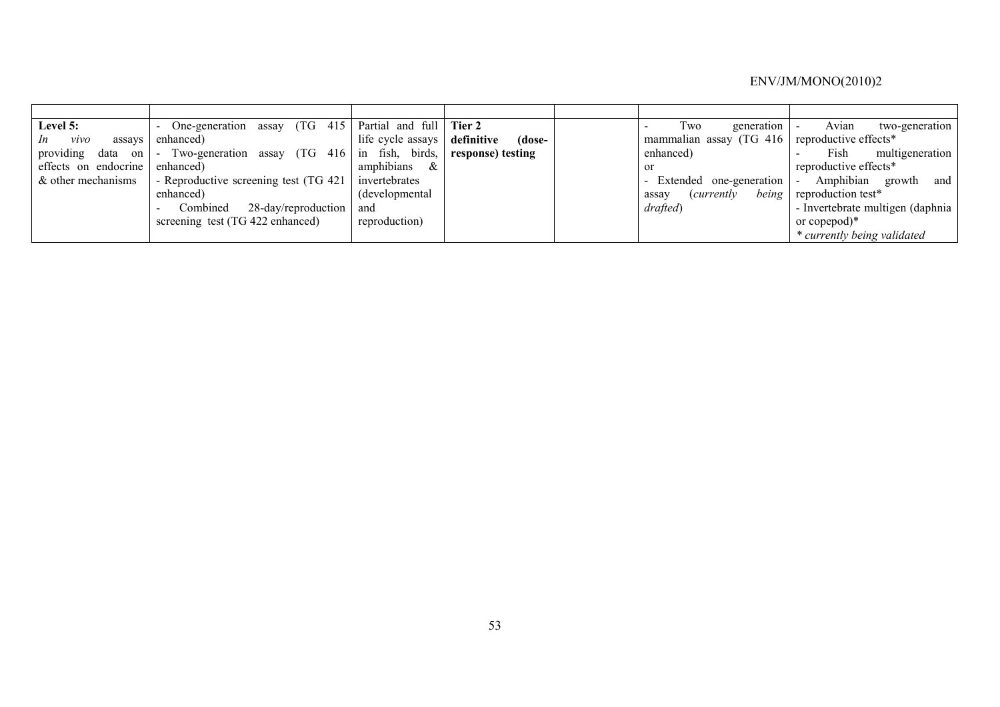| <b>Level 5:</b>           | One-generation assay (TG 415)                                             | Partial and full   Tier 2    |        | generation<br>I wo-                       | Avian<br>two-generation           |
|---------------------------|---------------------------------------------------------------------------|------------------------------|--------|-------------------------------------------|-----------------------------------|
| vivo<br>In<br>assays      | enhanced)                                                                 | life cycle assays definitive | (dose- | mammalian assay (TG 416                   | reproductive effects*             |
| providing<br>data<br>on 1 | $\vert$ - Two-generation assay (TG 416) in fish, birds, response) testing |                              |        | enhanced)                                 | multigeneration<br>Fish           |
| effects on endocrine      | enhanced)                                                                 | amphibians<br>$\alpha$       |        | 0r                                        | reproductive effects*             |
| & other mechanisms        | - Reproductive screening test (TG 421   invertebrates                     |                              |        | Extended one-generation                   | Amphibian growth<br>and           |
|                           | enhanced)                                                                 | (developmental)              |        | <i>being</i><br><i>currently</i><br>assay | reproduction test*                |
|                           | Combined<br>$28$ -day/reproduction                                        | and                          |        | drafted)                                  | - Invertebrate multigen (daphnia) |
|                           | screening test (TG 422 enhanced)                                          | reproduction)                |        |                                           | or copepod $)^*$                  |
|                           |                                                                           |                              |        |                                           | * currently being validated       |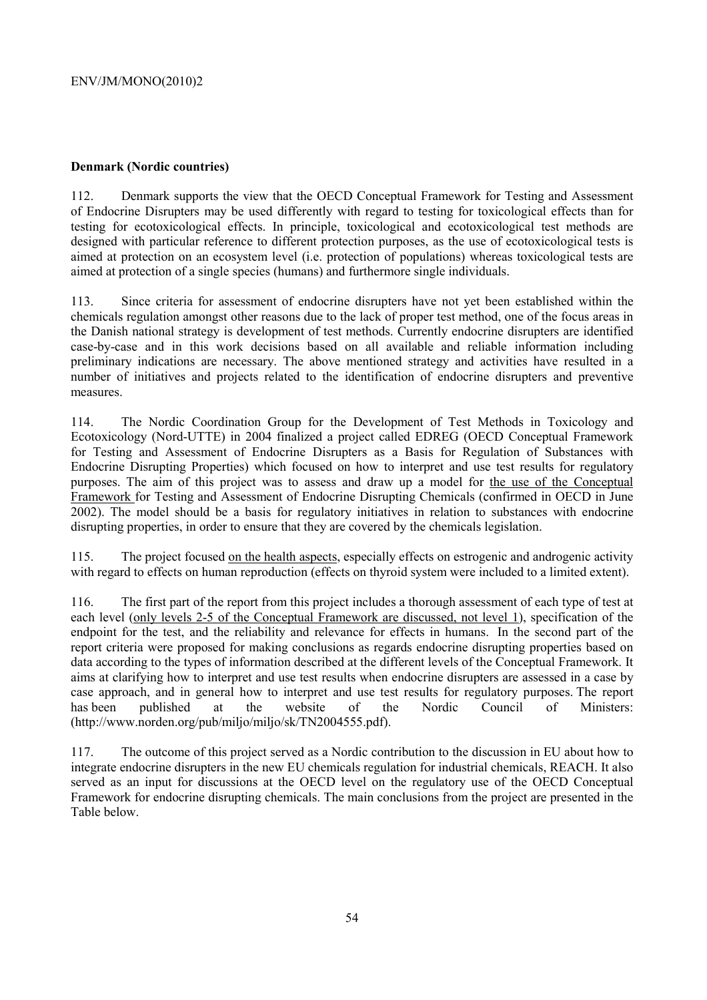# **Denmark (Nordic countries)**

112. Denmark supports the view that the OECD Conceptual Framework for Testing and Assessment of Endocrine Disrupters may be used differently with regard to testing for toxicological effects than for testing for ecotoxicological effects. In principle, toxicological and ecotoxicological test methods are designed with particular reference to different protection purposes, as the use of ecotoxicological tests is aimed at protection on an ecosystem level (i.e. protection of populations) whereas toxicological tests are aimed at protection of a single species (humans) and furthermore single individuals.

113. Since criteria for assessment of endocrine disrupters have not yet been established within the chemicals regulation amongst other reasons due to the lack of proper test method, one of the focus areas in the Danish national strategy is development of test methods. Currently endocrine disrupters are identified case-by-case and in this work decisions based on all available and reliable information including preliminary indications are necessary. The above mentioned strategy and activities have resulted in a number of initiatives and projects related to the identification of endocrine disrupters and preventive measures.

114. The Nordic Coordination Group for the Development of Test Methods in Toxicology and Ecotoxicology (Nord-UTTE) in 2004 finalized a project called EDREG (OECD Conceptual Framework for Testing and Assessment of Endocrine Disrupters as a Basis for Regulation of Substances with Endocrine Disrupting Properties) which focused on how to interpret and use test results for regulatory purposes. The aim of this project was to assess and draw up a model for the use of the Conceptual Framework for Testing and Assessment of Endocrine Disrupting Chemicals (confirmed in OECD in June 2002). The model should be a basis for regulatory initiatives in relation to substances with endocrine disrupting properties, in order to ensure that they are covered by the chemicals legislation.

115. The project focused on the health aspects, especially effects on estrogenic and androgenic activity with regard to effects on human reproduction (effects on thyroid system were included to a limited extent).

116. The first part of the report from this project includes a thorough assessment of each type of test at each level (only levels 2-5 of the Conceptual Framework are discussed, not level 1), specification of the endpoint for the test, and the reliability and relevance for effects in humans. In the second part of the report criteria were proposed for making conclusions as regards endocrine disrupting properties based on data according to the types of information described at the different levels of the Conceptual Framework. It aims at clarifying how to interpret and use test results when endocrine disrupters are assessed in a case by case approach, and in general how to interpret and use test results for regulatory purposes. The report has been published at the website of the Nordic Council of Ministers: (http://www.norden.org/pub/miljo/miljo/sk/TN2004555.pdf).

117. The outcome of this project served as a Nordic contribution to the discussion in EU about how to integrate endocrine disrupters in the new EU chemicals regulation for industrial chemicals, REACH. It also served as an input for discussions at the OECD level on the regulatory use of the OECD Conceptual Framework for endocrine disrupting chemicals. The main conclusions from the project are presented in the Table below.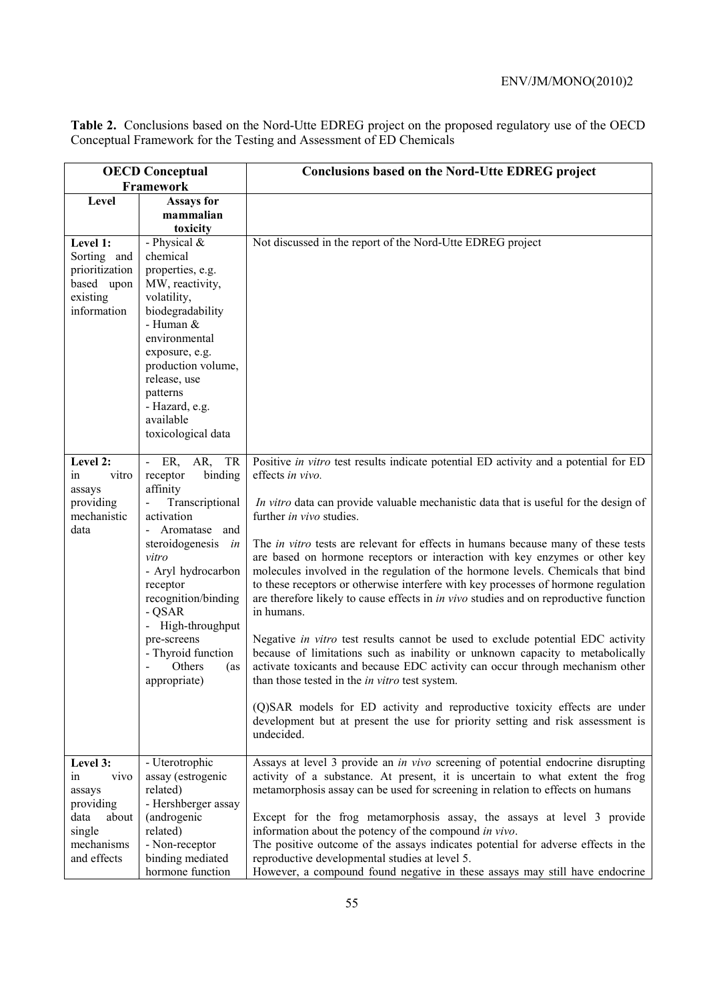**Table 2.** Conclusions based on the Nord-Utte EDREG project on the proposed regulatory use of the OECD Conceptual Framework for the Testing and Assessment of ED Chemicals

| <b>OECD</b> Conceptual  |                                 | <b>Conclusions based on the Nord-Utte EDREG project</b>                                                                                                               |
|-------------------------|---------------------------------|-----------------------------------------------------------------------------------------------------------------------------------------------------------------------|
|                         | Framework                       |                                                                                                                                                                       |
| Level                   | <b>Assays for</b>               |                                                                                                                                                                       |
|                         | mammalian                       |                                                                                                                                                                       |
|                         | toxicity                        |                                                                                                                                                                       |
| Level 1:<br>Sorting and | - Physical &<br>chemical        | Not discussed in the report of the Nord-Utte EDREG project                                                                                                            |
| prioritization          | properties, e.g.                |                                                                                                                                                                       |
| based upon              | MW, reactivity,                 |                                                                                                                                                                       |
| existing                | volatility,                     |                                                                                                                                                                       |
| information             | biodegradability<br>- Human &   |                                                                                                                                                                       |
|                         | environmental                   |                                                                                                                                                                       |
|                         | exposure, e.g.                  |                                                                                                                                                                       |
|                         | production volume,              |                                                                                                                                                                       |
|                         | release, use                    |                                                                                                                                                                       |
|                         | patterns                        |                                                                                                                                                                       |
|                         | - Hazard, e.g.                  |                                                                                                                                                                       |
|                         | available                       |                                                                                                                                                                       |
|                         | toxicological data              |                                                                                                                                                                       |
| Level 2:                | $-$ ER,<br>TR<br>AR,            | Positive in vitro test results indicate potential ED activity and a potential for ED                                                                                  |
| vitro<br>in             | receptor<br>binding             | effects in vivo.                                                                                                                                                      |
| assays                  | affinity                        |                                                                                                                                                                       |
| providing               | Transcriptional                 | In vitro data can provide valuable mechanistic data that is useful for the design of                                                                                  |
| mechanistic             | activation                      | further <i>in vivo</i> studies.                                                                                                                                       |
| data                    | Aromatase and                   |                                                                                                                                                                       |
|                         | steroidogenesis<br>in           | The <i>in vitro</i> tests are relevant for effects in humans because many of these tests                                                                              |
|                         | vitro                           | are based on hormone receptors or interaction with key enzymes or other key                                                                                           |
|                         | - Aryl hydrocarbon<br>receptor  | molecules involved in the regulation of the hormone levels. Chemicals that bind<br>to these receptors or otherwise interfere with key processes of hormone regulation |
|                         | recognition/binding             | are therefore likely to cause effects in <i>in vivo</i> studies and on reproductive function                                                                          |
|                         | - QSAR                          | in humans.                                                                                                                                                            |
|                         | - High-throughput               |                                                                                                                                                                       |
|                         | pre-screens                     | Negative in vitro test results cannot be used to exclude potential EDC activity                                                                                       |
|                         | - Thyroid function              | because of limitations such as inability or unknown capacity to metabolically                                                                                         |
|                         | Others<br>(as                   | activate toxicants and because EDC activity can occur through mechanism other                                                                                         |
|                         | appropriate)                    | than those tested in the <i>in vitro</i> test system.                                                                                                                 |
|                         |                                 | (Q)SAR models for ED activity and reproductive toxicity effects are under                                                                                             |
|                         |                                 | development but at present the use for priority setting and risk assessment is                                                                                        |
|                         |                                 | undecided.                                                                                                                                                            |
|                         |                                 |                                                                                                                                                                       |
| Level 3:                | - Uterotrophic                  | Assays at level 3 provide an in vivo screening of potential endocrine disrupting                                                                                      |
| vivo<br>in              | assay (estrogenic               | activity of a substance. At present, it is uncertain to what extent the frog                                                                                          |
| assays<br>providing     | related)<br>- Hershberger assay | metamorphosis assay can be used for screening in relation to effects on humans                                                                                        |
| about<br>data           | (androgenic                     | Except for the frog metamorphosis assay, the assays at level 3 provide                                                                                                |
| single                  | related)                        | information about the potency of the compound in vivo.                                                                                                                |
| mechanisms              | - Non-receptor                  | The positive outcome of the assays indicates potential for adverse effects in the                                                                                     |
| and effects             | binding mediated                | reproductive developmental studies at level 5.                                                                                                                        |
|                         | hormone function                | However, a compound found negative in these assays may still have endocrine                                                                                           |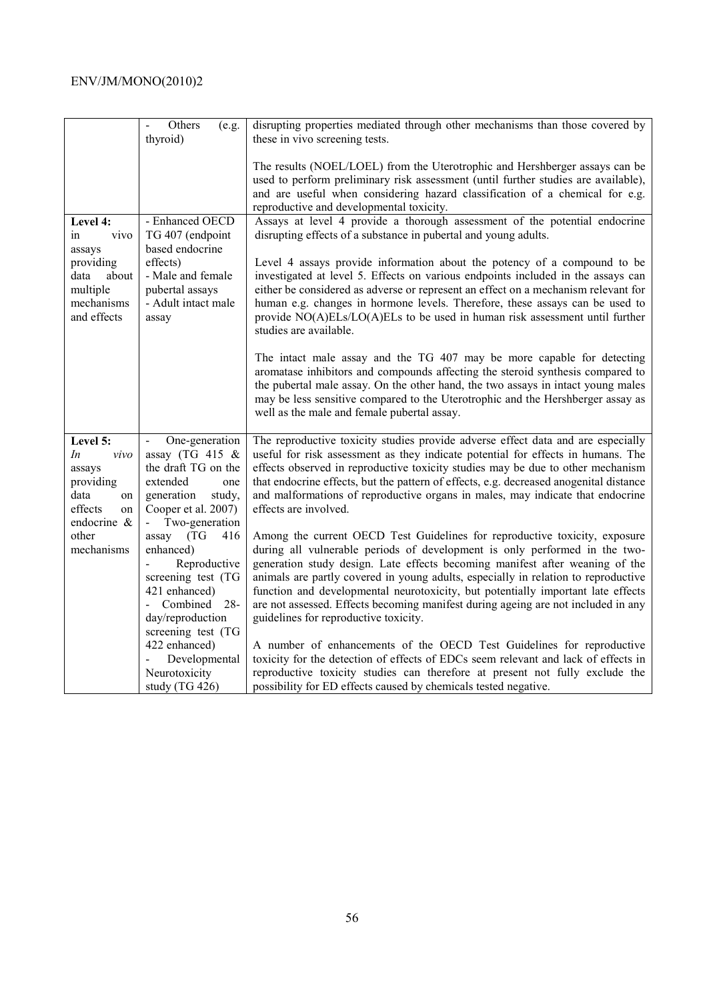|                                                                                             | Others<br>(e.g.                                                                                                                                                    | disrupting properties mediated through other mechanisms than those covered by                                                                                                                                                                                                                                                                                                                                                                                                                                                                    |
|---------------------------------------------------------------------------------------------|--------------------------------------------------------------------------------------------------------------------------------------------------------------------|--------------------------------------------------------------------------------------------------------------------------------------------------------------------------------------------------------------------------------------------------------------------------------------------------------------------------------------------------------------------------------------------------------------------------------------------------------------------------------------------------------------------------------------------------|
|                                                                                             | thyroid)                                                                                                                                                           | these in vivo screening tests.                                                                                                                                                                                                                                                                                                                                                                                                                                                                                                                   |
|                                                                                             |                                                                                                                                                                    | The results (NOEL/LOEL) from the Uterotrophic and Hershberger assays can be<br>used to perform preliminary risk assessment (until further studies are available),<br>and are useful when considering hazard classification of a chemical for e.g.<br>reproductive and developmental toxicity.                                                                                                                                                                                                                                                    |
| Level 4:<br>vivo<br>in                                                                      | - Enhanced OECD<br>TG 407 (endpoint<br>based endocrine                                                                                                             | Assays at level 4 provide a thorough assessment of the potential endocrine<br>disrupting effects of a substance in pubertal and young adults.                                                                                                                                                                                                                                                                                                                                                                                                    |
| assays<br>providing<br>about<br>data<br>multiple<br>mechanisms<br>and effects               | effects)<br>- Male and female<br>pubertal assays<br>- Adult intact male<br>assay                                                                                   | Level 4 assays provide information about the potency of a compound to be<br>investigated at level 5. Effects on various endpoints included in the assays can<br>either be considered as adverse or represent an effect on a mechanism relevant for<br>human e.g. changes in hormone levels. Therefore, these assays can be used to<br>provide NO(A)ELs/LO(A)ELs to be used in human risk assessment until further<br>studies are available.                                                                                                      |
|                                                                                             |                                                                                                                                                                    | The intact male assay and the TG 407 may be more capable for detecting<br>aromatase inhibitors and compounds affecting the steroid synthesis compared to<br>the pubertal male assay. On the other hand, the two assays in intact young males<br>may be less sensitive compared to the Uterotrophic and the Hershberger assay as<br>well as the male and female pubertal assay.                                                                                                                                                                   |
| Level 5:<br>In<br>vivo<br>assays<br>providing<br>data<br>on<br>effects<br>on<br>endocrine & | One-generation<br>$\blacksquare$<br>assay (TG 415 $&$<br>the draft TG on the<br>extended<br>one<br>generation<br>study,<br>Cooper et al. 2007)<br>- Two-generation | The reproductive toxicity studies provide adverse effect data and are especially<br>useful for risk assessment as they indicate potential for effects in humans. The<br>effects observed in reproductive toxicity studies may be due to other mechanism<br>that endocrine effects, but the pattern of effects, e.g. decreased anogenital distance<br>and malformations of reproductive organs in males, may indicate that endocrine<br>effects are involved.                                                                                     |
| other<br>mechanisms                                                                         | assay (TG<br>416<br>enhanced)<br>Reproductive<br>screening test (TG<br>421 enhanced)<br>Combined<br>- 28-<br>day/reproduction<br>screening test (TG                | Among the current OECD Test Guidelines for reproductive toxicity, exposure<br>during all vulnerable periods of development is only performed in the two-<br>generation study design. Late effects becoming manifest after weaning of the<br>animals are partly covered in young adults, especially in relation to reproductive<br>function and developmental neurotoxicity, but potentially important late effects<br>are not assessed. Effects becoming manifest during ageing are not included in any<br>guidelines for reproductive toxicity. |
|                                                                                             | 422 enhanced)<br>Developmental<br>Neurotoxicity<br>study (TG 426)                                                                                                  | A number of enhancements of the OECD Test Guidelines for reproductive<br>toxicity for the detection of effects of EDCs seem relevant and lack of effects in<br>reproductive toxicity studies can therefore at present not fully exclude the<br>possibility for ED effects caused by chemicals tested negative.                                                                                                                                                                                                                                   |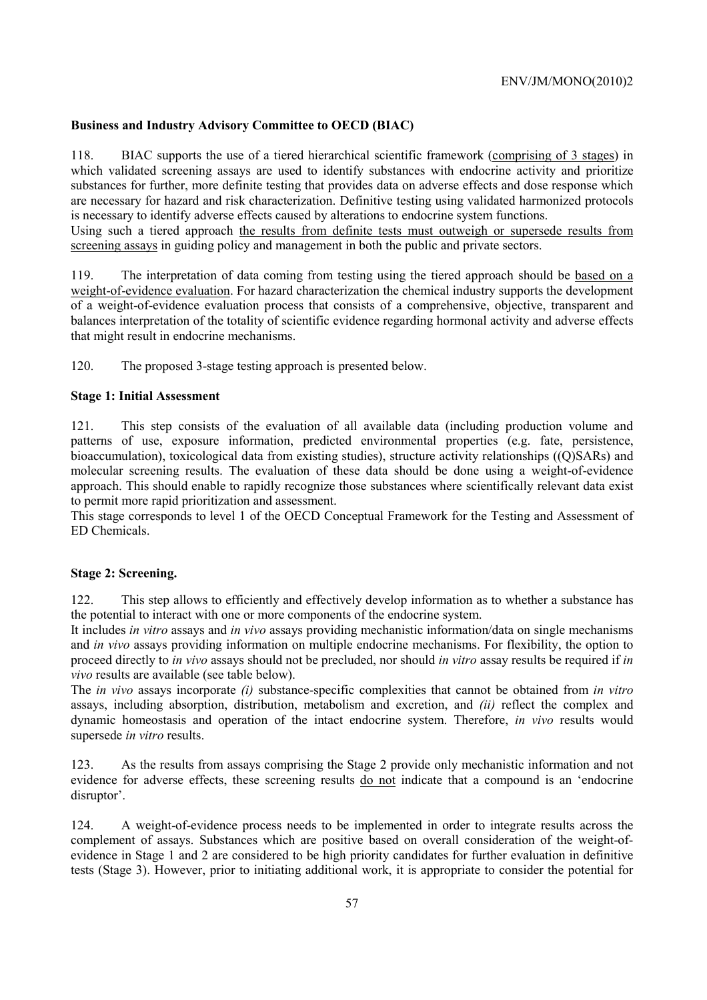# **Business and Industry Advisory Committee to OECD (BIAC)**

118. BIAC supports the use of a tiered hierarchical scientific framework (comprising of 3 stages) in which validated screening assays are used to identify substances with endocrine activity and prioritize substances for further, more definite testing that provides data on adverse effects and dose response which are necessary for hazard and risk characterization. Definitive testing using validated harmonized protocols is necessary to identify adverse effects caused by alterations to endocrine system functions. Using such a tiered approach the results from definite tests must outweigh or supersede results from screening assays in guiding policy and management in both the public and private sectors.

119. The interpretation of data coming from testing using the tiered approach should be based on a weight-of-evidence evaluation. For hazard characterization the chemical industry supports the development of a weight-of-evidence evaluation process that consists of a comprehensive, objective, transparent and balances interpretation of the totality of scientific evidence regarding hormonal activity and adverse effects that might result in endocrine mechanisms.

120. The proposed 3-stage testing approach is presented below.

#### **Stage 1: Initial Assessment**

121. This step consists of the evaluation of all available data (including production volume and patterns of use, exposure information, predicted environmental properties (e.g. fate, persistence, bioaccumulation), toxicological data from existing studies), structure activity relationships ((Q)SARs) and molecular screening results. The evaluation of these data should be done using a weight-of-evidence approach. This should enable to rapidly recognize those substances where scientifically relevant data exist to permit more rapid prioritization and assessment.

This stage corresponds to level 1 of the OECD Conceptual Framework for the Testing and Assessment of ED Chemicals.

#### **Stage 2: Screening.**

122. This step allows to efficiently and effectively develop information as to whether a substance has the potential to interact with one or more components of the endocrine system.

It includes *in vitro* assays and *in vivo* assays providing mechanistic information/data on single mechanisms and *in vivo* assays providing information on multiple endocrine mechanisms. For flexibility, the option to proceed directly to *in vivo* assays should not be precluded, nor should *in vitro* assay results be required if *in vivo* results are available (see table below).

The *in vivo* assays incorporate *(i)* substance-specific complexities that cannot be obtained from *in vitro* assays, including absorption, distribution, metabolism and excretion, and *(ii)* reflect the complex and dynamic homeostasis and operation of the intact endocrine system. Therefore, *in vivo* results would supersede *in vitro* results.

123. As the results from assays comprising the Stage 2 provide only mechanistic information and not evidence for adverse effects, these screening results do not indicate that a compound is an 'endocrine disruptor'.

124. A weight-of-evidence process needs to be implemented in order to integrate results across the complement of assays. Substances which are positive based on overall consideration of the weight-ofevidence in Stage 1 and 2 are considered to be high priority candidates for further evaluation in definitive tests (Stage 3). However, prior to initiating additional work, it is appropriate to consider the potential for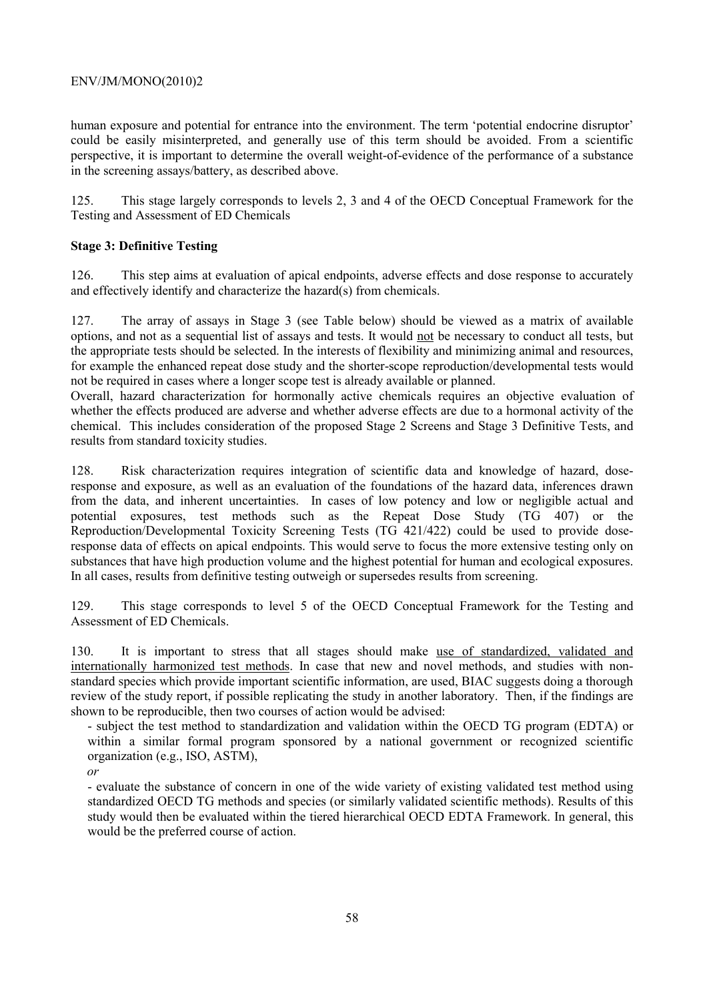human exposure and potential for entrance into the environment. The term 'potential endocrine disruptor' could be easily misinterpreted, and generally use of this term should be avoided. From a scientific perspective, it is important to determine the overall weight-of-evidence of the performance of a substance in the screening assays/battery, as described above.

125. This stage largely corresponds to levels 2, 3 and 4 of the OECD Conceptual Framework for the Testing and Assessment of ED Chemicals

# **Stage 3: Definitive Testing**

126. This step aims at evaluation of apical endpoints, adverse effects and dose response to accurately and effectively identify and characterize the hazard(s) from chemicals.

127. The array of assays in Stage 3 (see Table below) should be viewed as a matrix of available options, and not as a sequential list of assays and tests. It would not be necessary to conduct all tests, but the appropriate tests should be selected. In the interests of flexibility and minimizing animal and resources, for example the enhanced repeat dose study and the shorter-scope reproduction/developmental tests would not be required in cases where a longer scope test is already available or planned.

Overall, hazard characterization for hormonally active chemicals requires an objective evaluation of whether the effects produced are adverse and whether adverse effects are due to a hormonal activity of the chemical. This includes consideration of the proposed Stage 2 Screens and Stage 3 Definitive Tests, and results from standard toxicity studies.

128. Risk characterization requires integration of scientific data and knowledge of hazard, doseresponse and exposure, as well as an evaluation of the foundations of the hazard data, inferences drawn from the data, and inherent uncertainties. In cases of low potency and low or negligible actual and potential exposures, test methods such as the Repeat Dose Study (TG 407) or the Reproduction/Developmental Toxicity Screening Tests (TG 421/422) could be used to provide doseresponse data of effects on apical endpoints. This would serve to focus the more extensive testing only on substances that have high production volume and the highest potential for human and ecological exposures. In all cases, results from definitive testing outweigh or supersedes results from screening.

129. This stage corresponds to level 5 of the OECD Conceptual Framework for the Testing and Assessment of ED Chemicals.

130. It is important to stress that all stages should make use of standardized, validated and internationally harmonized test methods. In case that new and novel methods, and studies with nonstandard species which provide important scientific information, are used, BIAC suggests doing a thorough review of the study report, if possible replicating the study in another laboratory. Then, if the findings are shown to be reproducible, then two courses of action would be advised:

- subject the test method to standardization and validation within the OECD TG program (EDTA) or within a similar formal program sponsored by a national government or recognized scientific organization (e.g., ISO, ASTM),

*or* 

- evaluate the substance of concern in one of the wide variety of existing validated test method using standardized OECD TG methods and species (or similarly validated scientific methods). Results of this study would then be evaluated within the tiered hierarchical OECD EDTA Framework. In general, this would be the preferred course of action.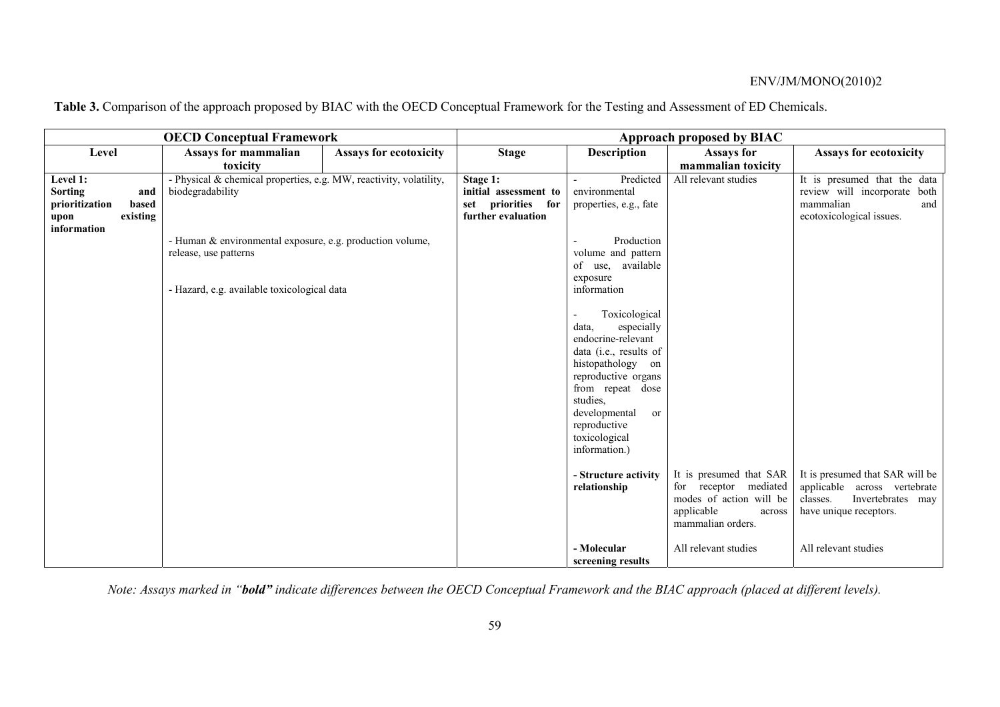| <b>OECD Conceptual Framework</b>                                                                |                                                                                                                                   |                        | Approach proposed by BIAC                                                     |                                                                                                                                                                                                                                           |                                                                                                                          |                                                                                                                            |
|-------------------------------------------------------------------------------------------------|-----------------------------------------------------------------------------------------------------------------------------------|------------------------|-------------------------------------------------------------------------------|-------------------------------------------------------------------------------------------------------------------------------------------------------------------------------------------------------------------------------------------|--------------------------------------------------------------------------------------------------------------------------|----------------------------------------------------------------------------------------------------------------------------|
| Level                                                                                           | Assays for mammalian                                                                                                              | Assays for ecotoxicity | <b>Stage</b>                                                                  | <b>Description</b>                                                                                                                                                                                                                        | <b>Assays for</b>                                                                                                        | <b>Assays for ecotoxicity</b>                                                                                              |
|                                                                                                 | toxicity                                                                                                                          |                        |                                                                               |                                                                                                                                                                                                                                           | mammalian toxicity                                                                                                       |                                                                                                                            |
| Level 1:<br><b>Sorting</b><br>and<br>based<br>prioritization<br>existing<br>upon<br>information | - Physical & chemical properties, e.g. MW, reactivity, volatility,<br>biodegradability                                            |                        | Stage 1:<br>initial assessment to<br>set priorities for<br>further evaluation | Predicted<br>environmental<br>properties, e.g., fate                                                                                                                                                                                      | All relevant studies                                                                                                     | It is presumed that the data<br>review will incorporate both<br>mammalian<br>and<br>ecotoxicological issues.               |
|                                                                                                 | - Human & environmental exposure, e.g. production volume,<br>release, use patterns<br>- Hazard, e.g. available toxicological data |                        |                                                                               | Production<br>volume and pattern<br>of use, available<br>exposure<br>information                                                                                                                                                          |                                                                                                                          |                                                                                                                            |
|                                                                                                 |                                                                                                                                   |                        |                                                                               | Toxicological<br>especially<br>data.<br>endocrine-relevant<br>data (i.e., results of<br>histopathology on<br>reproductive organs<br>from repeat dose<br>studies,<br>developmental<br>or<br>reproductive<br>toxicological<br>information.) |                                                                                                                          |                                                                                                                            |
|                                                                                                 |                                                                                                                                   |                        |                                                                               | - Structure activity<br>relationship                                                                                                                                                                                                      | It is presumed that SAR<br>for receptor mediated<br>modes of action will be<br>applicable<br>across<br>mammalian orders. | It is presumed that SAR will be<br>applicable across vertebrate<br>classes.<br>Invertebrates may<br>have unique receptors. |
|                                                                                                 |                                                                                                                                   |                        |                                                                               | - Molecular<br>screening results                                                                                                                                                                                                          | All relevant studies                                                                                                     | All relevant studies                                                                                                       |

 **Table 3.** Comparison of the approach proposed by BIAC with the OECD Conceptual Framework for the Testing and Assessment of ED Chemicals.

*Note: Assays marked in "bold" indicate differences between the OECD Conceptual Framework and the BIAC approach (placed at different levels).*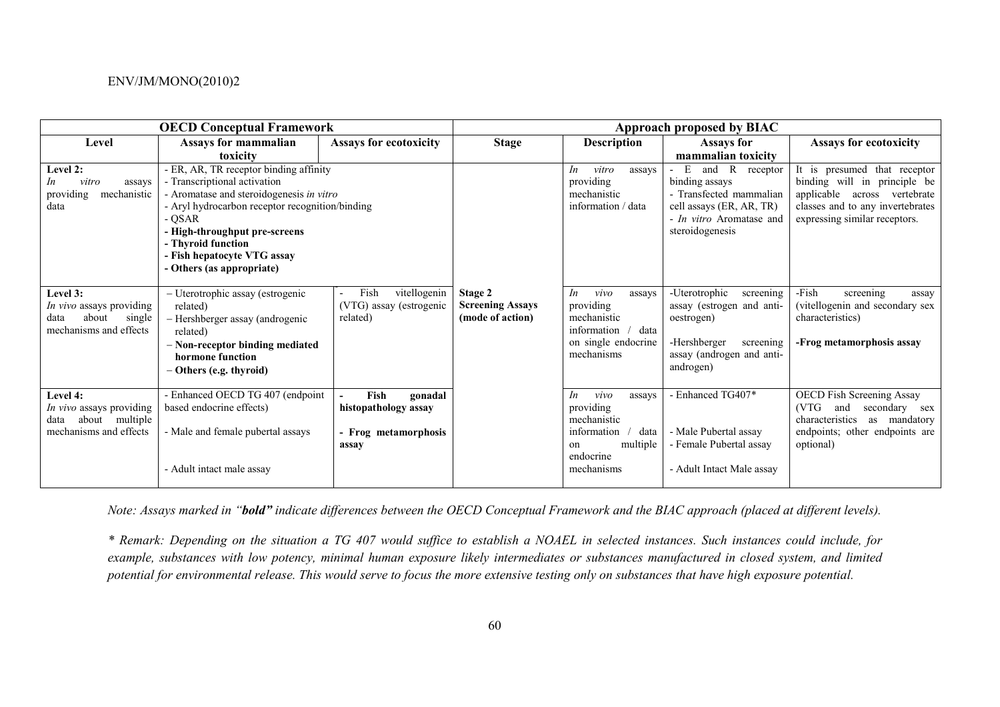| <b>OECD Conceptual Framework</b> |                                                              |                                 | Approach proposed by BIAC |                       |                                 |                                  |
|----------------------------------|--------------------------------------------------------------|---------------------------------|---------------------------|-----------------------|---------------------------------|----------------------------------|
| Level                            | <b>Assays for mammalian</b>                                  | Assays for ecotoxicity          | <b>Stage</b>              | <b>Description</b>    | Assays for                      | <b>Assays for ecotoxicity</b>    |
|                                  | toxicity                                                     |                                 |                           |                       | mammalian toxicity              |                                  |
| Level 2:                         | - ER, AR, TR receptor binding affinity                       |                                 |                           | In<br>vitro<br>assays | E<br>and R<br>receptor          | It is presumed that receptor     |
| vitro<br>assays<br>In            | - Transcriptional activation                                 |                                 |                           | providing             | binding assays                  | binding will in principle be     |
| mechanistic<br>providing         | - Aromatase and steroidogenesis in vitro                     |                                 |                           | mechanistic           | - Transfected mammalian         | applicable across vertebrate     |
| data                             | - Aryl hydrocarbon receptor recognition/binding              |                                 |                           | information / data    | cell assays (ER, AR, TR)        | classes and to any invertebrates |
|                                  | - OSAR                                                       |                                 |                           |                       | - <i>In vitro</i> Aromatase and | expressing similar receptors.    |
|                                  | - High-throughput pre-screens<br>- Thyroid function          |                                 |                           |                       | steroidogenesis                 |                                  |
|                                  | - Fish hepatocyte VTG assay                                  |                                 |                           |                       |                                 |                                  |
|                                  | - Others (as appropriate)                                    |                                 |                           |                       |                                 |                                  |
|                                  |                                                              |                                 |                           |                       |                                 |                                  |
| Level 3:                         | - Uterotrophic assay (estrogenic                             | vitellogenin<br>Fish            | Stage 2                   | vivo<br>In<br>assays  | -Uterotrophic<br>screening      | -Fish<br>screening<br>assay      |
| <i>In vivo</i> assays providing  | related)                                                     | (VTG) assay (estrogenic         | <b>Screening Assays</b>   | providing             | assay (estrogen and anti-       | (vitellogenin and secondary sex  |
| about<br>single<br>data          | - Hershberger assay (androgenic                              | related)                        | (mode of action)          | mechanistic           | oestrogen)                      | characteristics)                 |
| mechanisms and effects           | related)                                                     |                                 |                           | information<br>data   |                                 |                                  |
|                                  | - Non-receptor binding mediated                              |                                 |                           | on single endocrine   | -Hershberger<br>screening       | -Frog metamorphosis assay        |
|                                  | hormone function                                             |                                 |                           | mechanisms            | assay (androgen and anti-       |                                  |
|                                  | – Others (e.g. thyroid)                                      |                                 |                           |                       | androgen)                       |                                  |
| Level 4:                         |                                                              | Fish                            |                           | In<br>vivo            | - Enhanced TG407*               | OECD Fish Screening Assay        |
| <i>In vivo</i> assays providing  | - Enhanced OECD TG 407 (endpoint<br>based endocrine effects) | gonadal<br>histopathology assay |                           | assays<br>providing   |                                 | (VTG)<br>secondary sex<br>and    |
| about multiple<br>data           |                                                              |                                 |                           | mechanistic           |                                 | characteristics<br>as mandatory  |
| mechanisms and effects           | - Male and female pubertal assays                            | - Frog metamorphosis            |                           | data<br>information   | - Male Pubertal assay           | endpoints; other endpoints are   |
|                                  |                                                              | assay                           |                           | multiple<br>on        | - Female Pubertal assay         | optional)                        |
|                                  |                                                              |                                 |                           | endocrine             |                                 |                                  |
|                                  | - Adult intact male assay                                    |                                 |                           | mechanisms            | - Adult Intact Male assay       |                                  |
|                                  |                                                              |                                 |                           |                       |                                 |                                  |

*Note: Assays marked in "bold" indicate differences between the OECD Conceptual Framework and the BIAC approach (placed at different levels).* 

*\* Remark: Depending on the situation a TG 407 would suffice to establish a NOAEL in selected instances. Such instances could include, for*  example, substances with low potency, minimal human exposure likely intermediates or substances manufactured in closed system, and limited *potential for environmental release. This would serve to focus the more extensive testing only on substances that have high exposure potential.*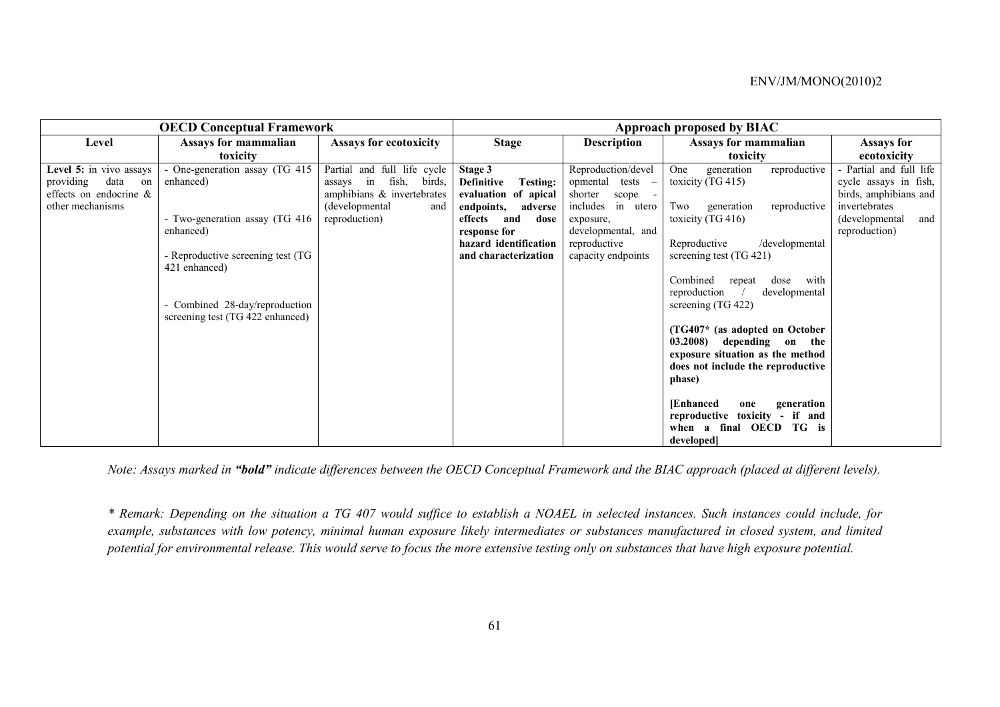| <b>OECD Conceptual Framework</b>                                                                 |                                                                                                                                |                                                                                                                                   |                                                                                                                                                                                      |                                                                                                                                                                                           | Approach proposed by BIAC                                                                                                                                                                                                                                                                                                                                          |                                                                                                                                       |
|--------------------------------------------------------------------------------------------------|--------------------------------------------------------------------------------------------------------------------------------|-----------------------------------------------------------------------------------------------------------------------------------|--------------------------------------------------------------------------------------------------------------------------------------------------------------------------------------|-------------------------------------------------------------------------------------------------------------------------------------------------------------------------------------------|--------------------------------------------------------------------------------------------------------------------------------------------------------------------------------------------------------------------------------------------------------------------------------------------------------------------------------------------------------------------|---------------------------------------------------------------------------------------------------------------------------------------|
| Level                                                                                            | Assays for mammalian                                                                                                           | Assays for ecotoxicity                                                                                                            | <b>Stage</b>                                                                                                                                                                         | <b>Description</b>                                                                                                                                                                        | Assays for mammalian                                                                                                                                                                                                                                                                                                                                               | <b>Assays for</b>                                                                                                                     |
|                                                                                                  | toxicity                                                                                                                       |                                                                                                                                   |                                                                                                                                                                                      |                                                                                                                                                                                           | toxicity                                                                                                                                                                                                                                                                                                                                                           | ecotoxicity                                                                                                                           |
| Level 5: in vivo assays<br>providing<br>data on<br>effects on endocrine $\&$<br>other mechanisms | One-generation assay (TG 415)<br>enhanced)<br>- Two-generation assay (TG 416<br>enhanced)<br>- Reproductive screening test (TG | Partial and full life cycle<br>fish, birds,<br>assays in<br>amphibians & invertebrates<br>(developmental)<br>and<br>reproduction) | Stage 3<br><b>Testing:</b><br>Definitive<br>evaluation of apical<br>endpoints,<br>adverse<br>effects<br>and<br>dose<br>response for<br>hazard identification<br>and characterization | Reproduction/devel<br>opmental tests<br>$\hspace{0.1mm}-\hspace{0.1mm}$<br>shorter<br>scope<br>includes in utero<br>exposure,<br>developmental, and<br>reproductive<br>capacity endpoints | reproductive<br>One<br>generation<br>toxicity $(TG 415)$<br>reproductive<br>Two<br>generation<br>toxicity (TG 416)<br>/developmental<br>Reproductive<br>screening test (TG 421)                                                                                                                                                                                    | - Partial and full life<br>cycle assays in fish,<br>birds, amphibians and<br>invertebrates<br>(developmental)<br>and<br>reproduction) |
|                                                                                                  | 421 enhanced)<br>Combined 28-day/reproduction<br>screening test (TG 422 enhanced)                                              |                                                                                                                                   |                                                                                                                                                                                      |                                                                                                                                                                                           | Combined<br>dose<br>with<br>repeat<br>reproduction<br>developmental<br>screening (TG 422)<br>$(TG407*$ (as adopted on October<br>03.2008) depending on the<br>exposure situation as the method<br>does not include the reproductive<br>phase)<br><b>[Enhanced]</b><br>generation<br>one<br>reproductive toxicity - if and<br>when a final OECD TG is<br>developed] |                                                                                                                                       |

*Note: Assays marked in "bold" indicate differences between the OECD Conceptual Framework and the BIAC approach (placed at different levels).* 

*\* Remark: Depending on the situation a TG 407 would suffice to establish a NOAEL in selected instances. Such instances could include, for*  example, substances with low potency, minimal human exposure likely intermediates or substances manufactured in closed system, and limited *potential for environmental release. This would serve to focus the more extensive testing only on substances that have high exposure potential.*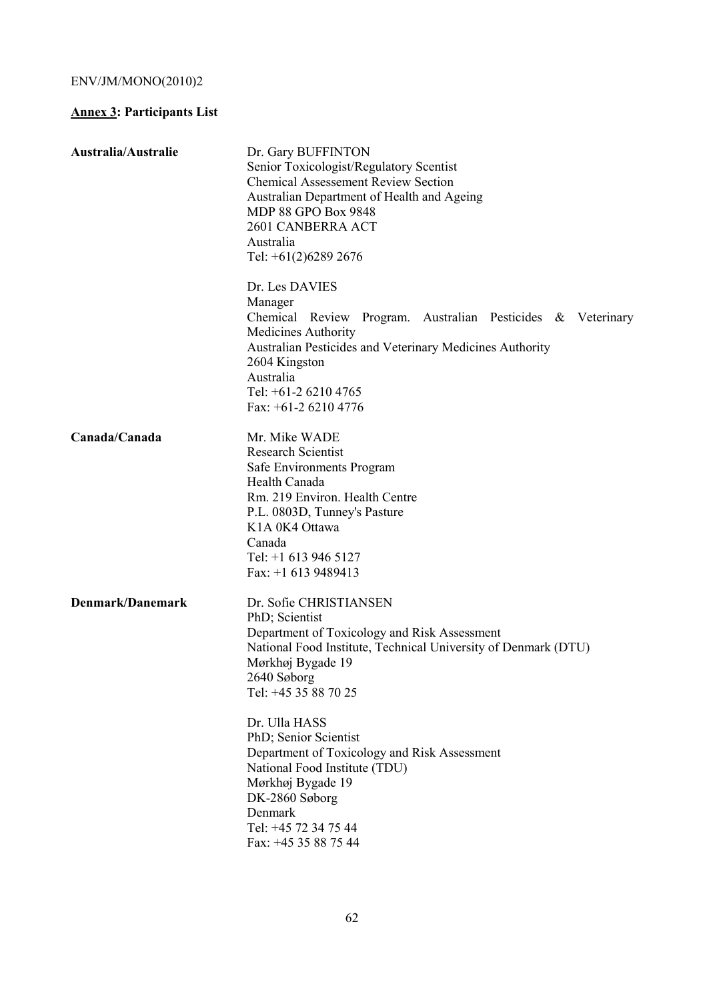# **Annex 3: Participants List**

| <b>Australia/Australie</b> | Dr. Gary BUFFINTON<br>Senior Toxicologist/Regulatory Scentist<br><b>Chemical Assessement Review Section</b><br>Australian Department of Health and Ageing<br>MDP 88 GPO Box 9848<br>2601 CANBERRA ACT<br>Australia<br>Tel: +61(2)6289 2676                                                                                                                                                                                                          |
|----------------------------|-----------------------------------------------------------------------------------------------------------------------------------------------------------------------------------------------------------------------------------------------------------------------------------------------------------------------------------------------------------------------------------------------------------------------------------------------------|
|                            | Dr. Les DAVIES<br>Manager<br>Chemical Review Program. Australian Pesticides & Veterinary<br>Medicines Authority<br>Australian Pesticides and Veterinary Medicines Authority<br>2604 Kingston<br>Australia<br>Tel: +61-2 6210 4765<br>Fax: $+61-262104776$                                                                                                                                                                                           |
| Canada/Canada              | Mr. Mike WADE<br><b>Research Scientist</b><br>Safe Environments Program<br>Health Canada<br>Rm. 219 Environ. Health Centre<br>P.L. 0803D, Tunney's Pasture<br>K1A 0K4 Ottawa<br>Canada<br>Tel: +1 613 946 5127<br>Fax: $+1$ 613 9489413                                                                                                                                                                                                             |
| Denmark/Danemark           | Dr. Sofie CHRISTIANSEN<br>PhD; Scientist<br>Department of Toxicology and Risk Assessment<br>National Food Institute, Technical University of Denmark (DTU)<br>Mørkhøj Bygade 19<br>2640 Søborg<br>Tel: +45 35 88 70 25<br>Dr. Ulla HASS<br>PhD; Senior Scientist<br>Department of Toxicology and Risk Assessment<br>National Food Institute (TDU)<br>Mørkhøj Bygade 19<br>DK-2860 Søborg<br>Denmark<br>Tel: +45 72 34 75 44<br>Fax: +45 35 88 75 44 |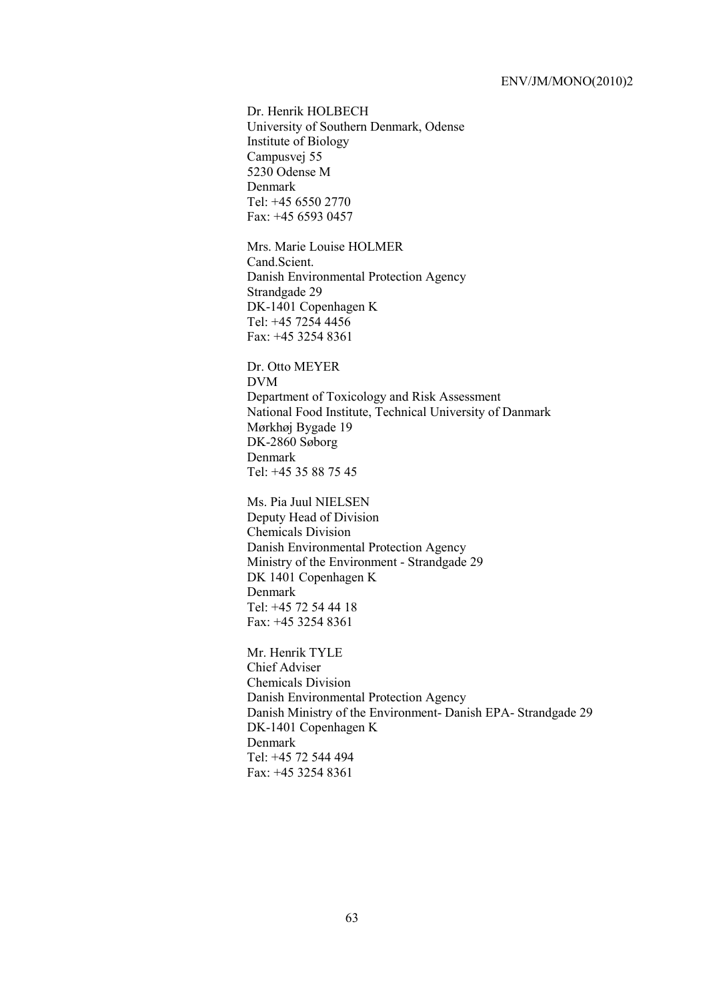Dr. Henrik HOLBECH University of Southern Denmark, Odense Institute of Biology Campusvej 55 5230 Odense M Denmark Tel: +45 6550 2770 Fax: +45 6593 0457

Mrs. Marie Louise HOLMER Cand.Scient. Danish Environmental Protection Agency Strandgade 29 DK-1401 Copenhagen K Tel: +45 7254 4456 Fax: +45 3254 8361

Dr. Otto MEYER DVM Department of Toxicology and Risk Assessment National Food Institute, Technical University of Danmark Mørkhøj Bygade 19 DK-2860 Søborg Denmark Tel: +45 35 88 75 45

Ms. Pia Juul NIELSEN Deputy Head of Division Chemicals Division Danish Environmental Protection Agency Ministry of the Environment - Strandgade 29 DK 1401 Copenhagen K Denmark Tel: +45 72 54 44 18 Fax: +45 3254 8361

Mr. Henrik TYLE Chief Adviser Chemicals Division Danish Environmental Protection Agency Danish Ministry of the Environment- Danish EPA- Strandgade 29 DK-1401 Copenhagen K Denmark Tel: +45 72 544 494 Fax: +45 3254 8361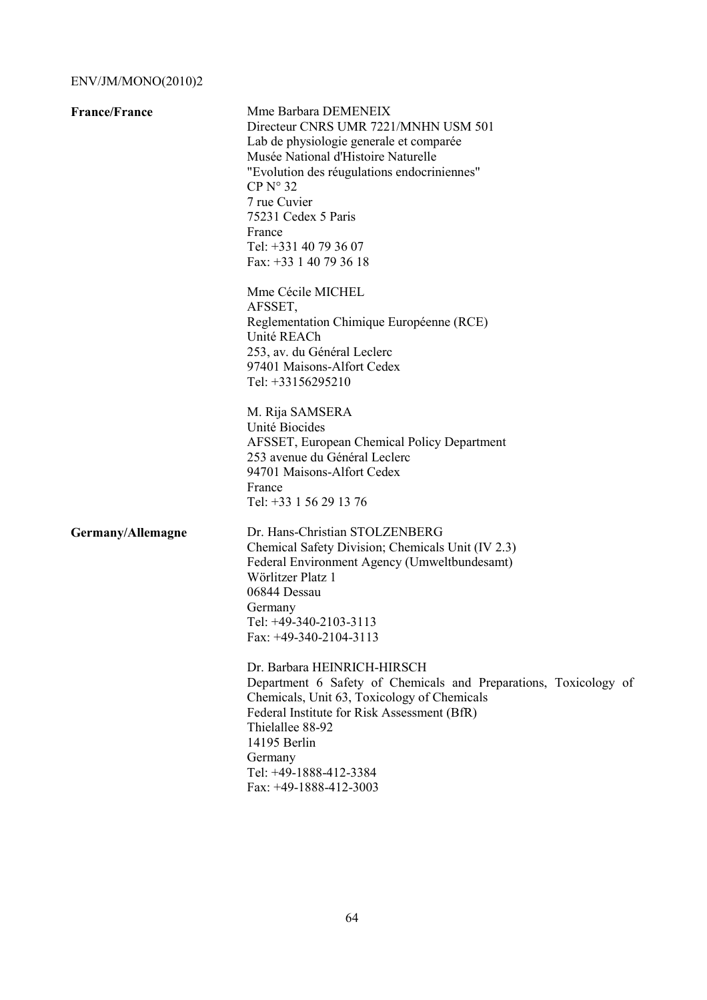| <b>France/France</b> | Mme Barbara DEMENEIX<br>Directeur CNRS UMR 7221/MNHN USM 501<br>Lab de physiologie generale et comparée<br>Musée National d'Histoire Naturelle<br>"Evolution des réugulations endocriniennes"<br>CP N <sup>o</sup> 32<br>7 rue Cuvier<br>75231 Cedex 5 Paris<br>France<br>Tel: +331 40 79 36 07<br>Fax: +33 1 40 79 36 18<br>Mme Cécile MICHEL<br>AFSSET,<br>Reglementation Chimique Européenne (RCE) |
|----------------------|-------------------------------------------------------------------------------------------------------------------------------------------------------------------------------------------------------------------------------------------------------------------------------------------------------------------------------------------------------------------------------------------------------|
|                      | Unité REACh<br>253, av. du Général Leclerc<br>97401 Maisons-Alfort Cedex<br>Tel: +33156295210                                                                                                                                                                                                                                                                                                         |
|                      | M. Rija SAMSERA<br>Unité Biocides<br>AFSSET, European Chemical Policy Department<br>253 avenue du Général Leclerc<br>94701 Maisons-Alfort Cedex<br>France<br>Tel: +33 1 56 29 13 76                                                                                                                                                                                                                   |
| Germany/Allemagne    | Dr. Hans-Christian STOLZENBERG<br>Chemical Safety Division; Chemicals Unit (IV 2.3)<br>Federal Environment Agency (Umweltbundesamt)<br>Wörlitzer Platz 1<br>06844 Dessau<br>Germany<br>Tel: +49-340-2103-3113<br>Fax: $+49-340-2104-3113$                                                                                                                                                             |
|                      | Dr. Barbara HEINRICH-HIRSCH<br>Department 6 Safety of Chemicals and Preparations, Toxicology of<br>Chemicals, Unit 63, Toxicology of Chemicals<br>Federal Institute for Risk Assessment (BfR)<br>Thielallee 88-92<br>14195 Berlin<br>Germany<br>Tel: +49-1888-412-3384<br>Fax: +49-1888-412-3003                                                                                                      |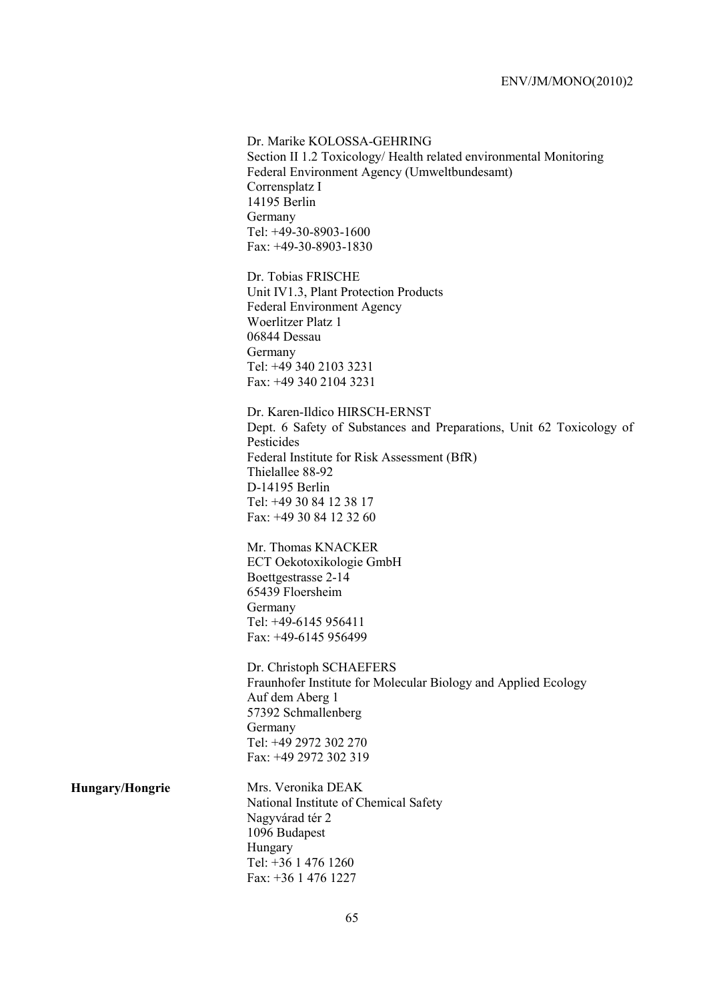Dr. Marike KOLOSSA-GEHRING Section II 1.2 Toxicology/ Health related environmental Monitoring Federal Environment Agency (Umweltbundesamt) Corrensplatz I 14195 Berlin Germany Tel: +49-30-8903-1600 Fax: +49-30-8903-1830

Dr. Tobias FRISCHE Unit IV1.3, Plant Protection Products Federal Environment Agency Woerlitzer Platz 1 06844 Dessau Germany Tel: +49 340 2103 3231 Fax: +49 340 2104 3231

Dr. Karen-Ildico HIRSCH-ERNST Dept. 6 Safety of Substances and Preparations, Unit 62 Toxicology of Pesticides Federal Institute for Risk Assessment (BfR) Thielallee 88-92 D-14195 Berlin Tel: +49 30 84 12 38 17 Fax: +49 30 84 12 32 60

Mr. Thomas KNACKER ECT Oekotoxikologie GmbH Boettgestrasse 2-14 65439 Floersheim Germany Tel: +49-6145 956411 Fax: +49-6145 956499

Dr. Christoph SCHAEFERS Fraunhofer Institute for Molecular Biology and Applied Ecology Auf dem Aberg 1 57392 Schmallenberg Germany Tel: +49 2972 302 270 Fax: +49 2972 302 319

**Hungary/Hongrie** Mrs. Veronika DEAK National Institute of Chemical Safety Nagyvárad tér 2 1096 Budapest Hungary Tel: +36 1 476 1260 Fax: +36 1 476 1227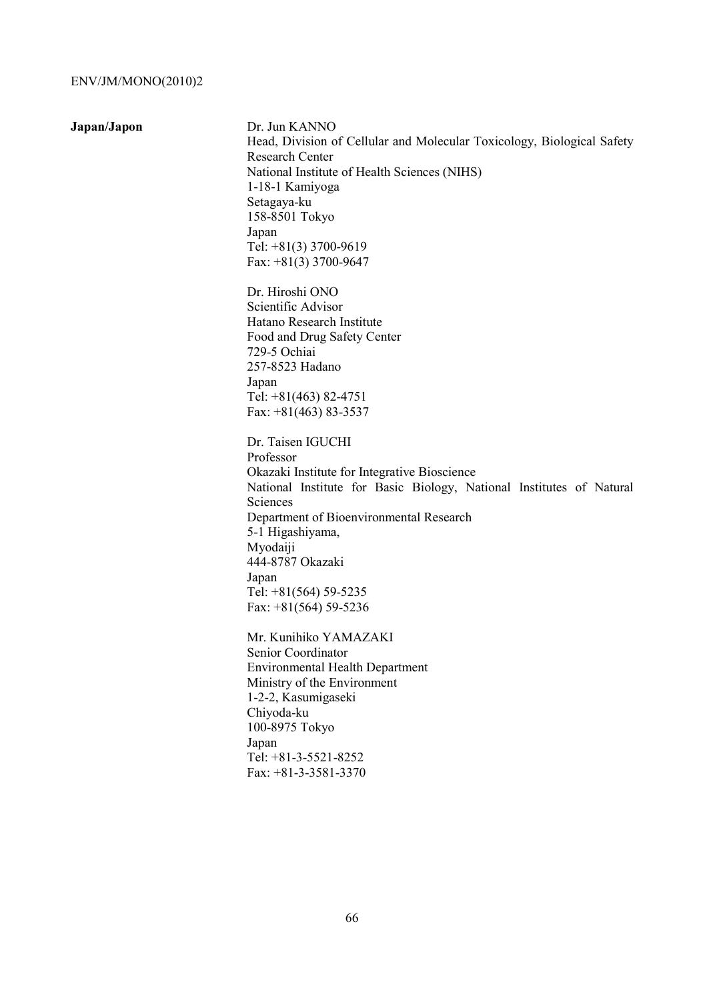| Japan/Japon | Dr. Jun KANNO<br>Head, Division of Cellular and Molecular Toxicology, Biological Safety<br><b>Research Center</b><br>National Institute of Health Sciences (NIHS)<br>1-18-1 Kamiyoga<br>Setagaya-ku<br>158-8501 Tokyo<br>Japan<br>Tel: $+81(3)$ 3700-9619<br>Fax: $+81(3)$ 3700-9647                                             |
|-------------|----------------------------------------------------------------------------------------------------------------------------------------------------------------------------------------------------------------------------------------------------------------------------------------------------------------------------------|
|             | Dr. Hiroshi ONO<br>Scientific Advisor<br>Hatano Research Institute<br>Food and Drug Safety Center<br>729-5 Ochiai<br>257-8523 Hadano<br>Japan<br>Tel: $+81(463) 82-4751$<br>Fax: $+81(463) 83-3537$                                                                                                                              |
|             | Dr. Taisen IGUCHI<br>Professor<br>Okazaki Institute for Integrative Bioscience<br>National Institute for Basic Biology, National Institutes of Natural<br>Sciences<br>Department of Bioenvironmental Research<br>5-1 Higashiyama,<br>Myodaiji<br>444-8787 Okazaki<br>Japan<br>Tel: $+81(564)$ 59-5235<br>Fax: $+81(564)$ 59-5236 |
|             | Mr. Kunihiko YAMAZAKI<br>Senior Coordinator<br><b>Environmental Health Department</b><br>Ministry of the Environment<br>1-2-2, Kasumigaseki<br>Chiyoda-ku<br>100-8975 Tokyo<br>Japan<br>Tel: +81-3-5521-8252<br>Fax: $+81-3-3581-3370$                                                                                           |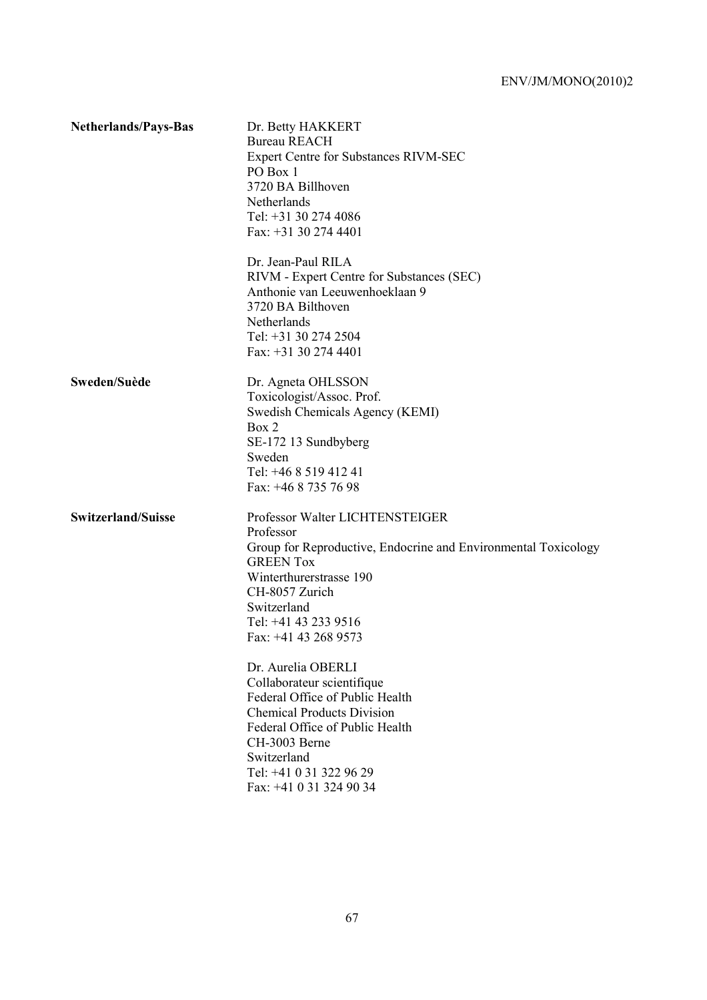| <b>Netherlands/Pays-Bas</b> | Dr. Betty HAKKERT<br><b>Bureau REACH</b><br><b>Expert Centre for Substances RIVM-SEC</b><br>PO Box 1<br>3720 BA Billhoven<br>Netherlands<br>Tel: +31 30 274 4086<br>Fax: +31 30 274 4401                                                                                                                                                                                                                                                                                                            |
|-----------------------------|-----------------------------------------------------------------------------------------------------------------------------------------------------------------------------------------------------------------------------------------------------------------------------------------------------------------------------------------------------------------------------------------------------------------------------------------------------------------------------------------------------|
|                             | Dr. Jean-Paul RILA<br>RIVM - Expert Centre for Substances (SEC)<br>Anthonie van Leeuwenhoeklaan 9<br>3720 BA Bilthoven<br>Netherlands<br>Tel: +31 30 274 2504<br>Fax: +31 30 274 4401                                                                                                                                                                                                                                                                                                               |
| Sweden/Suède                | Dr. Agneta OHLSSON<br>Toxicologist/Assoc. Prof.<br>Swedish Chemicals Agency (KEMI)<br>Box 2<br>SE-172 13 Sundbyberg<br>Sweden<br>Tel: +46 8 519 412 41<br>Fax: +46 8 735 76 98                                                                                                                                                                                                                                                                                                                      |
| <b>Switzerland/Suisse</b>   | Professor Walter LICHTENSTEIGER<br>Professor<br>Group for Reproductive, Endocrine and Environmental Toxicology<br><b>GREEN Tox</b><br>Winterthurerstrasse 190<br>CH-8057 Zurich<br>Switzerland<br>Tel: +41 43 233 9516<br>Fax: +41 43 268 9573<br>Dr. Aurelia OBERLI<br>Collaborateur scientifique<br>Federal Office of Public Health<br><b>Chemical Products Division</b><br>Federal Office of Public Health<br>CH-3003 Berne<br>Switzerland<br>Tel: +41 0 31 322 96 29<br>Fax: +41 0 31 324 90 34 |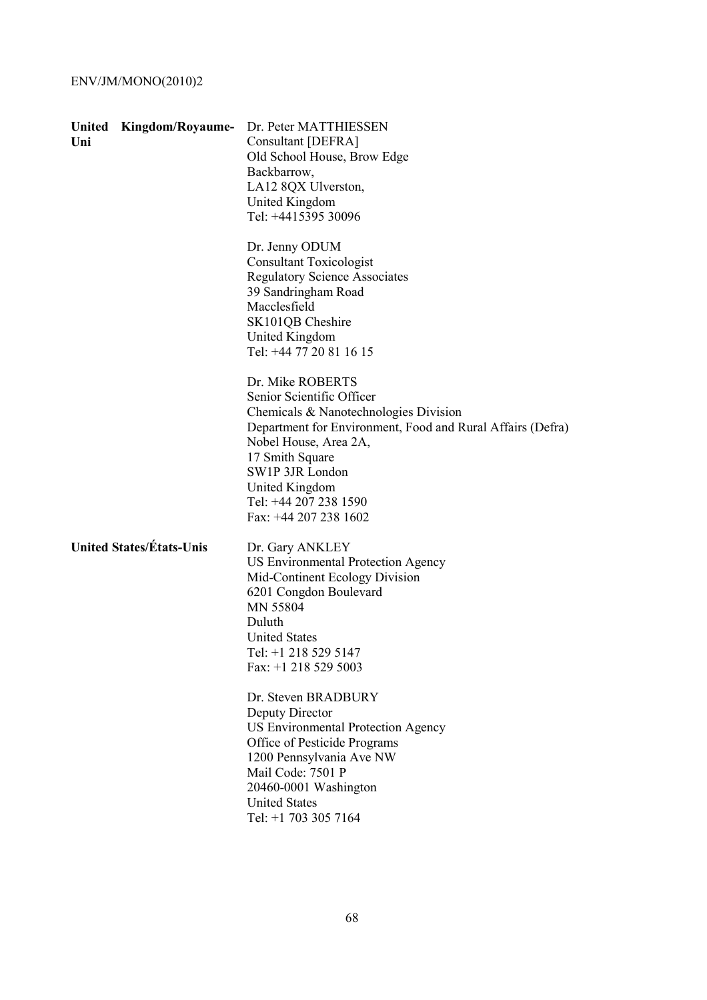| Uni | United Kingdom/Royaume-         | Dr. Peter MATTHIESSEN<br>Consultant [DEFRA]<br>Old School House, Brow Edge<br>Backbarrow,<br>LA12 8QX Ulverston,<br>United Kingdom<br>Tel: +4415395 30096                                                                                                                               |  |  |  |  |
|-----|---------------------------------|-----------------------------------------------------------------------------------------------------------------------------------------------------------------------------------------------------------------------------------------------------------------------------------------|--|--|--|--|
|     |                                 | Dr. Jenny ODUM<br><b>Consultant Toxicologist</b><br><b>Regulatory Science Associates</b><br>39 Sandringham Road<br>Macclesfield<br>SK101QB Cheshire<br>United Kingdom<br>Tel: +44 77 20 81 16 15                                                                                        |  |  |  |  |
|     |                                 | Dr. Mike ROBERTS<br>Senior Scientific Officer<br>Chemicals & Nanotechnologies Division<br>Department for Environment, Food and Rural Affairs (Defra)<br>Nobel House, Area 2A,<br>17 Smith Square<br>SW1P 3JR London<br>United Kingdom<br>Tel: +44 207 238 1590<br>Fax: +44 207 238 1602 |  |  |  |  |
|     | <b>United States/États-Unis</b> | Dr. Gary ANKLEY<br><b>US Environmental Protection Agency</b><br>Mid-Continent Ecology Division<br>6201 Congdon Boulevard<br>MN 55804<br>Duluth<br><b>United States</b><br>Tel: +1 218 529 5147<br>Fax: $+1$ 218 529 5003                                                                |  |  |  |  |
|     |                                 | Dr. Steven BRADBURY<br>Deputy Director<br><b>US Environmental Protection Agency</b><br>Office of Pesticide Programs<br>1200 Pennsylvania Ave NW<br>Mail Code: 7501 P<br>20460-0001 Washington<br><b>United States</b><br>Tel: +1 703 305 7164                                           |  |  |  |  |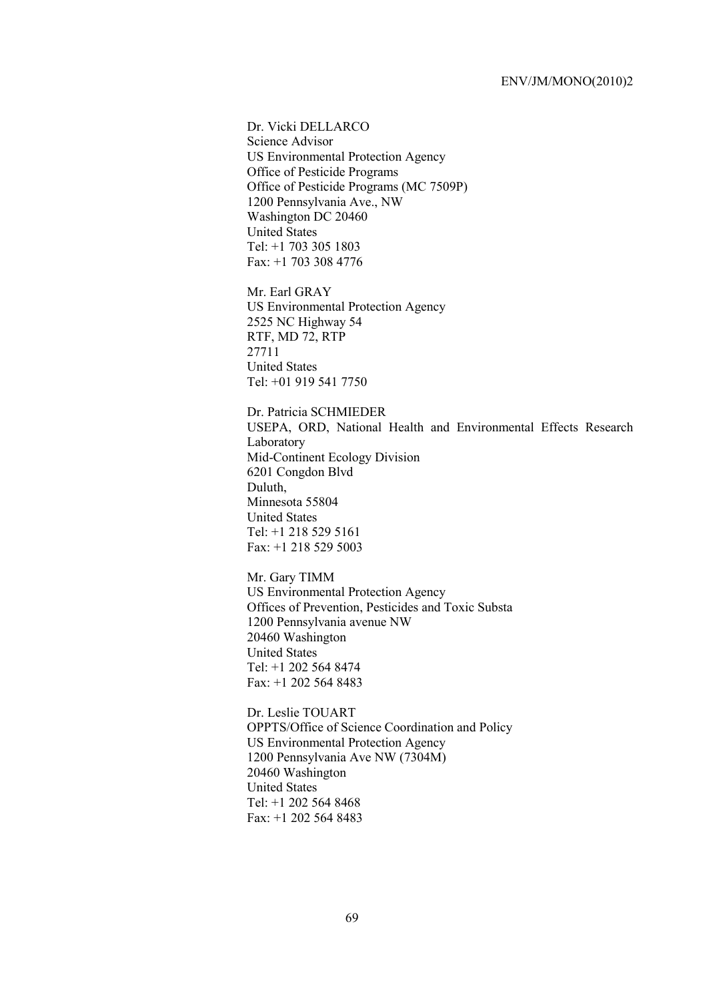Dr. Vicki DELLARCO Science Advisor US Environmental Protection Agency Office of Pesticide Programs Office of Pesticide Programs (MC 7509P) 1200 Pennsylvania Ave., NW Washington DC 20460 United States Tel: +1 703 305 1803 Fax: +1 703 308 4776

Mr. Earl GRAY US Environmental Protection Agency 2525 NC Highway 54 RTF, MD 72, RTP 27711 United States Tel: +01 919 541 7750

Dr. Patricia SCHMIEDER USEPA, ORD, National Health and Environmental Effects Research Laboratory Mid-Continent Ecology Division 6201 Congdon Blvd Duluth, Minnesota 55804 United States Tel: +1 218 529 5161 Fax: +1 218 529 5003

Mr. Gary TIMM US Environmental Protection Agency Offices of Prevention, Pesticides and Toxic Substa 1200 Pennsylvania avenue NW 20460 Washington United States Tel: +1 202 564 8474 Fax: +1 202 564 8483

Dr. Leslie TOUART OPPTS/Office of Science Coordination and Policy US Environmental Protection Agency 1200 Pennsylvania Ave NW (7304M) 20460 Washington United States Tel: +1 202 564 8468 Fax: +1 202 564 8483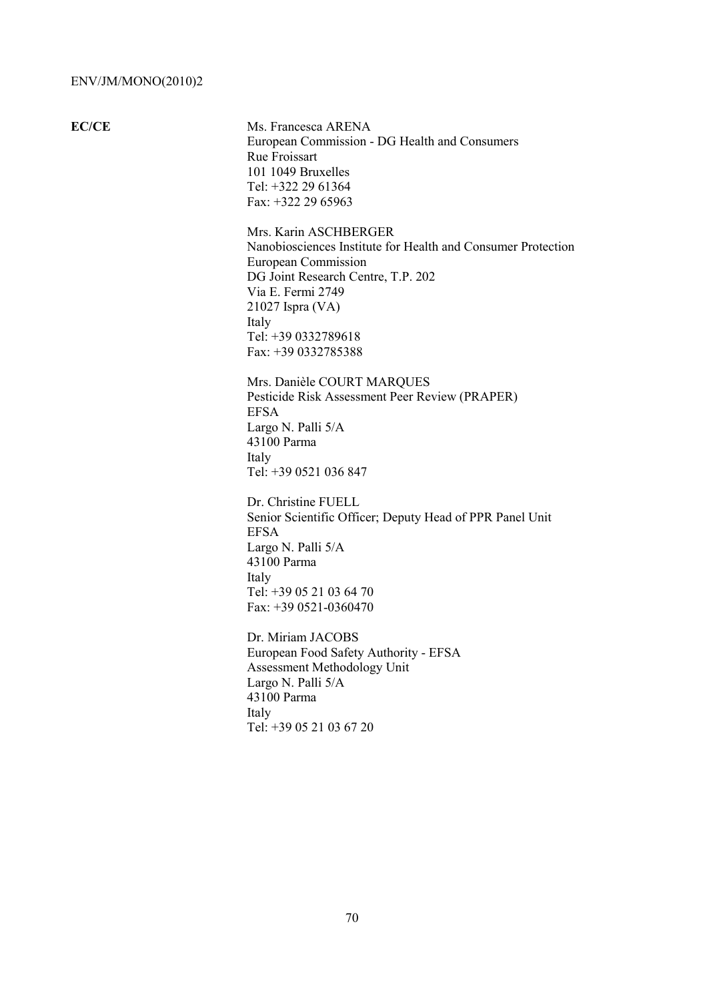| EC/CE | Ms. Francesca ARENA<br>European Commission - DG Health and Consumers<br><b>Rue Froissart</b><br>101 1049 Bruxelles<br>Tel: +322 29 61364<br>Fax: +322 29 65963                                                                                     |
|-------|----------------------------------------------------------------------------------------------------------------------------------------------------------------------------------------------------------------------------------------------------|
|       | Mrs. Karin ASCHBERGER<br>Nanobiosciences Institute for Health and Consumer Protection<br>European Commission<br>DG Joint Research Centre, T.P. 202<br>Via E. Fermi 2749<br>21027 Ispra (VA)<br>Italy<br>Tel: +39 0332789618<br>Fax: +39 0332785388 |
|       | Mrs. Danièle COURT MARQUES<br>Pesticide Risk Assessment Peer Review (PRAPER)<br><b>EFSA</b><br>Largo N. Palli 5/A<br>43100 Parma<br>Italy<br>Tel: +39 0521 036 847                                                                                 |
|       | Dr. Christine FUELL<br>Senior Scientific Officer; Deputy Head of PPR Panel Unit<br><b>EFSA</b><br>Largo N. Palli 5/A<br>43100 Parma<br>Italy<br>Tel: +39 05 21 03 64 70<br>Fax: $+390521-0360470$                                                  |
|       | Dr. Miriam JACOBS<br>European Food Safety Authority - EFSA<br><b>Assessment Methodology Unit</b><br>Largo N. Palli 5/A<br>43100 Parma<br>Italy<br>Tel: +39 05 21 03 67 20                                                                          |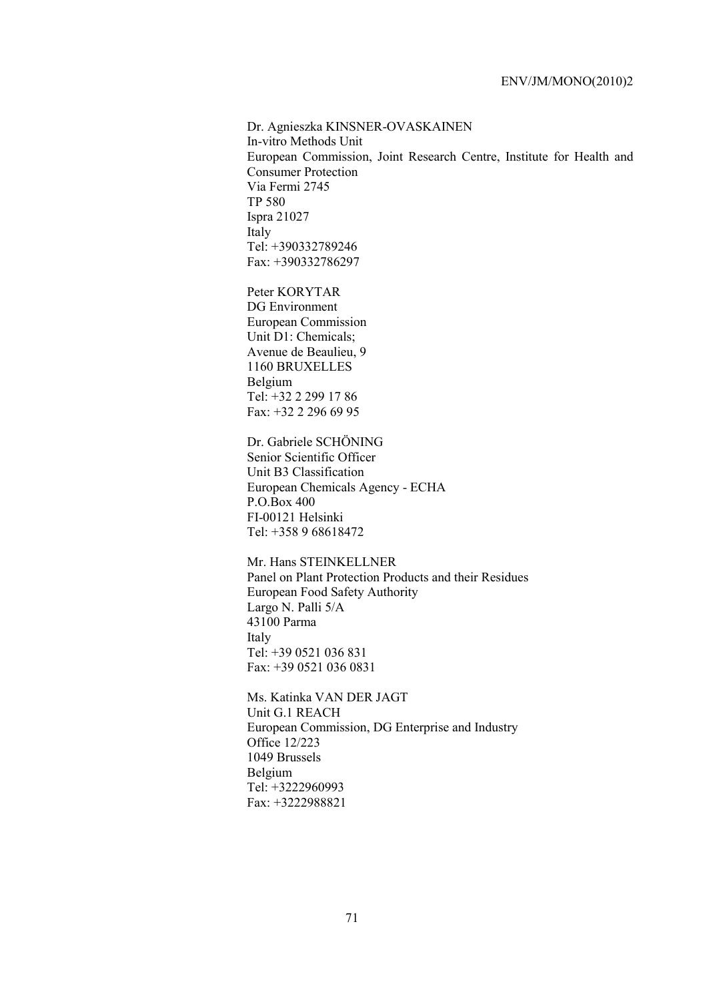Dr. Agnieszka KINSNER-OVASKAINEN In-vitro Methods Unit European Commission, Joint Research Centre, Institute for Health and Consumer Protection Via Fermi 2745 TP 580 Ispra 21027 Italy Tel: +390332789246 Fax: +390332786297

Peter KORYTAR DG Environment European Commission Unit D1: Chemicals;

Avenue de Beaulieu, 9 1160 BRUXELLES Belgium Tel: +32 2 299 17 86 Fax: +32 2 296 69 95

Dr. Gabriele SCHÖNING Senior Scientific Officer Unit B3 Classification European Chemicals Agency - ECHA P.O.Box 400 FI-00121 Helsinki Tel: +358 9 68618472

Mr. Hans STEINKELLNER Panel on Plant Protection Products and their Residues European Food Safety Authority Largo N. Palli 5/A 43100 Parma Italy Tel: +39 0521 036 831 Fax: +39 0521 036 0831

Ms. Katinka VAN DER JAGT Unit G.1 REACH European Commission, DG Enterprise and Industry Office 12/223 1049 Brussels Belgium Tel: +3222960993 Fax: +3222988821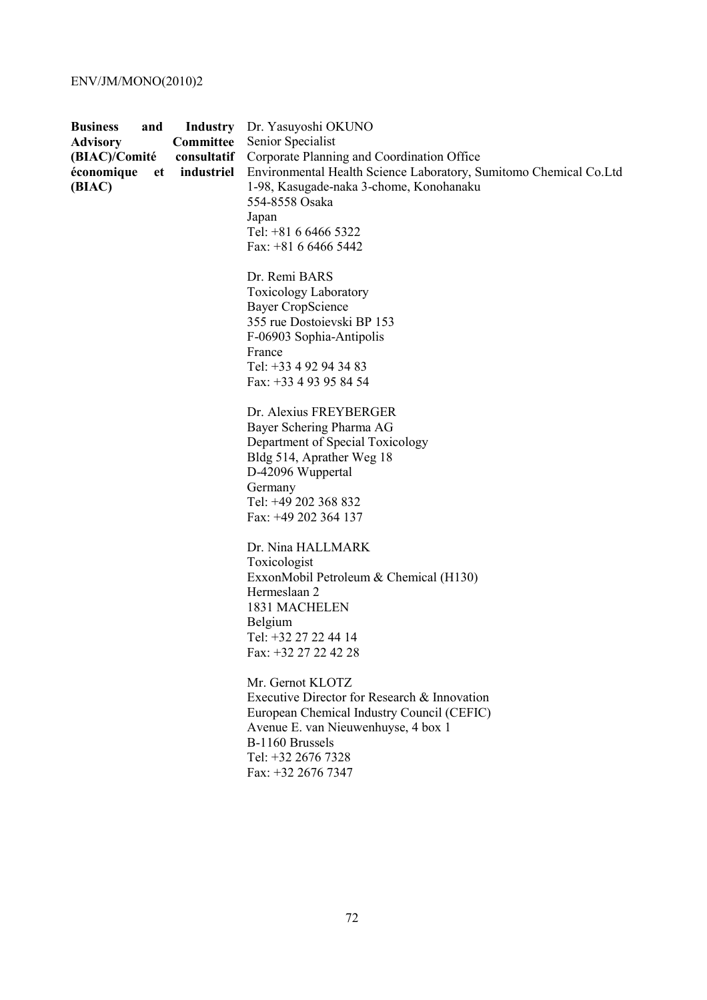| <b>Business</b><br>and<br><b>Advisory</b><br>(BIAC)/Comité<br>économique<br>et<br>(BIAC) | <b>Industry</b><br>Committee<br>consultatif<br>industriel | Dr. Yasuyoshi OKUNO<br>Senior Specialist<br>Corporate Planning and Coordination Office<br>Environmental Health Science Laboratory, Sumitomo Chemical Co.Ltd<br>1-98, Kasugade-naka 3-chome, Konohanaku<br>554-8558 Osaka<br>Japan<br>Tel: +81 6 6466 5322<br>Fax: +81 6 6466 5442<br>Dr. Remi BARS<br><b>Toxicology Laboratory</b><br><b>Bayer CropScience</b><br>355 rue Dostoievski BP 153<br>F-06903 Sophia-Antipolis<br>France<br>Tel: +33 4 92 94 34 83<br>Fax: +33 4 93 95 84 54<br>Dr. Alexius FREYBERGER<br>Bayer Schering Pharma AG<br>Department of Special Toxicology<br>Bldg 514, Aprather Weg 18<br>D-42096 Wuppertal<br>Germany<br>Tel: +49 202 368 832<br>Fax: +49 202 364 137<br>Dr. Nina HALLMARK<br>Toxicologist<br>ExxonMobil Petroleum & Chemical (H130) |
|------------------------------------------------------------------------------------------|-----------------------------------------------------------|------------------------------------------------------------------------------------------------------------------------------------------------------------------------------------------------------------------------------------------------------------------------------------------------------------------------------------------------------------------------------------------------------------------------------------------------------------------------------------------------------------------------------------------------------------------------------------------------------------------------------------------------------------------------------------------------------------------------------------------------------------------------------|
|                                                                                          |                                                           |                                                                                                                                                                                                                                                                                                                                                                                                                                                                                                                                                                                                                                                                                                                                                                              |
|                                                                                          |                                                           |                                                                                                                                                                                                                                                                                                                                                                                                                                                                                                                                                                                                                                                                                                                                                                              |
|                                                                                          |                                                           |                                                                                                                                                                                                                                                                                                                                                                                                                                                                                                                                                                                                                                                                                                                                                                              |
|                                                                                          |                                                           |                                                                                                                                                                                                                                                                                                                                                                                                                                                                                                                                                                                                                                                                                                                                                                              |
|                                                                                          |                                                           | Hermeslaan 2                                                                                                                                                                                                                                                                                                                                                                                                                                                                                                                                                                                                                                                                                                                                                                 |
|                                                                                          |                                                           | 1831 MACHELEN<br>Belgium                                                                                                                                                                                                                                                                                                                                                                                                                                                                                                                                                                                                                                                                                                                                                     |
|                                                                                          |                                                           | Tel: +32 27 22 44 14<br>Fax: +32 27 22 42 28                                                                                                                                                                                                                                                                                                                                                                                                                                                                                                                                                                                                                                                                                                                                 |
|                                                                                          |                                                           | Mr. Gernot KLOTZ<br>Executive Director for Research & Innovation<br>European Chemical Industry Council (CEFIC)<br>Avenue E. van Nieuwenhuyse, 4 box 1<br>B-1160 Brussels<br>Tel: +32 2676 7328<br>Fax: +32 2676 7347                                                                                                                                                                                                                                                                                                                                                                                                                                                                                                                                                         |
|                                                                                          |                                                           |                                                                                                                                                                                                                                                                                                                                                                                                                                                                                                                                                                                                                                                                                                                                                                              |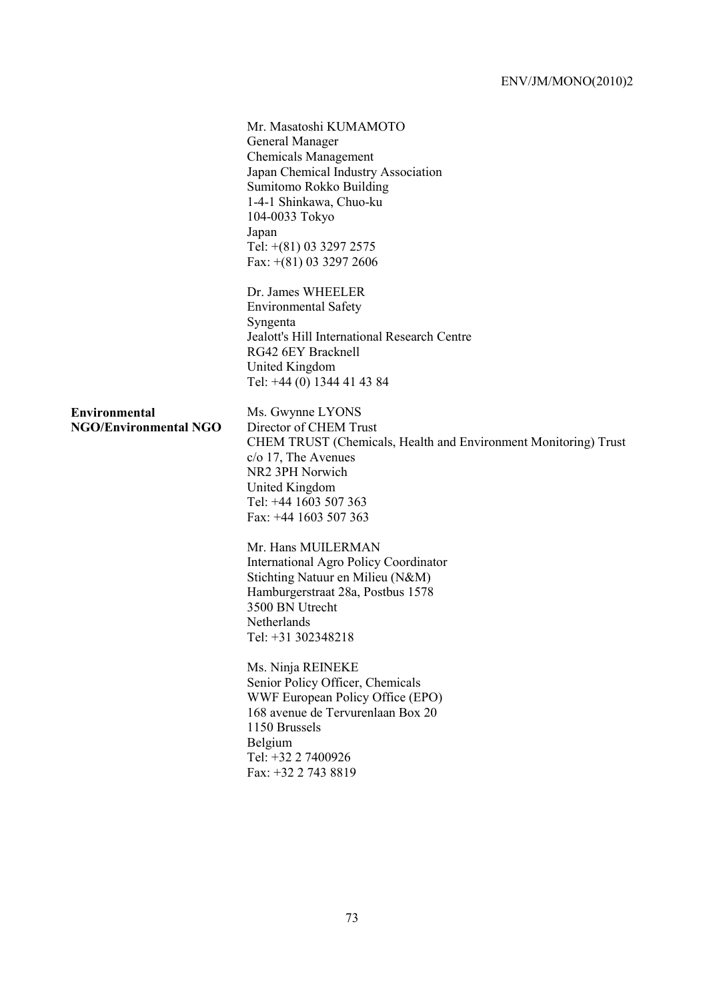|                                               | Mr. Masatoshi KUMAMOTO<br>General Manager<br><b>Chemicals Management</b><br>Japan Chemical Industry Association<br>Sumitomo Rokko Building<br>1-4-1 Shinkawa, Chuo-ku<br>104-0033 Tokyo<br>Japan<br>Tel: +(81) 03 3297 2575<br>Fax: $+(81)$ 03 3297 2606 |
|-----------------------------------------------|----------------------------------------------------------------------------------------------------------------------------------------------------------------------------------------------------------------------------------------------------------|
|                                               | Dr. James WHEELER<br><b>Environmental Safety</b><br>Syngenta<br>Jealott's Hill International Research Centre<br>RG42 6EY Bracknell<br>United Kingdom<br>Tel: +44 (0) 1344 41 43 84                                                                       |
| Environmental<br><b>NGO/Environmental NGO</b> | Ms. Gwynne LYONS<br>Director of CHEM Trust<br>CHEM TRUST (Chemicals, Health and Environment Monitoring) Trust<br>$c$ /o 17, The Avenues<br>NR2 3PH Norwich<br>United Kingdom<br>Tel: +44 1603 507 363<br>Fax: $+44$ 1603 507 363                         |
|                                               | Mr. Hans MUILERMAN<br>International Agro Policy Coordinator<br>Stichting Natuur en Milieu (N&M)<br>Hamburgerstraat 28a, Postbus 1578<br>3500 BN Utrecht<br>Netherlands<br>Tel: +31 302348218                                                             |
|                                               | Ms. Ninja REINEKE<br>Senior Policy Officer, Chemicals<br>WWF European Policy Office (EPO)<br>168 avenue de Tervurenlaan Box 20<br>1150 Brussels<br>Belgium<br>Tel: +32 2 7400926<br>Fax: +32 2 743 8819                                                  |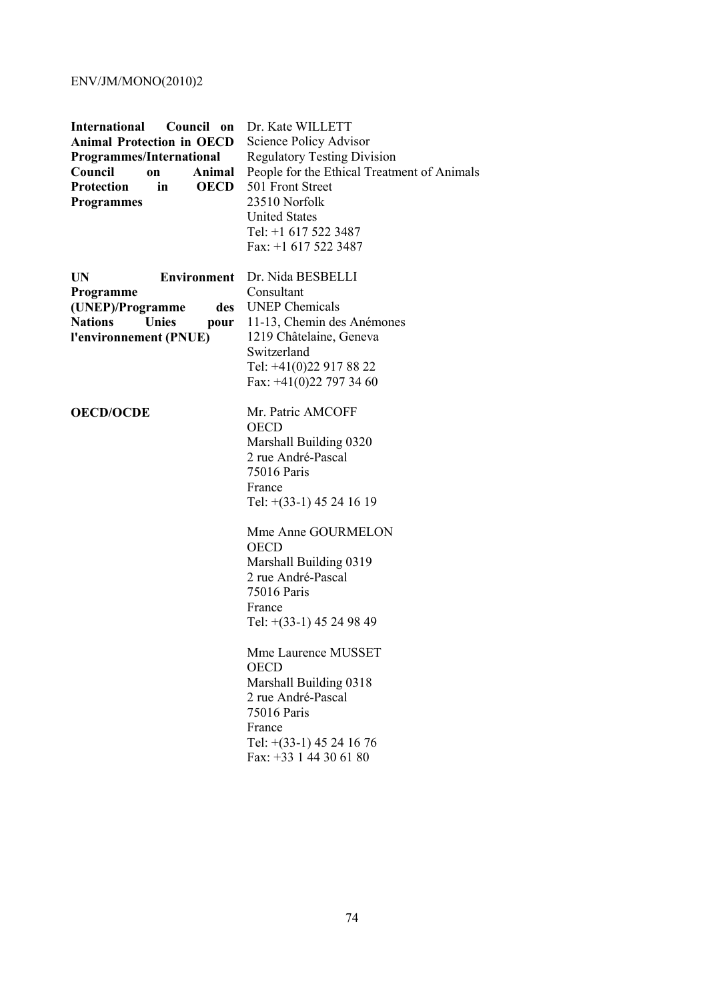| <b>International</b><br>Council on<br><b>Animal Protection in OECD</b><br><b>Programmes/International</b><br>Council<br>Animal<br><sub>on</sub><br><b>Protection</b><br><b>OECD</b><br>in<br><b>Programmes</b> | Dr. Kate WILLETT<br>Science Policy Advisor<br><b>Regulatory Testing Division</b><br>People for the Ethical Treatment of Animals<br>501 Front Street<br>23510 Norfolk<br><b>United States</b><br>Tel: +1 617 522 3487<br>Fax: $+1$ 617 522 3487                                                                                                                                                                                                         |
|----------------------------------------------------------------------------------------------------------------------------------------------------------------------------------------------------------------|--------------------------------------------------------------------------------------------------------------------------------------------------------------------------------------------------------------------------------------------------------------------------------------------------------------------------------------------------------------------------------------------------------------------------------------------------------|
| UN<br>Programme<br>(UNEP)/Programme<br>des<br><b>Nations</b><br>Unies<br>pour<br>l'environnement (PNUE)                                                                                                        | Environment Dr. Nida BESBELLI<br>Consultant<br><b>UNEP Chemicals</b><br>11-13, Chemin des Anémones<br>1219 Châtelaine, Geneva<br>Switzerland<br>Tel: +41(0)22 917 88 22<br>Fax: $+41(0)22$ 797 34 60                                                                                                                                                                                                                                                   |
| <b>OECD/OCDE</b>                                                                                                                                                                                               | Mr. Patric AMCOFF<br><b>OECD</b><br>Marshall Building 0320<br>2 rue André-Pascal<br>75016 Paris<br>France<br>Tel: $+(33-1)$ 45 24 16 19<br>Mme Anne GOURMELON<br><b>OECD</b><br>Marshall Building 0319<br>2 rue André-Pascal<br>75016 Paris<br>France<br>Tel: +(33-1) 45 24 98 49<br>Mme Laurence MUSSET<br><b>OECD</b><br>Marshall Building 0318<br>2 rue André-Pascal<br>75016 Paris<br>France<br>Tel: +(33-1) 45 24 16 76<br>Fax: +33 1 44 30 61 80 |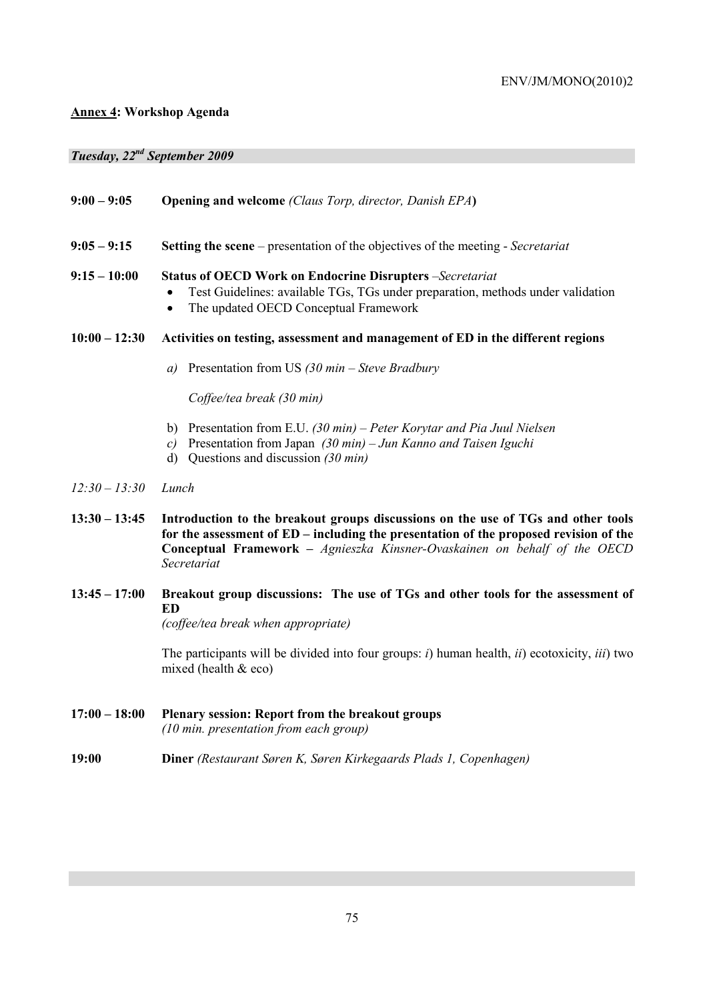# **Annex 4: Workshop Agenda**

# *Tuesday, 22nd September 2009*

| $9:00 - 9:05$   | <b>Opening and welcome</b> (Claus Torp, director, Danish EPA)                                                                                                                                                                                                                 |  |  |
|-----------------|-------------------------------------------------------------------------------------------------------------------------------------------------------------------------------------------------------------------------------------------------------------------------------|--|--|
| $9:05 - 9:15$   | <b>Setting the scene</b> – presentation of the objectives of the meeting - Secretariat                                                                                                                                                                                        |  |  |
| $9:15 - 10:00$  | <b>Status of OECD Work on Endocrine Disrupters</b> -Secretariat<br>Test Guidelines: available TGs, TGs under preparation, methods under validation<br>The updated OECD Conceptual Framework<br>$\bullet$                                                                      |  |  |
| $10:00 - 12:30$ | Activities on testing, assessment and management of ED in the different regions                                                                                                                                                                                               |  |  |
|                 | a) Presentation from US $(30 \text{ min} - \text{Steve Bradley})$                                                                                                                                                                                                             |  |  |
|                 | Coffee/tea break (30 min)                                                                                                                                                                                                                                                     |  |  |
|                 | b) Presentation from E.U. (30 min) – Peter Korytar and Pia Juul Nielsen<br>c) Presentation from Japan $(30 \text{ min})$ – Jun Kanno and Taisen Iguchi<br>d) Questions and discussion $(30 \text{ min})$                                                                      |  |  |
| $12:30 - 13:30$ | Lunch                                                                                                                                                                                                                                                                         |  |  |
| $13:30 - 13:45$ | Introduction to the breakout groups discussions on the use of TGs and other tools<br>for the assessment of ED – including the presentation of the proposed revision of the<br><b>Conceptual Framework</b> – Agnieszka Kinsner-Ovaskainen on behalf of the OECD<br>Secretariat |  |  |
| $13:45 - 17:00$ | Breakout group discussions: The use of TGs and other tools for the assessment of<br>ED<br>(coffee/tea break when appropriate)                                                                                                                                                 |  |  |
|                 | The participants will be divided into four groups: $i$ ) human health, $ii$ ) ecotoxicity, $iii$ ) two<br>mixed (health $&$ eco)                                                                                                                                              |  |  |
| $17:00 - 18:00$ | Plenary session: Report from the breakout groups<br>(10 min. presentation from each group)                                                                                                                                                                                    |  |  |
| 19:00           | Diner (Restaurant Søren K, Søren Kirkegaards Plads 1, Copenhagen)                                                                                                                                                                                                             |  |  |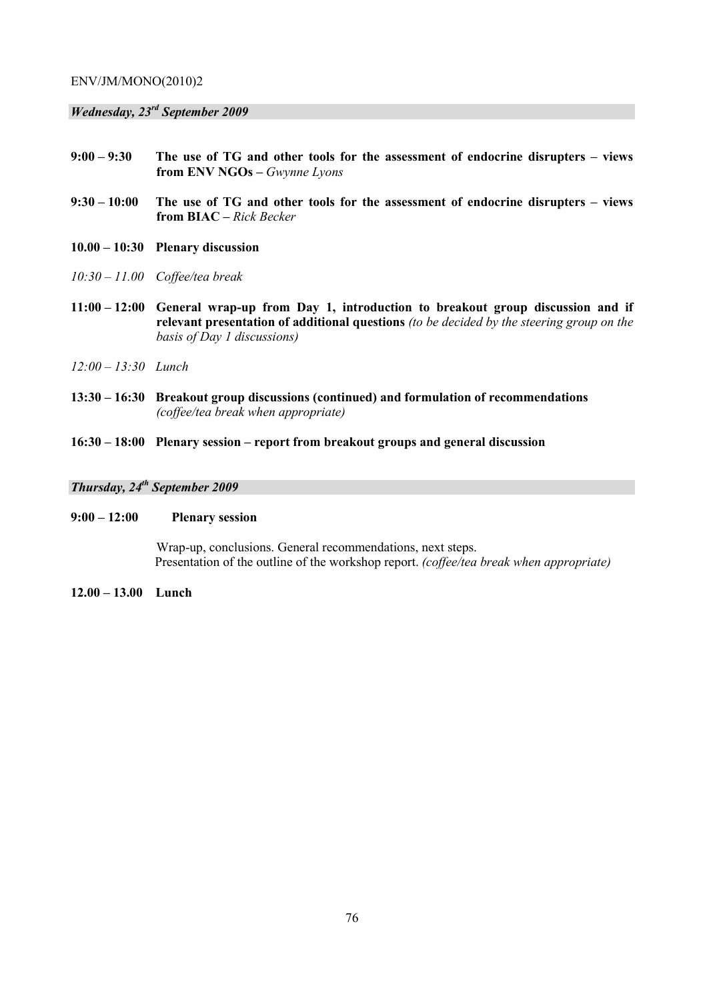#### *Wednesday, 23rd September 2009*

- **9:00 9:30 The use of TG and other tools for the assessment of endocrine disrupters views from ENV NGOs –** *Gwynne Lyons*
- **9:30 10:00 The use of TG and other tools for the assessment of endocrine disrupters views from BIAC –** *Rick Becker*
- **10.00 10:30 Plenary discussion**
- *10:30 11.00 Coffee/tea break*
- **11:00 12:00 General wrap-up from Day 1, introduction to breakout group discussion and if relevant presentation of additional questions** *(to be decided by the steering group on the basis of Day 1 discussions)*
- *12:00 13:30 Lunch*
- **13:30 16:30 Breakout group discussions (continued) and formulation of recommendations**  *(coffee/tea break when appropriate)*
- **16:30 18:00 Plenary session report from breakout groups and general discussion**

# *Thursday, 24th September 2009*

#### **9:00 – 12:00 Plenary session**

Wrap-up, conclusions. General recommendations, next steps. Presentation of the outline of the workshop report. *(coffee/tea break when appropriate)* 

**12.00 – 13.00 Lunch**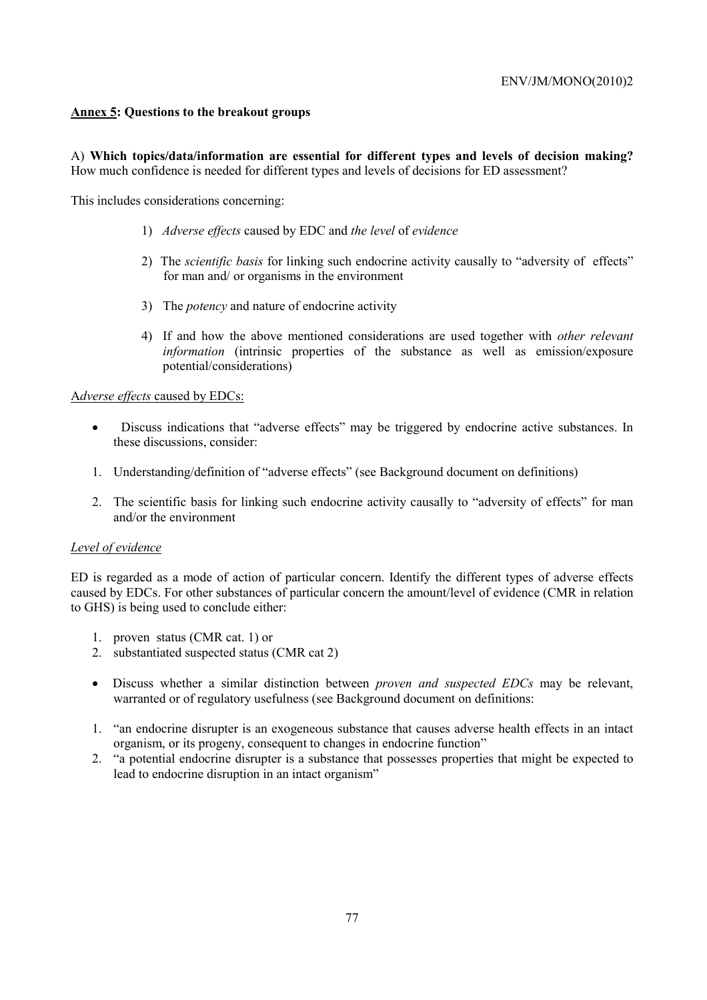## **Annex 5: Questions to the breakout groups**

A) **Which topics/data/information are essential for different types and levels of decision making?**  How much confidence is needed for different types and levels of decisions for ED assessment?

This includes considerations concerning:

- 1) *Adverse effects* caused by EDC and *the level* of *evidence*
- 2) The *scientific basis* for linking such endocrine activity causally to "adversity of effects" for man and/ or organisms in the environment
- 3) The *potency* and nature of endocrine activity
- 4) If and how the above mentioned considerations are used together with *other relevant information* (intrinsic properties of the substance as well as emission/exposure potential/considerations)

### A*dverse effects* caused by EDCs:

- Discuss indications that "adverse effects" may be triggered by endocrine active substances. In these discussions, consider:
- 1. Understanding/definition of "adverse effects" (see Background document on definitions)
- 2. The scientific basis for linking such endocrine activity causally to "adversity of effects" for man and/or the environment

#### *Level of evidence*

ED is regarded as a mode of action of particular concern. Identify the different types of adverse effects caused by EDCs. For other substances of particular concern the amount/level of evidence (CMR in relation to GHS) is being used to conclude either:

- 1. proven status (CMR cat. 1) or
- 2. substantiated suspected status (CMR cat 2)
- Discuss whether a similar distinction between *proven and suspected EDCs* may be relevant, warranted or of regulatory usefulness (see Background document on definitions:
- 1. "an endocrine disrupter is an exogeneous substance that causes adverse health effects in an intact organism, or its progeny, consequent to changes in endocrine function"
- 2. "a potential endocrine disrupter is a substance that possesses properties that might be expected to lead to endocrine disruption in an intact organism"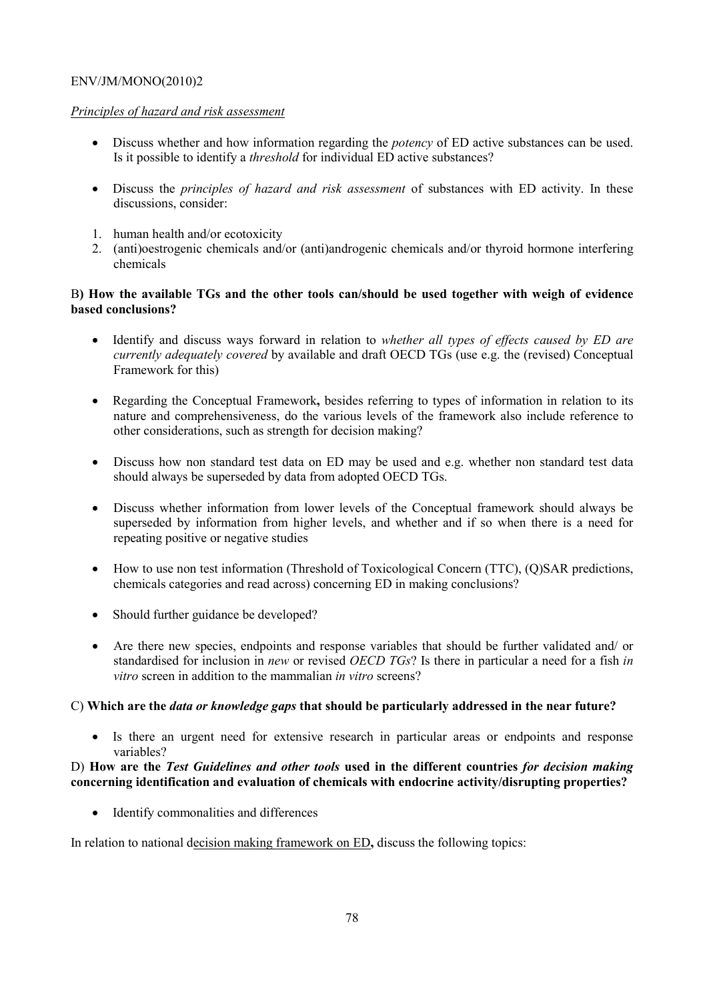# *Principles of hazard and risk assessment*

- Discuss whether and how information regarding the *potency* of ED active substances can be used. Is it possible to identify a *threshold* for individual ED active substances?
- Discuss the *principles of hazard and risk assessment* of substances with ED activity. In these discussions, consider:
- 1. human health and/or ecotoxicity
- 2. (anti)oestrogenic chemicals and/or (anti)androgenic chemicals and/or thyroid hormone interfering chemicals

## B**) How the available TGs and the other tools can/should be used together with weigh of evidence based conclusions?**

- Identify and discuss ways forward in relation to *whether all types of effects caused by ED are currently adequately covered* by available and draft OECD TGs (use e.g. the (revised) Conceptual Framework for this)
- Regarding the Conceptual Framework**,** besides referring to types of information in relation to its nature and comprehensiveness, do the various levels of the framework also include reference to other considerations, such as strength for decision making?
- Discuss how non standard test data on ED may be used and e.g. whether non standard test data should always be superseded by data from adopted OECD TGs.
- Discuss whether information from lower levels of the Conceptual framework should always be superseded by information from higher levels, and whether and if so when there is a need for repeating positive or negative studies
- How to use non test information (Threshold of Toxicological Concern (TTC), (Q)SAR predictions, chemicals categories and read across) concerning ED in making conclusions?
- Should further guidance be developed?
- Are there new species, endpoints and response variables that should be further validated and/ or standardised for inclusion in *new* or revised *OECD TGs*? Is there in particular a need for a fish *in vitro* screen in addition to the mammalian *in vitro* screens?

# C) **Which are the** *data or knowledge gaps* **that should be particularly addressed in the near future?**

• Is there an urgent need for extensive research in particular areas or endpoints and response variables?

## D) **How are the** *Test Guidelines and other tools* **used in the different countries** *for decision making* **concerning identification and evaluation of chemicals with endocrine activity/disrupting properties?**

• Identify commonalities and differences

In relation to national decision making framework on ED**,** discuss the following topics: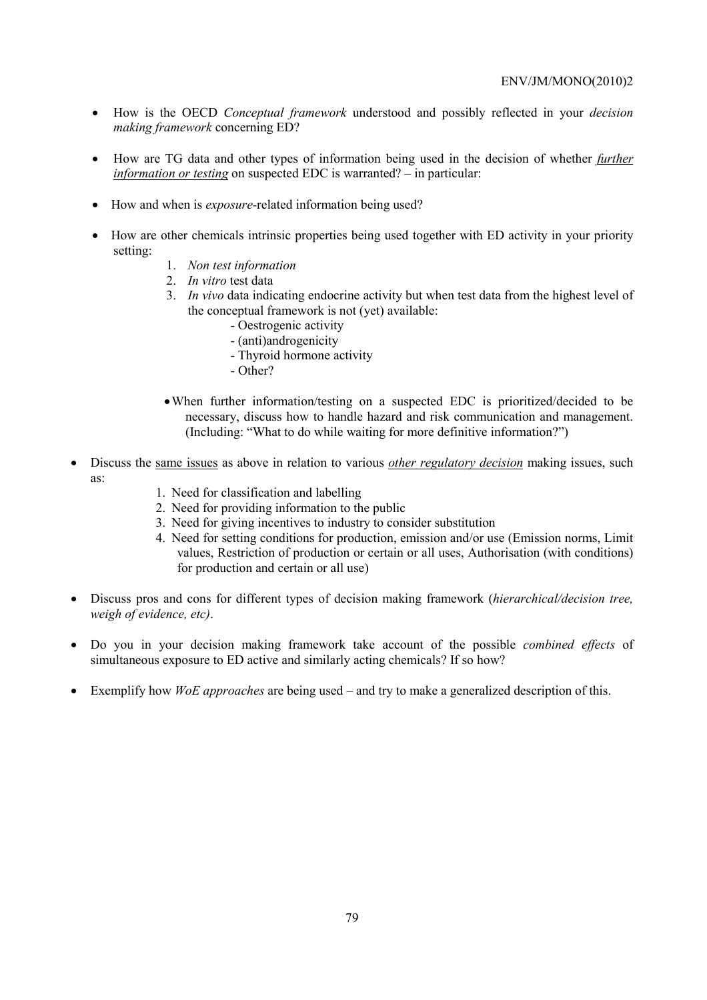- How is the OECD *Conceptual framework* understood and possibly reflected in your *decision making framework* concerning ED?
- How are TG data and other types of information being used in the decision of whether *further information or testing* on suspected EDC is warranted? – in particular:
- How and when is *exposure-*related information being used?
- How are other chemicals intrinsic properties being used together with ED activity in your priority setting:
	- 1. *Non test information*
	- 2. *In vitro* test data
	- 3. *In vivo* data indicating endocrine activity but when test data from the highest level of the conceptual framework is not (yet) available:
		- Oestrogenic activity
		- (anti)androgenicity
		- Thyroid hormone activity
		- Other?
	- •When further information/testing on a suspected EDC is prioritized/decided to be necessary, discuss how to handle hazard and risk communication and management. (Including: "What to do while waiting for more definitive information?")
- Discuss the same issues as above in relation to various *other regulatory decision* making issues, such as:
	- 1. Need for classification and labelling
	- 2. Need for providing information to the public
	- 3. Need for giving incentives to industry to consider substitution
	- 4. Need for setting conditions for production, emission and/or use (Emission norms, Limit values, Restriction of production or certain or all uses, Authorisation (with conditions) for production and certain or all use)
- Discuss pros and cons for different types of decision making framework (*hierarchical/decision tree, weigh of evidence, etc)*.
- Do you in your decision making framework take account of the possible *combined effects* of simultaneous exposure to ED active and similarly acting chemicals? If so how?
- Exemplify how *WoE approaches* are being used and try to make a generalized description of this.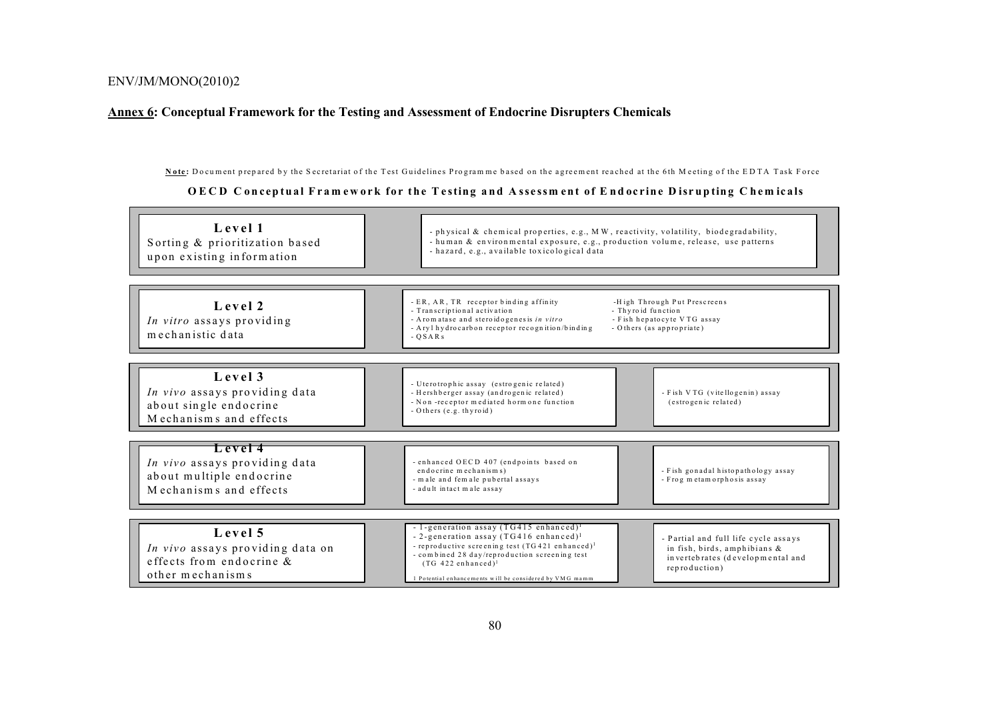п

#### **Annex 6: Conceptual Framework for the Testing and Assessment of Endocrine Disrupters Chemicals**

**Note :** Document prepared b y the S ecretariat of the Test Guidelines Program me based on the agreement reached at the 6th M eeting of the ED TA Task Force

#### OECD Conceptual Framework for the Testing and Assessment of Endocrine Disrupting Chemicals

┓

| Level 1<br>Sorting & prioritization based<br>upon existing information                         | - physical & chemical properties, e.g., $M W$ , reactivity, volatility, biodegradability,<br>- human & environmental exposure, e.g., production volume, release, use patterns<br>- hazard, e.g., available toxicological data                                                                                                                |                                                                                                                           |
|------------------------------------------------------------------------------------------------|----------------------------------------------------------------------------------------------------------------------------------------------------------------------------------------------------------------------------------------------------------------------------------------------------------------------------------------------|---------------------------------------------------------------------------------------------------------------------------|
| Level 2<br>In vitro assays providing<br>mechanistic data                                       | - ER, AR, TR receptor binding affinity<br>- Transcriptional activation<br>- Aromatase and steroidogenesis in vitro<br>- A ryl hydrocarbon receptor recognition/binding<br>$-$ O SARs                                                                                                                                                         | -High Through Put Prescreens<br>- Thyroid function<br>- Fish hepatocyte VTG assay<br>- Others (as appropriate)            |
| Level 3<br>In vivo assays providing data<br>about single endocrine<br>Mechanisms and effects   | - Uterotrophic assay (estrogenic related)<br>- Hershberger assay (androgenic related)<br>- Non-receptor mediated hormone function<br>- Others (e.g. thyroid)                                                                                                                                                                                 | - Fish VTG (vitellogenin) assay<br>(estrogenic related)                                                                   |
| Level 4<br>In vivo assays providing data<br>about multiple endocrine<br>Mechanisms and effects | - enhanced OECD 407 (endpoints based on<br>endocrine mechanisms)<br>- male and female pubertal assays<br>- adult intact male assay                                                                                                                                                                                                           | - Fish gonadal histopathology assay<br>- Frog metamorphosis assay                                                         |
| Level 5<br>In vivo assays providing data on<br>effects from endocrine &<br>other mechanisms    | $-1$ -generation assay (TG415 enhanced) <sup>1</sup><br>- 2-generation assay $(TG416 \text{ enhanced})$ <sup>1</sup><br>- reproductive screening test (TG 421 enhanced) <sup>1</sup><br>- combined 28 day/reproduction screening test<br>$(TG 422 \text{ enhanced})$ <sup>1</sup><br>1 Potential enhancements will be considered by VMG mamm | - Partial and full life cycle assays<br>in fish, birds, amphibians &<br>invertebrates (developmental and<br>reproduction) |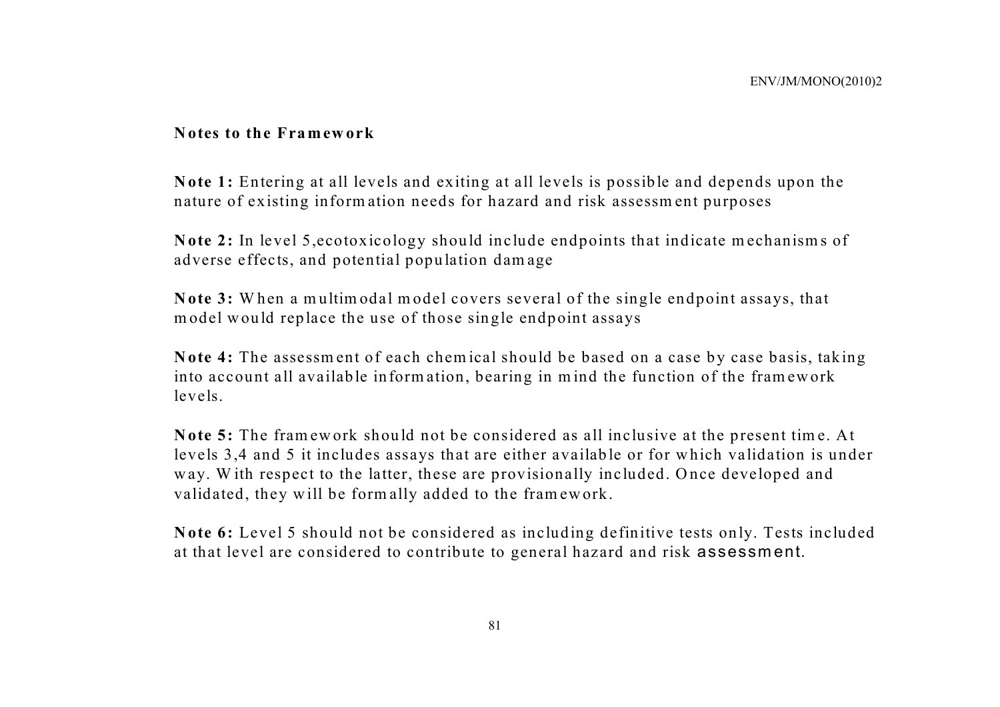# **Notes to the Framework**

**Note 1:** Entering at all levels and exiting at all levels is possible and depends upon the nature of existing inform ation needs for hazard and risk assessm ent purposes

**Note 2:** In level 5,ecotoxicology should include endpoints that indicate <sup>m</sup> echanism s of adverse effects, and potential population dam age

**Note 3:** W hen a m ultim odal m odel covers several of the single endpoint assays, that <sup>m</sup> odel w ould replace the use of those single endpoint assays

**Note 4:** The assessm ent of each chem ical should be based on a case by case basis, taking into account all available inform ation, bearing in m ind the function of the fram ework levels.

**Note 5:** The fram ew ork should not be considered as all inclusive at the present tim e. At levels 3,4 and 5 it includes assays that are either available or for w hich validation is under way. With respect to the latter, these are provisionally included. Once developed and validated, they will be form ally added to the fram ework.

**Note 6:** Level 5 should not be considered as including definitive tests only. Tests included at that level are considered to contribute to general hazard and risk assessment.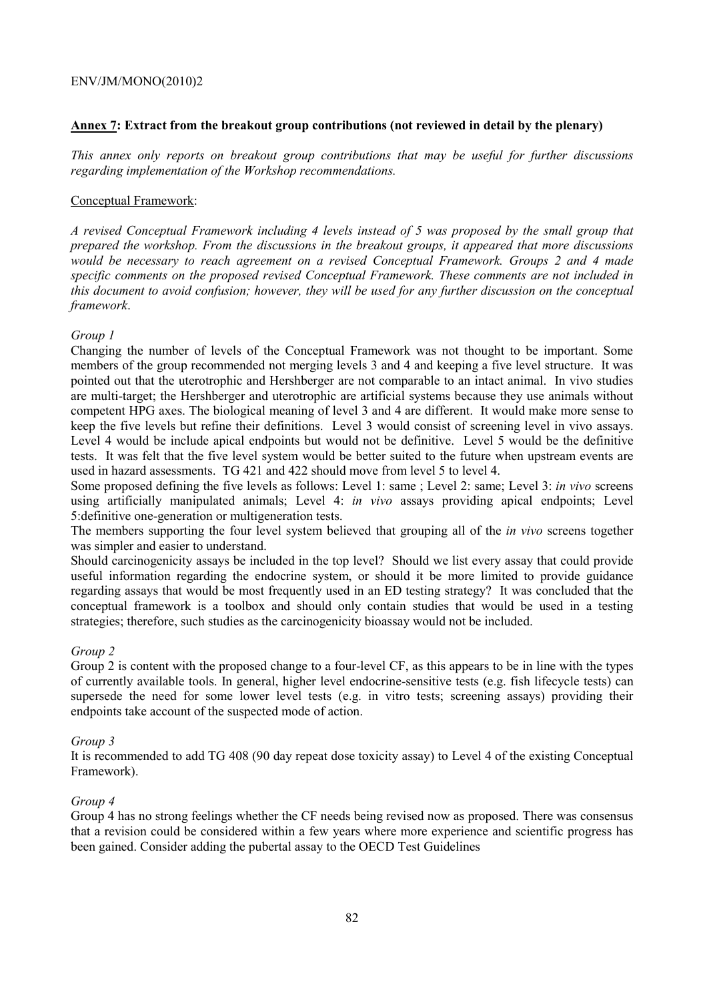### **Annex 7: Extract from the breakout group contributions (not reviewed in detail by the plenary)**

*This annex only reports on breakout group contributions that may be useful for further discussions regarding implementation of the Workshop recommendations.* 

#### Conceptual Framework:

*A revised Conceptual Framework including 4 levels instead of 5 was proposed by the small group that prepared the workshop. From the discussions in the breakout groups, it appeared that more discussions would be necessary to reach agreement on a revised Conceptual Framework. Groups 2 and 4 made specific comments on the proposed revised Conceptual Framework. These comments are not included in this document to avoid confusion; however, they will be used for any further discussion on the conceptual framework*.

#### *Group 1*

Changing the number of levels of the Conceptual Framework was not thought to be important. Some members of the group recommended not merging levels 3 and 4 and keeping a five level structure. It was pointed out that the uterotrophic and Hershberger are not comparable to an intact animal. In vivo studies are multi-target; the Hershberger and uterotrophic are artificial systems because they use animals without competent HPG axes. The biological meaning of level 3 and 4 are different. It would make more sense to keep the five levels but refine their definitions. Level 3 would consist of screening level in vivo assays. Level 4 would be include apical endpoints but would not be definitive. Level 5 would be the definitive tests. It was felt that the five level system would be better suited to the future when upstream events are used in hazard assessments. TG 421 and 422 should move from level 5 to level 4.

Some proposed defining the five levels as follows: Level 1: same ; Level 2: same; Level 3: *in vivo* screens using artificially manipulated animals; Level 4: *in vivo* assays providing apical endpoints; Level 5:definitive one-generation or multigeneration tests.

The members supporting the four level system believed that grouping all of the *in vivo* screens together was simpler and easier to understand.

Should carcinogenicity assays be included in the top level? Should we list every assay that could provide useful information regarding the endocrine system, or should it be more limited to provide guidance regarding assays that would be most frequently used in an ED testing strategy? It was concluded that the conceptual framework is a toolbox and should only contain studies that would be used in a testing strategies; therefore, such studies as the carcinogenicity bioassay would not be included.

#### *Group 2*

Group 2 is content with the proposed change to a four-level CF, as this appears to be in line with the types of currently available tools. In general, higher level endocrine-sensitive tests (e.g. fish lifecycle tests) can supersede the need for some lower level tests (e.g. in vitro tests; screening assays) providing their endpoints take account of the suspected mode of action.

#### *Group 3*

It is recommended to add TG 408 (90 day repeat dose toxicity assay) to Level 4 of the existing Conceptual Framework).

#### *Group 4*

Group 4 has no strong feelings whether the CF needs being revised now as proposed. There was consensus that a revision could be considered within a few years where more experience and scientific progress has been gained. Consider adding the pubertal assay to the OECD Test Guidelines